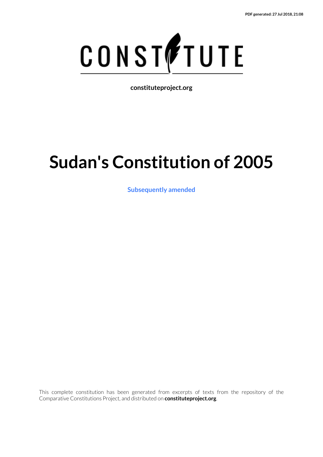

**constituteproject.org**

# **Sudan's Constitution of 2005**

**[Subsequently amended](https://www.constituteproject.org/ontology/Sudan_the?lang=en)**

This complete constitution has been generated from excerpts of texts from the repository of the Comparative Constitutions Project, and distributed on **constituteproject.org**.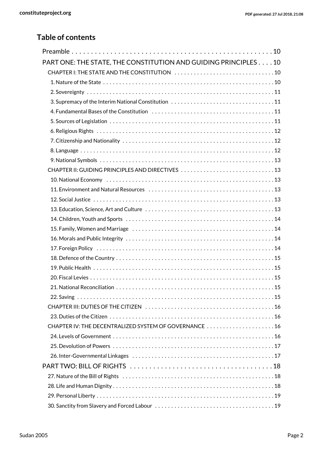# **Table of contents**

| PART ONE: THE STATE, THE CONSTITUTION AND GUIDING PRINCIPLES 10 |  |
|-----------------------------------------------------------------|--|
|                                                                 |  |
|                                                                 |  |
|                                                                 |  |
|                                                                 |  |
|                                                                 |  |
|                                                                 |  |
|                                                                 |  |
|                                                                 |  |
|                                                                 |  |
|                                                                 |  |
| CHAPTER II: GUIDING PRINCIPLES AND DIRECTIVES 13                |  |
|                                                                 |  |
|                                                                 |  |
|                                                                 |  |
|                                                                 |  |
|                                                                 |  |
|                                                                 |  |
|                                                                 |  |
|                                                                 |  |
|                                                                 |  |
|                                                                 |  |
|                                                                 |  |
|                                                                 |  |
|                                                                 |  |
|                                                                 |  |
|                                                                 |  |
| CHAPTER IV: THE DECENTRALIZED SYSTEM OF GOVERNANCE 16           |  |
|                                                                 |  |
|                                                                 |  |
|                                                                 |  |
|                                                                 |  |
|                                                                 |  |
|                                                                 |  |
|                                                                 |  |
|                                                                 |  |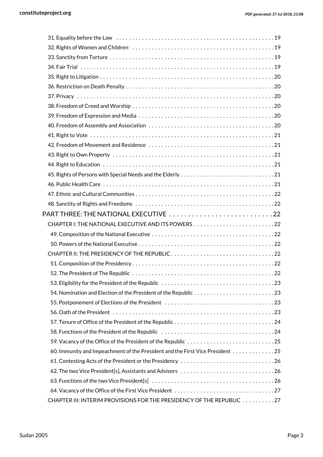| 31. Equality before the Law edge of the contract of the contract of the law edge of the contract of the contra |
|----------------------------------------------------------------------------------------------------------------|
|                                                                                                                |
|                                                                                                                |
|                                                                                                                |
|                                                                                                                |
|                                                                                                                |
|                                                                                                                |
|                                                                                                                |
|                                                                                                                |
|                                                                                                                |
|                                                                                                                |
|                                                                                                                |
|                                                                                                                |
|                                                                                                                |
|                                                                                                                |
|                                                                                                                |
|                                                                                                                |
|                                                                                                                |
|                                                                                                                |
|                                                                                                                |
|                                                                                                                |
|                                                                                                                |
|                                                                                                                |
|                                                                                                                |
|                                                                                                                |
|                                                                                                                |
|                                                                                                                |
|                                                                                                                |
|                                                                                                                |
| 57. Tenure of Office of the President of the Republic 24                                                       |
|                                                                                                                |
|                                                                                                                |
| 60. Immunity and Impeachment of the President and the First Vice President 25                                  |
| 61. Contesting Acts of the President or the Presidency 26                                                      |
|                                                                                                                |
|                                                                                                                |
|                                                                                                                |
| CHAPTER III: INTERIM PROVISIONS FOR THE PRESIDENCY OF THE REPUBLIC 27                                          |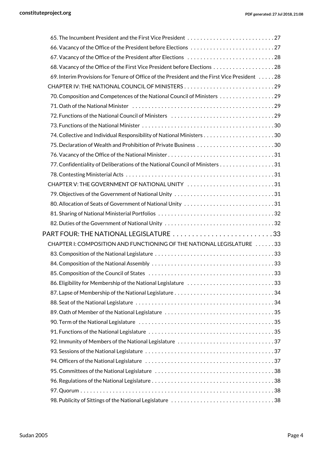| 67. Vacancy of the Office of the President after Elections 28                                |  |
|----------------------------------------------------------------------------------------------|--|
|                                                                                              |  |
| 69. Interim Provisions for Tenure of Office of the President and the First Vice President 28 |  |
|                                                                                              |  |
| 70. Composition and Competences of the National Council of Ministers 29                      |  |
|                                                                                              |  |
|                                                                                              |  |
|                                                                                              |  |
|                                                                                              |  |
|                                                                                              |  |
|                                                                                              |  |
| 77. Confidentiality of Deliberations of the National Council of Ministers 31                 |  |
|                                                                                              |  |
| CHAPTER V: THE GOVERNMENT OF NATIONAL UNITY 31                                               |  |
|                                                                                              |  |
|                                                                                              |  |
|                                                                                              |  |
| 82. Duties of the Government of National Unity 32                                            |  |
|                                                                                              |  |
| CHAPTER I: COMPOSITION AND FUNCTIONING OF THE NATIONAL LEGISLATURE 33                        |  |
|                                                                                              |  |
|                                                                                              |  |
|                                                                                              |  |
| 86. Eligibility for Membership of the National Legislature 33                                |  |
|                                                                                              |  |
|                                                                                              |  |
|                                                                                              |  |
|                                                                                              |  |
|                                                                                              |  |
| 92. Immunity of Members of the National Legislature 37                                       |  |
|                                                                                              |  |
|                                                                                              |  |
|                                                                                              |  |
|                                                                                              |  |
|                                                                                              |  |
|                                                                                              |  |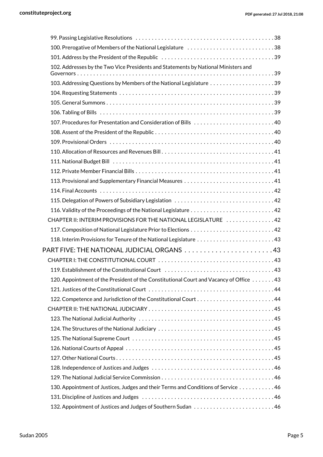| 100. Prerogative of Members of the National Legislature 38                                                     |  |
|----------------------------------------------------------------------------------------------------------------|--|
|                                                                                                                |  |
| 102. Addresses by the Two Vice Presidents and Statements by National Ministers and                             |  |
|                                                                                                                |  |
|                                                                                                                |  |
|                                                                                                                |  |
|                                                                                                                |  |
|                                                                                                                |  |
| 107. Procedures for Presentation and Consideration of Bills  40                                                |  |
|                                                                                                                |  |
|                                                                                                                |  |
|                                                                                                                |  |
|                                                                                                                |  |
|                                                                                                                |  |
|                                                                                                                |  |
|                                                                                                                |  |
|                                                                                                                |  |
|                                                                                                                |  |
| CHAPTER II: INTERIM PROVISIONS FOR THE NATIONAL LEGISLATURE 42                                                 |  |
|                                                                                                                |  |
|                                                                                                                |  |
| PART FIVE: THE NATIONAL JUDICIAL ORGANS $\,\dots\,\dots\,\dots\,\dots\,\dots\,\dots\,\dots\,43$                |  |
|                                                                                                                |  |
| 119. Establishment of the Constitutional Court (all content of the content of the Constitutional Court (all co |  |
| 120. Appointment of the President of the Constitutional Court and Vacancy of Office 43                         |  |
|                                                                                                                |  |
|                                                                                                                |  |
|                                                                                                                |  |
|                                                                                                                |  |
|                                                                                                                |  |
|                                                                                                                |  |
|                                                                                                                |  |
|                                                                                                                |  |
|                                                                                                                |  |
|                                                                                                                |  |
| 130. Appointment of Justices, Judges and their Terms and Conditions of Service 46                              |  |
|                                                                                                                |  |
|                                                                                                                |  |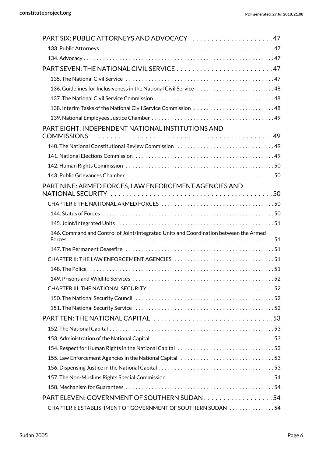| PART SIX: PUBLIC ATTORNEYS AND ADVOCACY 47                                            |
|---------------------------------------------------------------------------------------|
|                                                                                       |
|                                                                                       |
|                                                                                       |
|                                                                                       |
| 136. Guidelines for Inclusiveness in the National Civil Service  48                   |
|                                                                                       |
| 138. Interim Tasks of the National Civil Service Commission  48                       |
|                                                                                       |
| PART EIGHT: INDEPENDENT NATIONAL INSTITUTIONS AND                                     |
|                                                                                       |
|                                                                                       |
|                                                                                       |
|                                                                                       |
| PART NINE: ARMED FORCES, LAW ENFORCEMENT AGENCIES AND                                 |
|                                                                                       |
|                                                                                       |
|                                                                                       |
|                                                                                       |
| 146. Command and Control of Joint/Integrated Units and Coordination between the Armed |
|                                                                                       |
| CHAPTER II: THE LAW ENFORCEMENT AGENCIES 51                                           |
|                                                                                       |
|                                                                                       |
|                                                                                       |
|                                                                                       |
|                                                                                       |
| PART TEN: THE NATIONAL CAPITAL 53                                                     |
|                                                                                       |
|                                                                                       |
| 154. Respect for Human Rights in the National Capital 53                              |
| 155. Law Enforcement Agencies in the National Capital 53                              |
|                                                                                       |
|                                                                                       |
|                                                                                       |
| PART ELEVEN: GOVERNMENT OF SOUTHERN SUDAN54                                           |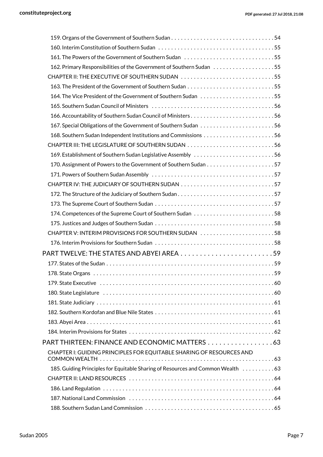| CHAPTER II: THE EXECUTIVE OF SOUTHERN SUDAN 55                                  |  |
|---------------------------------------------------------------------------------|--|
|                                                                                 |  |
| 164. The Vice President of the Government of Southern Sudan 55                  |  |
|                                                                                 |  |
|                                                                                 |  |
|                                                                                 |  |
|                                                                                 |  |
| CHAPTER III: THE LEGISLATURE OF SOUTHERN SUDAN 56                               |  |
| 169. Establishment of Southern Sudan Legislative Assembly 56                    |  |
|                                                                                 |  |
|                                                                                 |  |
| CHAPTER IV: THE JUDICIARY OF SOUTHERN SUDAN 57                                  |  |
| 172. The Structure of the Judiciary of Southern Sudan57                         |  |
|                                                                                 |  |
|                                                                                 |  |
|                                                                                 |  |
| CHAPTER V: INTERIM PROVISIONS FOR SOUTHERN SUDAN 58                             |  |
|                                                                                 |  |
|                                                                                 |  |
|                                                                                 |  |
|                                                                                 |  |
|                                                                                 |  |
|                                                                                 |  |
|                                                                                 |  |
|                                                                                 |  |
|                                                                                 |  |
|                                                                                 |  |
| PART THIRTEEN: FINANCE AND ECONOMIC MATTERS 63                                  |  |
| CHAPTER I: GUIDING PRINCIPLES FOR EQUITABLE SHARING OF RESOURCES AND            |  |
| 185. Guiding Principles for Equitable Sharing of Resources and Common Wealth 63 |  |
|                                                                                 |  |
|                                                                                 |  |
|                                                                                 |  |
|                                                                                 |  |
|                                                                                 |  |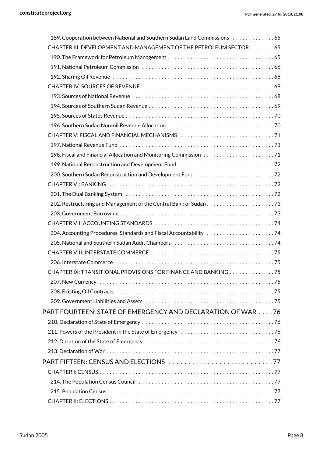| 189. Cooperation between National and Southern Sudan Land Commissions 65 |  |
|--------------------------------------------------------------------------|--|
| CHAPTER III: DEVELOPMENT AND MANAGEMENT OF THE PETROLEUM SECTOR 65       |  |
|                                                                          |  |
|                                                                          |  |
|                                                                          |  |
|                                                                          |  |
|                                                                          |  |
|                                                                          |  |
|                                                                          |  |
|                                                                          |  |
|                                                                          |  |
|                                                                          |  |
|                                                                          |  |
|                                                                          |  |
|                                                                          |  |
|                                                                          |  |
|                                                                          |  |
|                                                                          |  |
|                                                                          |  |
|                                                                          |  |
|                                                                          |  |
|                                                                          |  |
|                                                                          |  |
|                                                                          |  |
| CHAPTER IX: TRANSITIONAL PROVISIONS FOR FINANCE AND BANKING 75           |  |
|                                                                          |  |
|                                                                          |  |
|                                                                          |  |
| PART FOURTEEN: STATE OF EMERGENCY AND DECLARATION OF WAR 76              |  |
|                                                                          |  |
|                                                                          |  |
|                                                                          |  |
|                                                                          |  |
| PART FIFTEEN: CENSUS AND ELECTIONS 77                                    |  |
|                                                                          |  |
|                                                                          |  |
|                                                                          |  |
|                                                                          |  |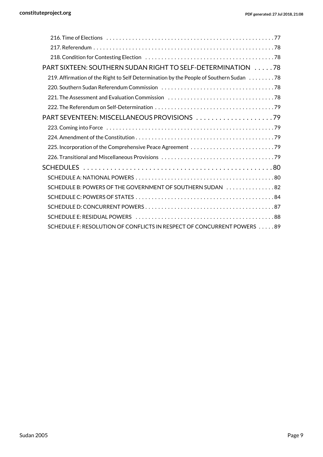| PART SIXTEEN: SOUTHERN SUDAN RIGHT TO SELF-DETERMINATION 78                                  |
|----------------------------------------------------------------------------------------------|
| 219. Affirmation of the Right to Self Determination by the People of Southern Sudan 78       |
| 220. Southern Sudan Referendum Commission (and all contained according to the solution of 18 |
|                                                                                              |
|                                                                                              |
|                                                                                              |
|                                                                                              |
|                                                                                              |
|                                                                                              |
|                                                                                              |
|                                                                                              |
|                                                                                              |
| SCHEDULE B: POWERS OF THE GOVERNMENT OF SOUTHERN SUDAN  82                                   |
|                                                                                              |
|                                                                                              |
|                                                                                              |
| SCHEDULE F: RESOLUTION OF CONFLICTS IN RESPECT OF CONCURRENT POWERS 89                       |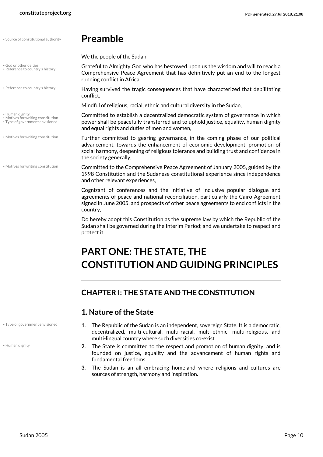• God or other deities • Reference to country's history

• Reference to country's history

• Human dignity • Motives for writing constitution

• Type of government envisioned

• Motives for writing constitution

• Motives for writing constitution

# <span id="page-9-0"></span>**Preamble**

We the people of the Sudan

Grateful to Almighty God who has bestowed upon us the wisdom and will to reach a Comprehensive Peace Agreement that has definitively put an end to the longest running conflict in Africa,

Having survived the tragic consequences that have characterized that debilitating conflict,

Mindful of religious, racial, ethnic and cultural diversity in the Sudan,

Committed to establish a decentralized democratic system of governance in which power shall be peacefully transferred and to uphold justice, equality, human dignity and equal rights and duties of men and women,

Further committed to gearing governance, in the coming phase of our political advancement, towards the enhancement of economic development, promotion of social harmony, deepening of religious tolerance and building trust and confidence in the society generally,

Committed to the Comprehensive Peace Agreement of January 2005, guided by the 1998 Constitution and the Sudanese constitutional experience since independence and other relevant experiences,

Cognizant of conferences and the initiative of inclusive popular dialogue and agreements of peace and national reconciliation, particularly the Cairo Agreement signed in June 2005, and prospects of other peace agreements to end conflicts in the country,

Do hereby adopt this Constitution as the supreme law by which the Republic of the Sudan shall be governed during the Interim Period; and we undertake to respect and protect it.

# <span id="page-9-1"></span>**PART ONE: THE STATE, THE CONSTITUTION AND GUIDING PRINCIPLES**

# <span id="page-9-2"></span>**CHAPTER I: THE STATE AND THE CONSTITUTION**

#### <span id="page-9-3"></span>**1. Nature of the State**

• Type of government envisioned

• Human dignity

- **1.** The Republic of the Sudan is an independent, sovereign State. It is a democratic, decentralized, multi-cultural, multi-racial, multi-ethnic, multi-religious, and multi-lingual country where such diversities co-exist.
- **2.** The State is committed to the respect and promotion of human dignity; and is founded on justice, equality and the advancement of human rights and fundamental freedoms.
- **3.** The Sudan is an all embracing homeland where religions and cultures are sources of strength, harmony and inspiration.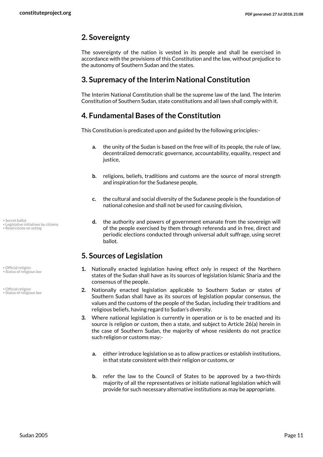# <span id="page-10-0"></span>**2. Sovereignty**

The sovereignty of the nation is vested in its people and shall be exercised in accordance with the provisions of this Constitution and the law, without prejudice to the autonomy of Southern Sudan and the states.

# <span id="page-10-1"></span>**3. Supremacy of the Interim National Constitution**

The Interim National Constitution shall be the supreme law of the land. The Interim Constitution of Southern Sudan, state constitutions and all laws shall comply with it.

# **4. Fundamental Bases of the Constitution**

This Constitution is predicated upon and guided by the following principles:-

- <span id="page-10-2"></span>**a.** the unity of the Sudan is based on the free will of its people, the rule of law, decentralized democratic governance, accountability, equality, respect and justice.
- **b.** religions, beliefs, traditions and customs are the source of moral strength and inspiration for the Sudanese people,
- **c.** the cultural and social diversity of the Sudanese people is the foundation of national cohesion and shall not be used for causing division,
- <span id="page-10-3"></span>**d.** the authority and powers of government emanate from the sovereign will of the people exercised by them through referenda and in free, direct and periodic elections conducted through universal adult suffrage, using secret ballot.

#### **5. Sources of Legislation**

- **1.** Nationally enacted legislation having effect only in respect of the Northern states of the Sudan shall have as its sources of legislation Islamic Sharia and the consensus of the people.
- **2.** Nationally enacted legislation applicable to Southern Sudan or states of Southern Sudan shall have as its sources of legislation popular consensus, the values and the customs of the people of the Sudan, including their traditions and religious beliefs, having regard to Sudan's diversity.
- **3.** Where national legislation is currently in operation or is to be enacted and its source is religion or custom, then a state, and subject to Article 26(a) herein in the case of Southern Sudan, the majority of whose residents do not practice such religion or customs may:
	- **a.** either introduce legislation so as to allow practices or establish institutions, in that state consistent with their religion or customs, or
	- **b.** refer the law to the Council of States to be approved by a two-thirds majority of all the representatives or initiate national legislation which will provide for such necessary alternative institutions as may be appropriate.
- Secret ballot • Legislative initiatives by citizens
- Restrictions on voting

Official religion • Status of religious law

• Official religion • Status of religious law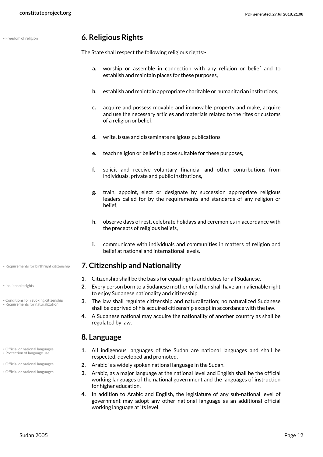#### • Freedom of religion **6. Religious Rights**

The State shall respect the following religious rights:-

- <span id="page-11-0"></span>**a.** worship or assemble in connection with any religion or belief and to establish and maintain places for these purposes,
- **b.** establish and maintain appropriate charitable or humanitarian institutions,
- **c.** acquire and possess movable and immovable property and make, acquire and use the necessary articles and materials related to the rites or customs of a religion or belief,
- **d.** write, issue and disseminate religious publications,
- **e.** teach religion or belief in places suitable for these purposes,
- **f.** solicit and receive voluntary financial and other contributions from individuals, private and public institutions,
- **g.** train, appoint, elect or designate by succession appropriate religious leaders called for by the requirements and standards of any religion or belief,
- **h.** observe days of rest, celebrate holidays and ceremonies in accordance with the precepts of religious beliefs,
- <span id="page-11-1"></span>**i.** communicate with individuals and communities in matters of religion and belief at national and international levels.

#### • Requirements for birthright citizenship **7. Citizenship and Nationality**

- **1.** Citizenship shall be the basis for equal rights and duties for all Sudanese.
- **2.** Every person born to a Sudanese mother or father shall have an inalienable right to enjoy Sudanese nationality and citizenship.
- **3.** The law shall regulate citizenship and naturalization; no naturalized Sudanese shall be deprived of his acquired citizenship except in accordance with the law.
- **4.** A Sudanese national may acquire the nationality of another country as shall be regulated by law.

#### <span id="page-11-2"></span>**8. Language**

- **1.** All indigenous languages of the Sudan are national languages and shall be respected, developed and promoted.
- . Official or national languages **2.** Arabic is a widely spoken national language in the Sudan.
	- **3.** Arabic, as a major language at the national level and English shall be the official working languages of the national government and the languages of instruction for higher education.
	- **4.** In addition to Arabic and English, the legislature of any sub-national level of government may adopt any other national language as an additional official working language at its level.

• Inalienable rights

• Conditions for revoking citizenship • Requirements for naturalization

• Official or national languages • Protection of language use

- 
- Official or national languages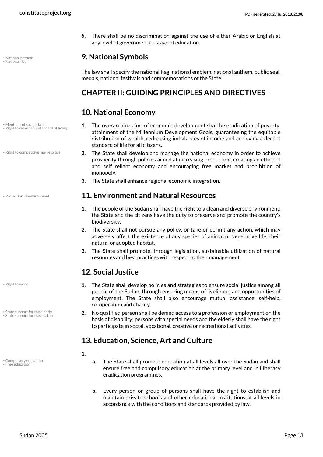<span id="page-12-0"></span>**5.** There shall be no discrimination against the use of either Arabic or English at any level of government or stage of education.

# • National anthem **9. National Symbols**

The law shall specify the national flag, national emblem, national anthem, public seal, medals, national festivals and commemorations of the State.

# <span id="page-12-1"></span>**CHAPTER II: GUIDING PRINCIPLES AND DIRECTIVES**

# <span id="page-12-2"></span>**10. National Economy**

- **1.** The overarching aims of economic development shall be eradication of poverty, attainment of the Millennium Development Goals, guaranteeing the equitable distribution of wealth, redressing imbalances of income and achieving a decent standard of life for all citizens.
- **2.** The State shall develop and manage the national economy in order to achieve prosperity through policies aimed at increasing production, creating an efficient and self reliant economy and encouraging free market and prohibition of monopoly.
- <span id="page-12-3"></span>**3.** The State shall enhance regional economic integration.

#### • Protection of environment **11. Environment and Natural Resources**

- **1.** The people of the Sudan shall have the right to a clean and diverse environment; the State and the citizens have the duty to preserve and promote the country's biodiversity.
- **2.** The State shall not pursue any policy, or take or permit any action, which may adversely affect the existence of any species of animal or vegetative life, their natural or adopted habitat.
- **3.** The State shall promote, through legislation, sustainable utilization of natural resources and best practices with respect to their management.

# <span id="page-12-4"></span>**12. Social Justice**

- **1.** The State shall develop policies and strategies to ensure social justice among all people of the Sudan, through ensuring means of livelihood and opportunities of employment. The State shall also encourage mutual assistance, self-help, co-operation and charity.
- **2.** No qualified person shall be denied access to a profession or employment on the basis of disability; persons with special needs and the elderly shall have the right to participate in social, vocational, creative or recreational activities.

# **13. Education, Science, Art and Culture**

- **1.**
- <span id="page-12-5"></span>**a.** The State shall promote education at all levels all over the Sudan and shall ensure free and compulsory education at the primary level and in illiteracy eradication programmes.
- **b.** Every person or group of persons shall have the right to establish and maintain private schools and other educational institutions at all levels in accordance with the conditions and standards provided by law.

• Mentions of social class • Right to reasonable standard of living

• National flag

• Right to competitive marketplace

• Right to work

• State support for the elderly • State support for the disabled

• Compulsory education • Free education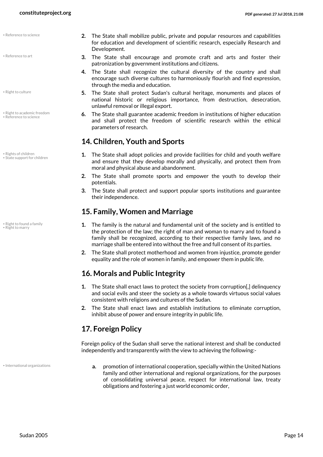- Reference to science
- Reference to art
- Right to culture
- Right to academic freedom • Reference to science
- Rights of children • State support for children

• Right to found a family • Right to marry

- 
- **2.** The State shall mobilize public, private and popular resources and capabilities for education and development of scientific research, especially Research and Development.
- **3.** The State shall encourage and promote craft and arts and foster their patronization by government institutions and citizens.
- **4.** The State shall recognize the cultural diversity of the country and shall encourage such diverse cultures to harmoniously flourish and find expression, through the media and education.
- **5.** The State shall protect Sudan's cultural heritage, monuments and places of national historic or religious importance, from destruction, desecration, unlawful removal or illegal export.
- **6.** The State shall guarantee academic freedom in institutions of higher education and shall protect the freedom of scientific research within the ethical parameters of research.

# <span id="page-13-0"></span>**14. Children, Youth and Sports**

- **1.** The State shall adopt policies and provide facilities for child and youth welfare and ensure that they develop morally and physically, and protect them from moral and physical abuse and abandonment.
- **2.** The State shall promote sports and empower the youth to develop their potentials.
- **3.** The State shall protect and support popular sports institutions and guarantee their independence.

# <span id="page-13-1"></span>**15. Family, Women and Marriage**

- **1.** The family is the natural and fundamental unit of the society and is entitled to the protection of the law; the right of man and woman to marry and to found a family shall be recognized, according to their respective family laws, and no marriage shall be entered into without the free and full consent of its parties.
- **2.** The State shall protect motherhood and women from injustice, promote gender equality and the role of women in family, and empower them in public life.

# <span id="page-13-2"></span>**16. Morals and Public Integrity**

- **1.** The State shall enact laws to protect the society from corruption[,] delinquency and social evils and steer the society as a whole towards virtuous social values consistent with religions and cultures of the Sudan.
- **2.** The State shall enact laws and establish institutions to eliminate corruption, inhibit abuse of power and ensure integrity in public life.

# <span id="page-13-3"></span>**17. Foreign Policy**

Foreign policy of the Sudan shall serve the national interest and shall be conducted independently and transparently with the view to achieving the following:-

**a.** promotion of international cooperation, specially within the United Nations family and other international and regional organizations, for the purposes of consolidating universal peace, respect for international law, treaty obligations and fostering a just world economic order,

• International organizations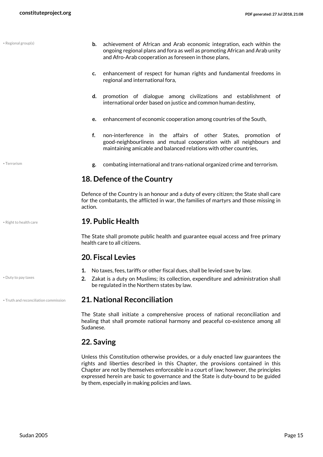**b.** achievement of African and Arab economic integration, each within the ongoing regional plans and fora as well as promoting African and Arab unity and Afro-Arab cooperation as foreseen in those plans, • Regional group(s) **c.** enhancement of respect for human rights and fundamental freedoms in regional and international fora, **d.** promotion of dialogue among civilizations and establishment of international order based on justice and common human destiny, **e.** enhancement of economic cooperation among countries of the South, **f.** non-interference in the affairs of other States, promotion of good-neighbourliness and mutual cooperation with all neighbours and maintaining amicable and balanced relations with other countries,

• Duty to pay taxes

#### **g.** combating international and trans-national organized crime and terrorism. • Terrorism

# <span id="page-14-0"></span>**18. Defence of the Country**

Defence of the Country is an honour and a duty of every citizen; the State shall care for the combatants, the afflicted in war, the families of martyrs and those missing in action.

#### • Right to health care **19. Public Health**

<span id="page-14-1"></span>The State shall promote public health and guarantee equal access and free primary health care to all citizens.

#### <span id="page-14-2"></span>**20. Fiscal Levies**

- **1.** No taxes, fees, tariffs or other fiscal dues, shall be levied save by law.
- <span id="page-14-3"></span>**2.** Zakat is a duty on Muslims; its collection, expenditure and administration shall be regulated in the Northern states by law.

#### • Truth and reconciliation commission **21. National Reconciliation**

The State shall initiate a comprehensive process of national reconciliation and healing that shall promote national harmony and peaceful co-existence among all Sudanese.

# <span id="page-14-4"></span>**22. Saving**

Unless this Constitution otherwise provides, or a duly enacted law guarantees the rights and liberties described in this Chapter, the provisions contained in this Chapter are not by themselves enforceable in a court of law; however, the principles expressed herein are basic to governance and the State is duty-bound to be guided by them, especially in making policies and laws.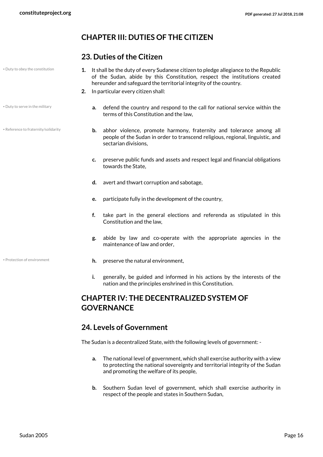<span id="page-15-0"></span>**CHAPTER III: DUTIES OF THE CITIZEN**

#### <span id="page-15-1"></span>**23. Duties of the Citizen**

- **1.** It shall be the duty of every Sudanese citizen to pledge allegiance to the Republic of the Sudan, abide by this Constitution, respect the institutions created hereunder and safeguard the territorial integrity of the country.
- **2.** In particular every citizen shall:
	- **a.** defend the country and respond to the call for national service within the terms of this Constitution and the law,
	- **b.** abhor violence, promote harmony, fraternity and tolerance among all people of the Sudan in order to transcend religious, regional, linguistic, and sectarian divisions,
	- **c.** preserve public funds and assets and respect legal and financial obligations towards the State,
	- **d.** avert and thwart corruption and sabotage,
	- **e.** participate fully in the development of the country,
	- **f.** take part in the general elections and referenda as stipulated in this Constitution and the law,
	- **g.** abide by law and co-operate with the appropriate agencies in the maintenance of law and order,
- Protection of environment **h.** preserve the natural environment,
	- **i.** generally, be guided and informed in his actions by the interests of the nation and the principles enshrined in this Constitution.

# <span id="page-15-2"></span>**CHAPTER IV: THE DECENTRALIZED SYSTEM OF GOVERNANCE**

#### **24. Levels of Government**

The Sudan is a decentralized State, with the following levels of government: -

- <span id="page-15-3"></span>**a.** The national level of government, which shall exercise authority with a view to protecting the national sovereignty and territorial integrity of the Sudan and promoting the welfare of its people,
- **b.** Southern Sudan level of government, which shall exercise authority in respect of the people and states in Southern Sudan,

• Duty to obey the constitution

• Duty to serve in the military

• Reference to fraternity/solidarity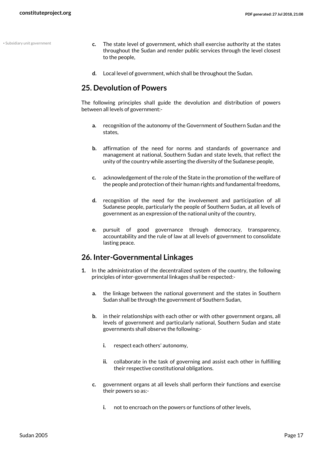• Subsidiary unit government

- **c.** The state level of government, which shall exercise authority at the states throughout the Sudan and render public services through the level closest to the people,
- <span id="page-16-0"></span>**d.** Local level of government, which shall be throughout the Sudan.

#### **25. Devolution of Powers**

The following principles shall guide the devolution and distribution of powers between all levels of government:-

- **a.** recognition of the autonomy of the Government of Southern Sudan and the states,
- **b.** affirmation of the need for norms and standards of governance and management at national, Southern Sudan and state levels, that reflect the unity of the country while asserting the diversity of the Sudanese people,
- **c.** acknowledgement of the role of the State in the promotion of the welfare of the people and protection of their human rights and fundamental freedoms,
- **d.** recognition of the need for the involvement and participation of all Sudanese people, particularly the people of Southern Sudan, at all levels of government as an expression of the national unity of the country,
- <span id="page-16-1"></span>**e.** pursuit of good governance through democracy, transparency, accountability and the rule of law at all levels of government to consolidate lasting peace.

#### **26. Inter-Governmental Linkages**

- **1.** In the administration of the decentralized system of the country, the following principles of inter-governmental linkages shall be respected:
	- **a.** the linkage between the national government and the states in Southern Sudan shall be through the government of Southern Sudan,
	- **b.** in their relationships with each other or with other government organs, all levels of government and particularly national, Southern Sudan and state governments shall observe the following:
		- **i.** respect each others' autonomy,
		- **ii.** collaborate in the task of governing and assist each other in fulfilling their respective constitutional obligations.
	- **c.** government organs at all levels shall perform their functions and exercise their powers so as:
		- **i.** not to encroach on the powers or functions of other levels,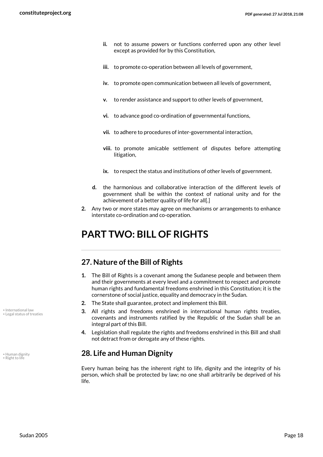- **ii.** not to assume powers or functions conferred upon any other level except as provided for by this Constitution,
- **iii.** to promote co-operation between all levels of government,
- **iv.** to promote open communication between all levels of government,
- **v.** to render assistance and support to other levels of government,
- **vi.** to advance good co-ordination of governmental functions,
- **vii.** to adhere to procedures of inter-governmental interaction,
- **viii.** to promote amicable settlement of disputes before attempting litigation,
- <span id="page-17-0"></span>**ix.** to respect the status and institutions of other levels of government.
- **d.** the harmonious and collaborative interaction of the different levels of government shall be within the context of national unity and for the achievement of a better quality of life for all[.]
- **2.** Any two or more states may agree on mechanisms or arrangements to enhance interstate co-ordination and co-operation.

# **PART TWO: BILL OF RIGHTS**

#### <span id="page-17-1"></span>**27. Nature of the Bill of Rights**

- **1.** The Bill of Rights is a covenant among the Sudanese people and between them and their governments at every level and a commitment to respect and promote human rights and fundamental freedoms enshrined in this Constitution; it is the cornerstone of social justice, equality and democracy in the Sudan.
- **2.** The State shall guarantee, protect and implement this Bill.
- **3.** All rights and freedoms enshrined in international human rights treaties, covenants and instruments ratified by the Republic of the Sudan shall be an integral part of this Bill.
- **4.** Legislation shall regulate the rights and freedoms enshrined in this Bill and shall not detract from or derogate any of these rights.

#### <span id="page-17-2"></span>**28. Life and Human Dignity**

Every human being has the inherent right to life, dignity and the integrity of his person, which shall be protected by law; no one shall arbitrarily be deprived of his life.

• International law • Legal status of treaties

• Human dignity<br>• Right to life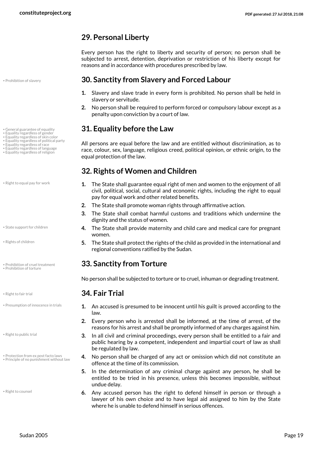# <span id="page-18-0"></span>**29. Personal Liberty**

Every person has the right to liberty and security of person; no person shall be subjected to arrest, detention, deprivation or restriction of his liberty except for reasons and in accordance with procedures prescribed by law.

• Prohibition of slavery **30. Sanctity from Slavery and Forced Labour**

- <span id="page-18-1"></span>**1.** Slavery and slave trade in every form is prohibited. No person shall be held in slavery or servitude.
- <span id="page-18-2"></span>**2.** No person shall be required to perform forced or compulsory labour except as a penalty upon conviction by a court of law.

# • General guarantee of equality **31. Equality before the Law**

All persons are equal before the law and are entitled without discrimination, as to race, colour, sex, language, religious creed, political opinion, or ethnic origin, to the equal protection of the law.

# <span id="page-18-3"></span>**32. Rights of Women and Children**

- **1.** The State shall guarantee equal right of men and women to the enjoyment of all civil, political, social, cultural and economic rights, including the right to equal pay for equal work and other related benefits.
- **2.** The State shall promote woman rights through affirmative action.
- **3.** The State shall combat harmful customs and traditions which undermine the dignity and the status of women.
- **4.** The State shall provide maternity and child care and medical care for pregnant women.
- <span id="page-18-4"></span>**5.** The State shall protect the rights of the child as provided in the international and regional conventions ratified by the Sudan.

# • Prohibition of cruel treatment **33. Sanctity from Torture**

<span id="page-18-5"></span>No person shall be subjected to torture or to cruel, inhuman or degrading treatment.

#### • Right to fair trial **34. Fair Trial**

- **1.** An accused is presumed to be innocent until his guilt is proved according to the law.
- **2.** Every person who is arrested shall be informed, at the time of arrest, of the reasons for his arrest and shall be promptly informed of any charges against him.
- **3.** In all civil and criminal proceedings, every person shall be entitled to a fair and public hearing by a competent, independent and impartial court of law as shall be regulated by law.
- **4.** No person shall be charged of any act or omission which did not constitute an offence at the time of its commission.
- **5.** In the determination of any criminal charge against any person, he shall be entitled to be tried in his presence, unless this becomes impossible, without undue delay.
- **6.** Any accused person has the right to defend himself in person or through a lawyer of his own choice and to have legal aid assigned to him by the State where he is unable to defend himself in serious offences.

- Equality regardless of gender<br>• Equality regardless of skin color
- Equality regardless of political party • Equality regardless of race
- Equality regardless of language
- Equality regardless of religion

• Right to equal pay for work

• State support for children

• Rights of children

• Prohibition of torture

• Presumption of innocence in trials

• Right to public trial

• Protection from ex post facto laws • Principle of no punishment without law

• Right to counsel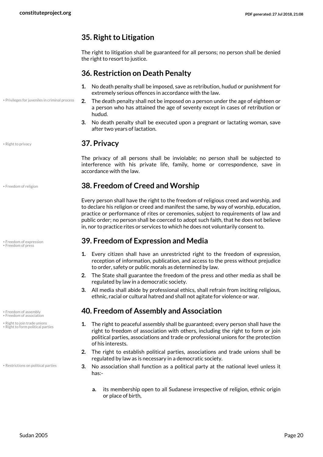# <span id="page-19-0"></span>**35. Right to Litigation**

The right to litigation shall be guaranteed for all persons; no person shall be denied the right to resort to justice.

# <span id="page-19-1"></span>**36. Restriction on Death Penalty**

- **1.** No death penalty shall be imposed, save as retribution, hudud or punishment for extremely serious offences in accordance with the law.
- **2.** The death penalty shall not be imposed on a person under the age of eighteen or a person who has attained the age of seventy except in cases of retribution or hudud.
- <span id="page-19-2"></span>**3.** No death penalty shall be executed upon a pregnant or lactating woman, save after two years of lactation.

#### • Right to privacy **37. Privacy**

The privacy of all persons shall be inviolable; no person shall be subjected to interference with his private life, family, home or correspondence, save in accordance with the law.

#### • Freedom of religion **38. Freedom of Creed and Worship**

<span id="page-19-3"></span>Every person shall have the right to the freedom of religious creed and worship, and to declare his religion or creed and manifest the same, by way of worship, education, practice or performance of rites or ceremonies, subject to requirements of law and public order; no person shall be coerced to adopt such faith, that he does not believe in, nor to practice rites or services to which he does not voluntarily consent to.

# • Freedom of expression **39. Freedom of Expression and Media**

- <span id="page-19-4"></span>**1.** Every citizen shall have an unrestricted right to the freedom of expression, reception of information, publication, and access to the press without prejudice to order, safety or public morals as determined by law.
- **2.** The State shall guarantee the freedom of the press and other media as shall be regulated by law in a democratic society.
- <span id="page-19-5"></span>**3.** All media shall abide by professional ethics, shall refrain from inciting religious, ethnic, racial or cultural hatred and shall not agitate for violence or war.

# • Freedom of assembly **40. Freedom of Assembly and Association**

- **1.** The right to peaceful assembly shall be guaranteed; every person shall have the right to freedom of association with others, including the right to form or join political parties, associations and trade or professional unions for the protection of his interests.
- **2.** The right to establish political parties, associations and trade unions shall be regulated by law as is necessary in a democratic society.
- **3.** No association shall function as a political party at the national level unless it has:
	- **a.** its membership open to all Sudanese irrespective of religion, ethnic origin or place of birth,

• Privileges for juveniles in criminal process

• Freedom of press

• Freedom of association

• Right to join trade unions • Right to form political parties

• Restrictions on political parties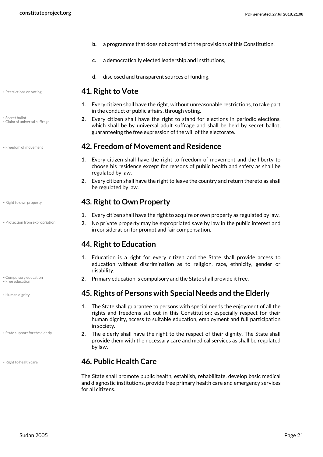- **b.** a programme that does not contradict the provisions of this Constitution,
- **c.** a democratically elected leadership and institutions,
- <span id="page-20-0"></span>**d.** disclosed and transparent sources of funding.

### • Restrictions on voting **41. Right to Vote**

- **1.** Every citizen shall have the right, without unreasonable restrictions, to take part in the conduct of public affairs, through voting.
- **2.** Every citizen shall have the right to stand for elections in periodic elections, which shall be by universal adult suffrage and shall be held by secret ballot, guaranteeing the free expression of the will of the electorate.

#### • Freedom of movement **42. Freedom of Movement and Residence**

- <span id="page-20-1"></span>**1.** Every citizen shall have the right to freedom of movement and the liberty to choose his residence except for reasons of public health and safety as shall be regulated by law.
- **2.** Every citizen shall have the right to leave the country and return thereto as shall be regulated by law.

#### • Right to own property **43. Right to Own Property**

- <span id="page-20-2"></span>**1.** Every citizen shall have the right to acquire or own property as regulated by law.
- **2.** No private property may be expropriated save by law in the public interest and in consideration for prompt and fair compensation.

# <span id="page-20-3"></span>**44. Right to Education**

- **1.** Education is a right for every citizen and the State shall provide access to education without discrimination as to religion, race, ethnicity, gender or disability.
- **2.** Primary education is compulsory and the State shall provide it free. Compulsory education

#### • Human dignity **45. Rights of Persons with Special Needs and the Elderly**

- <span id="page-20-4"></span>**1.** The State shall guarantee to persons with special needs the enjoyment of all the rights and freedoms set out in this Constitution; especially respect for their human dignity, access to suitable education, employment and full participation in society.
- **2.** The elderly shall have the right to the respect of their dignity. The State shall provide them with the necessary care and medical services as shall be regulated by law.

# • Right to health care **46. Public Health Care**

<span id="page-20-5"></span>The State shall promote public health, establish, rehabilitate, develop basic medical and diagnostic institutions, provide free primary health care and emergency services for all citizens.

• Secret ballot • Claim of universal suffrage

```
• Protection from expropriation
```
• Free education

• State support for the elderly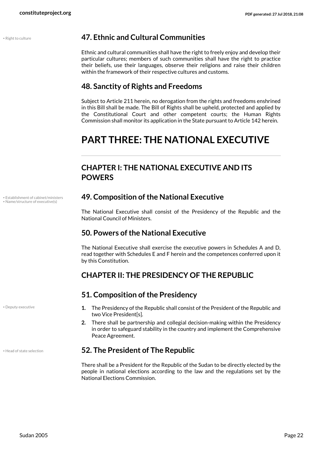# • Right to culture **47. Ethnic and Cultural Communities**

<span id="page-21-0"></span>Ethnic and cultural communities shall have the right to freely enjoy and develop their particular cultures; members of such communities shall have the right to practice their beliefs, use their languages, observe their religions and raise their children within the framework of their respective cultures and customs.

# <span id="page-21-1"></span>**48. Sanctity of Rights and Freedoms**

Subject to Article 211 herein, no derogation from the rights and freedoms enshrined in this Bill shall be made. The Bill of Rights shall be upheld, protected and applied by the Constitutional Court and other competent courts; the Human Rights Commission shall monitor its application in the State pursuant to Article 142 herein.

# <span id="page-21-2"></span>**PART THREE: THE NATIONAL EXECUTIVE**

# <span id="page-21-3"></span>**CHAPTER I: THE NATIONAL EXECUTIVE AND ITS POWERS**

• Name/structure of executive(s)

#### • Establishment of cabinet/ministers **49. Composition of the National Executive**

<span id="page-21-4"></span>The National Executive shall consist of the Presidency of the Republic and the National Council of Ministers.

#### <span id="page-21-5"></span>**50. Powers of the National Executive**

The National Executive shall exercise the executive powers in Schedules A and D, read together with Schedules E and F herein and the competences conferred upon it by this Constitution.

# <span id="page-21-6"></span>**CHAPTER II: THE PRESIDENCY OF THE REPUBLIC**

#### <span id="page-21-7"></span>**51. Composition of the Presidency**

- **1.** The Presidency of the Republic shall consist of the President of the Republic and two Vice President[s].
- **2.** There shall be partnership and collegial decision-making within the Presidency in order to safeguard stability in the country and implement the Comprehensive Peace Agreement.

#### • Head of state selection **52. The President of The Republic**

<span id="page-21-8"></span>There shall be a President for the Republic of the Sudan to be directly elected by the people in national elections according to the law and the regulations set by the National Elections Commission.

• Deputy executive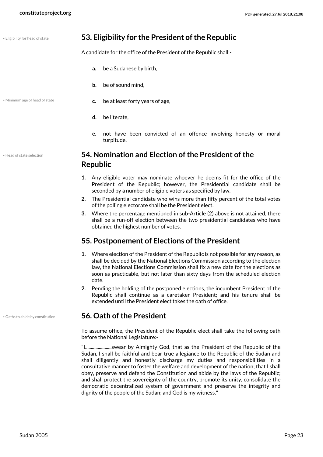#### • Eligibility for head of state **53. Eligibility for the President of the Republic**

A candidate for the office of the President of the Republic shall:-

- <span id="page-22-0"></span>**a.** be a Sudanese by birth,
- **b.** be of sound mind,
- Minimum age of head of state **be at least forty years of age,** 
	- **d.** be literate,
	- **e.** not have been convicted of an offence involving honesty or moral turpitude.

### <span id="page-22-1"></span>**54. Nomination and Election of the President of the Republic**

- **1.** Any eligible voter may nominate whoever he deems fit for the office of the President of the Republic; however, the Presidential candidate shall be seconded by a number of eligible voters as specified by law.
- **2.** The Presidential candidate who wins more than fifty percent of the total votes of the polling electorate shall be the President elect.
- **3.** Where the percentage mentioned in sub-Article (2) above is not attained, there shall be a run-off election between the two presidential candidates who have obtained the highest number of votes.

# <span id="page-22-2"></span>**55. Postponement of Elections of the President**

- **1.** Where election of the President of the Republic is not possible for any reason, as shall be decided by the National Elections Commission according to the election law, the National Elections Commission shall fix a new date for the elections as soon as practicable, but not later than sixty days from the scheduled election date.
- **2.** Pending the holding of the postponed elections, the incumbent President of the Republic shall continue as a caretaker President; and his tenure shall be extended until the President elect takes the oath of office.

#### • Oaths to abide by constitution **56. Oath of the President**

<span id="page-22-3"></span>To assume office, the President of the Republic elect shall take the following oath before the National Legislature:-

"I.......................swear by Almighty God, that as the President of the Republic of the Sudan, I shall be faithful and bear true allegiance to the Republic of the Sudan and shall diligently and honestly discharge my duties and responsibilities in a consultative manner to foster the welfare and development of the nation; that I shall obey, preserve and defend the Constitution and abide by the laws of the Republic; and shall protect the sovereignty of the country, promote its unity, consolidate the democratic decentralized system of government and preserve the integrity and dignity of the people of the Sudan; and God is my witness."

• Head of state selection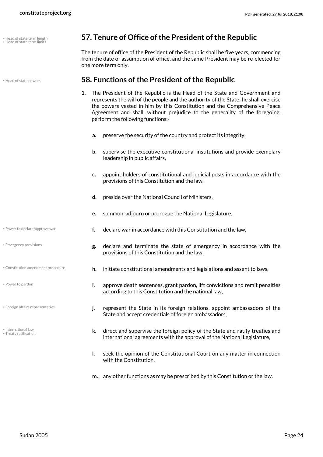<span id="page-23-1"></span><span id="page-23-0"></span>

| PDF generated: 27 Jul 2018, 21:08 |  |  |  |  |  |
|-----------------------------------|--|--|--|--|--|
|-----------------------------------|--|--|--|--|--|

| • Head of state term length<br>• Head of state term limits | 57. Tenure of Office of the President of the Republic                                                                                                                                                                                                                                                                                                                  |
|------------------------------------------------------------|------------------------------------------------------------------------------------------------------------------------------------------------------------------------------------------------------------------------------------------------------------------------------------------------------------------------------------------------------------------------|
|                                                            | The tenure of office of the President of the Republic shall be five years, commencing<br>from the date of assumption of office, and the same President may be re-elected for<br>one more term only.                                                                                                                                                                    |
| • Head of state powers                                     | 58. Functions of the President of the Republic                                                                                                                                                                                                                                                                                                                         |
|                                                            | 1.<br>The President of the Republic is the Head of the State and Government and<br>represents the will of the people and the authority of the State; he shall exercise<br>the powers vested in him by this Constitution and the Comprehensive Peace<br>Agreement and shall, without prejudice to the generality of the foregoing,<br>perform the following functions:- |
|                                                            | preserve the security of the country and protect its integrity,<br>a.                                                                                                                                                                                                                                                                                                  |
|                                                            | supervise the executive constitutional institutions and provide exemplary<br>b.<br>leadership in public affairs,                                                                                                                                                                                                                                                       |
|                                                            | appoint holders of constitutional and judicial posts in accordance with the<br>c.<br>provisions of this Constitution and the law,                                                                                                                                                                                                                                      |
|                                                            | preside over the National Council of Ministers,<br>d.                                                                                                                                                                                                                                                                                                                  |
|                                                            | summon, adjourn or prorogue the National Legislature,<br>e.                                                                                                                                                                                                                                                                                                            |
| . Power to declare/approve war                             | declare war in accordance with this Constitution and the law,<br>f.                                                                                                                                                                                                                                                                                                    |
| • Emergency provisions                                     | declare and terminate the state of emergency in accordance with the<br>g.<br>provisions of this Constitution and the law,                                                                                                                                                                                                                                              |
| • Constitution amendment procedure                         | initiate constitutional amendments and legislations and assent to laws,<br>h.                                                                                                                                                                                                                                                                                          |
| · Power to pardon                                          | approve death sentences, grant pardon, lift convictions and remit penalties<br>i.<br>according to this Constitution and the national law,                                                                                                                                                                                                                              |
| • Foreign affairs representative                           | represent the State in its foreign relations, appoint ambassadors of the<br>j.<br>State and accept credentials of foreign ambassadors,                                                                                                                                                                                                                                 |
| • International law<br>• Treaty ratification               | direct and supervise the foreign policy of the State and ratify treaties and<br>k.<br>international agreements with the approval of the National Legislature,                                                                                                                                                                                                          |
|                                                            | seek the opinion of the Constitutional Court on any matter in connection<br>I.<br>with the Constitution,                                                                                                                                                                                                                                                               |

**m.** any other functions as may be prescribed by this Constitution or the law.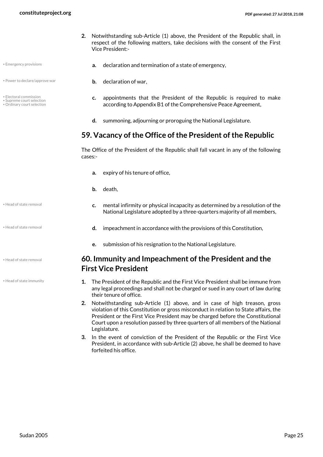- **2.** Notwithstanding sub-Article (1) above, the President of the Republic shall, in respect of the following matters, take decisions with the consent of the First Vice President:-
- **EXALGE A** Emergency provisions **a.** declaration and termination of a state of emergency,
- Power to declare/approve war **b.** declaration of war,
- Electoral commission
- Supreme court selection • Ordinary court selection
- **c.** appointments that the President of the Republic is required to make according to Appendix B1 of the Comprehensive Peace Agreement,
- <span id="page-24-0"></span>**d.** summoning, adjourning or proroguing the National Legislature.

#### **59. Vacancy of the Office of the President of the Republic**

The Office of the President of the Republic shall fall vacant in any of the following cases:-

- **a.** expiry of his tenure of office,
- **b.** death,

- Head of state removal
- 
- Head of state removal
- Head of state immunity
- 
- **c.** mental infirmity or physical incapacity as determined by a resolution of the National Legislature adopted by a three-quarters majority of all members,
- **d.** impeachment in accordance with the provisions of this Constitution, Head of state removal
	- **e.** submission of his resignation to the National Legislature.

#### <span id="page-24-1"></span>**60. Immunity and Impeachment of the President and the First Vice President**

- **1.** The President of the Republic and the First Vice President shall be immune from any legal proceedings and shall not be charged or sued in any court of law during their tenure of office.
- **2.** Notwithstanding sub-Article (1) above, and in case of high treason, gross violation of this Constitution or gross misconduct in relation to State affairs, the President or the First Vice President may be charged before the Constitutional Court upon a resolution passed by three quarters of all members of the National Legislature.
- **3.** In the event of conviction of the President of the Republic or the First Vice President, in accordance with sub-Article (2) above, he shall be deemed to have forfeited his office.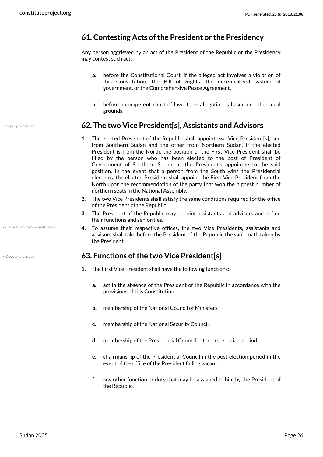# **61. Contesting Acts of the President or the Presidency**

Any person aggrieved by an act of the President of the Republic or the Presidency may contest such act:-

- <span id="page-25-0"></span>**a.** before the Constitutional Court, if the alleged act involves a violation of this Constitution, the Bill of Rights, the decentralized system of government, or the Comprehensive Peace Agreement,
- <span id="page-25-1"></span>**b.** before a competent court of law, if the allegation is based on other legal grounds.

#### • Deputy executive **62. The two Vice President[s], Assistants and Advisors**

- **1.** The elected President of the Republic shall appoint two Vice President[s], one from Southern Sudan and the other from Northern Sudan. If the elected President is from the North, the position of the First Vice President shall be filled by the person who has been elected to the post of President of Government of Southern Sudan, as the President's appointee to the said position. In the event that a person from the South wins the Presidential elections, the elected President shall appoint the First Vice President from the North upon the recommendation of the party that won the highest number of northern seats in the National Assembly.
- **2.** The two Vice Presidents shall satisfy the same conditions required for the office of the President of the Republic.
- **3.** The President of the Republic may appoint assistants and advisors and define their functions and seniorities.
- **4.** To assume their respective offices, the two Vice Presidents, assistants and advisors shall take before the President of the Republic the same oath taken by the President.

# • Deputy executive **63. Functions of the two Vice President[s]**

- <span id="page-25-2"></span>**1.** The First Vice President shall have the following functions:
	- **a.** act in the absence of the President of the Republic in accordance with the provisions of this Constitution,
	- **b.** membership of the National Council of Ministers,
	- **c.** membership of the National Security Council,
	- **d.** membership of the Presidential Council in the pre-election period,
	- **e.** chairmanship of the Presidential Council in the post election period in the event of the office of the President falling vacant,
	- **f.** any other function or duty that may be assigned to him by the President of the Republic.

• Oaths to abide by constitution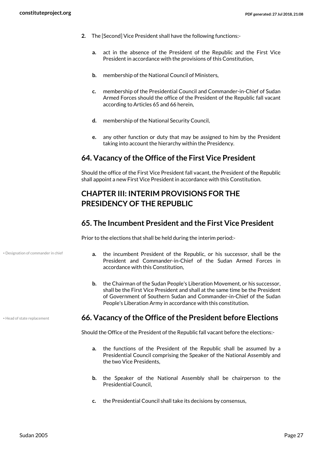- **2.** The [Second] Vice President shall have the following functions:
	- **a.** act in the absence of the President of the Republic and the First Vice President in accordance with the provisions of this Constitution,
	- **b.** membership of the National Council of Ministers,
	- **c.** membership of the Presidential Council and Commander-in-Chief of Sudan Armed Forces should the office of the President of the Republic fall vacant according to Articles 65 and 66 herein,
	- **d.** membership of the National Security Council,
	- **e.** any other function or duty that may be assigned to him by the President taking into account the hierarchy within the Presidency.

#### <span id="page-26-0"></span>**64. Vacancy of the Office of the First Vice President**

Should the office of the First Vice President fall vacant, the President of the Republic shall appoint a new First Vice President in accordance with this Constitution.

# <span id="page-26-1"></span>**CHAPTER III: INTERIM PROVISIONS FOR THE PRESIDENCY OF THE REPUBLIC**

#### **65. The Incumbent President and the First Vice President**

Prior to the elections that shall be held during the interim period:-

- Designation of commander in chief
- <span id="page-26-2"></span>**a.** the incumbent President of the Republic, or his successor, shall be the President and Commander-in-Chief of the Sudan Armed Forces in accordance with this Constitution,
- <span id="page-26-3"></span>**b.** the Chairman of the Sudan People's Liberation Movement, or his successor, shall be the First Vice President and shall at the same time be the President of Government of Southern Sudan and Commander-in-Chief of the Sudan People's Liberation Army in accordance with this constitution.

#### • Head of state replacement **66. Vacancy of the Office of the President before Elections**

Should the Office of the President of the Republic fall vacant before the elections:-

- **a.** the functions of the President of the Republic shall be assumed by a Presidential Council comprising the Speaker of the National Assembly and the two Vice Presidents,
- **b.** the Speaker of the National Assembly shall be chairperson to the Presidential Council,
- **c.** the Presidential Council shall take its decisions by consensus,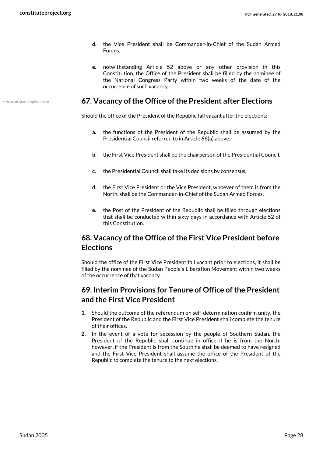- **d.** the Vice President shall be Commander-in-Chief of the Sudan Armed Forces,
- <span id="page-27-0"></span>**e.** notwithstanding Article 52 above or any other provision in this Constitution, the Office of the President shall be filled by the nominee of the National Congress Party within two weeks of the date of the occurrence of such vacancy.

#### • Head of state replacement **67. Vacancy of the Office of the President after Elections**

Should the office of the President of the Republic fall vacant after the elections:-

- **a.** the functions of the President of the Republic shall be assumed by the Presidential Council referred to in Article 66(a) above,
- **b.** the First Vice President shall be the chairperson of the Presidential Council,
- **c.** the Presidential Council shall take its decisions by consensus,
- **d.** the First Vice President or the Vice President, whoever of them is from the North, shall be the Commander-in-Chief of the Sudan Armed Forces,
- **e.** the Post of the President of the Republic shall be filled through elections that shall be conducted within sixty days in accordance with Article 52 of this Constitution.

# <span id="page-27-1"></span>**68. Vacancy of the Office of the First Vice President before Elections**

Should the office of the First Vice President fall vacant prior to elections, it shall be filled by the nominee of the Sudan People's Liberation Movement within two weeks of the occurrence of that vacancy.

# <span id="page-27-2"></span>**69. Interim Provisions for Tenure of Office of the President and the First Vice President**

- **1.** Should the outcome of the referendum on self-determination confirm unity, the President of the Republic and the First Vice President shall complete the tenure of their offices.
- **2.** In the event of a vote for secession by the people of Southern Sudan, the President of the Republic shall continue in office if he is from the North; however, if the President is from the South he shall be deemed to have resigned and the First Vice President shall assume the office of the President of the Republic to complete the tenure to the next elections.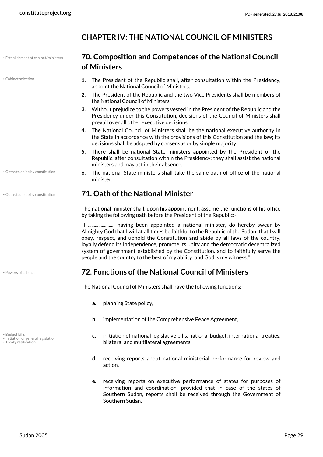# **CHAPTER IV: THE NATIONAL COUNCIL OF MINISTERS**

• Establishment of cabinet/ministers

• Cabinet selection

# <span id="page-28-1"></span><span id="page-28-0"></span>**70. Composition and Competences of the National Council of Ministers**

- **1.** The President of the Republic shall, after consultation within the Presidency, appoint the National Council of Ministers.
- **2.** The President of the Republic and the two Vice Presidents shall be members of the National Council of Ministers.
- **3.** Without prejudice to the powers vested in the President of the Republic and the Presidency under this Constitution, decisions of the Council of Ministers shall prevail over all other executive decisions.
- **4.** The National Council of Ministers shall be the national executive authority in the State in accordance with the provisions of this Constitution and the law; its decisions shall be adopted by consensus or by simple majority.
- **5.** There shall be national State ministers appointed by the President of the Republic, after consultation within the Presidency; they shall assist the national ministers and may act in their absence.
- <span id="page-28-2"></span>**6.** The national State ministers shall take the same oath of office of the national minister.

# • Oaths to abide by constitution **71. Oath of the National Minister**

The national minister shall, upon his appointment, assume the functions of his office by taking the following oath before the President of the Republic:-

"I ....................... having been appointed a national minister, do hereby swear by Almighty God that I will at all times be faithful to the Republic of the Sudan; that I will obey, respect, and uphold the Constitution and abide by all laws of the country, loyally defend its independence, promote its unity and the democratic decentralized system of government established by the Constitution, and to faithfully serve the people and the country to the best of my ability; and God is my witness."

# • Powers of cabinet **72. Functions of the National Council of Ministers**

The National Council of Ministers shall have the following functions:-

- <span id="page-28-3"></span>**a.** planning State policy,
- **b.** implementation of the Comprehensive Peace Agreement,
- **c.** initiation of national legislative bills, national budget, international treaties, bilateral and multilateral agreements,
- **d.** receiving reports about national ministerial performance for review and action,
- **e.** receiving reports on executive performance of states for purposes of information and coordination, provided that in case of the states of Southern Sudan, reports shall be received through the Government of Southern Sudan,

• Oaths to abide by constitution

• Budget bills • Initiation of general legislation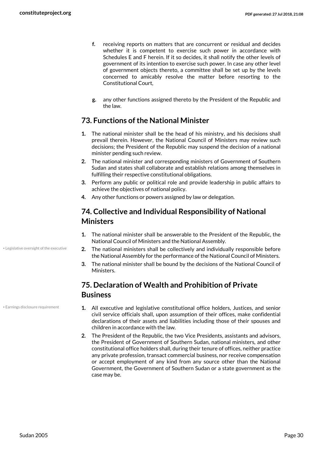- **f.** receiving reports on matters that are concurrent or residual and decides whether it is competent to exercise such power in accordance with Schedules E and F herein. If it so decides, it shall notify the other levels of government of its intention to exercise such power. In case any other level of government objects thereto, a committee shall be set up by the levels concerned to amicably resolve the matter before resorting to the Constitutional Court,
- <span id="page-29-0"></span>**g.** any other functions assigned thereto by the President of the Republic and the law.

# **73. Functions of the National Minister**

- **1.** The national minister shall be the head of his ministry, and his decisions shall prevail therein. However, the National Council of Ministers may review such decisions; the President of the Republic may suspend the decision of a national minister pending such review.
- **2.** The national minister and corresponding ministers of Government of Southern Sudan and states shall collaborate and establish relations among themselves in fulfilling their respective constitutional obligations.
- **3.** Perform any public or political role and provide leadership in public affairs to achieve the objectives of national policy.
- **4.** Any other functions or powers assigned by law or delegation.

# <span id="page-29-1"></span>**74. Collective and Individual Responsibility of National Ministers**

- **1.** The national minister shall be answerable to the President of the Republic, the National Council of Ministers and the National Assembly.
- **2.** The national ministers shall be collectively and individually responsible before the National Assembly for the performance of the National Council of Ministers.
- **3.** The national minister shall be bound by the decisions of the National Council of Ministers.

# <span id="page-29-2"></span>**75. Declaration of Wealth and Prohibition of Private Business**

- **1.** All executive and legislative constitutional office holders, Justices, and senior civil service officials shall, upon assumption of their offices, make confidential declarations of their assets and liabilities including those of their spouses and children in accordance with the law.
- **2.** The President of the Republic, the two Vice Presidents, assistants and advisors, the President of Government of Southern Sudan, national ministers, and other constitutional office holders shall, during their tenure of offices, neither practice any private profession, transact commercial business, nor receive compensation or accept employment of any kind from any source other than the National Government, the Government of Southern Sudan or a state government as the case may be.

• Legislative oversight of the executive

• Earnings disclosure requirement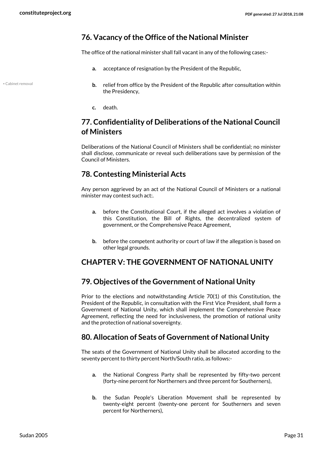# **76. Vacancy of the Office of the National Minister**

The office of the national minister shall fall vacant in any of the following cases:-

<span id="page-30-0"></span>**a.** acceptance of resignation by the President of the Republic,

• Cabinet removal

- **b.** relief from office by the President of the Republic after consultation within the Presidency,
- <span id="page-30-1"></span>**c.** death.

# **77. Confidentiality of Deliberations of the National Council of Ministers**

Deliberations of the National Council of Ministers shall be confidential; no minister shall disclose, communicate or reveal such deliberations save by permission of the Council of Ministers.

# **78. Contesting Ministerial Acts**

Any person aggrieved by an act of the National Council of Ministers or a national minister may contest such act:.

- <span id="page-30-2"></span>**a.** before the Constitutional Court, if the alleged act involves a violation of this Constitution, the Bill of Rights, the decentralized system of government, or the Comprehensive Peace Agreement,
- <span id="page-30-4"></span><span id="page-30-3"></span>**b.** before the competent authority or court of law if the allegation is based on other legal grounds.

# **CHAPTER V: THE GOVERNMENT OF NATIONAL UNITY**

#### **79. Objectives of the Government of National Unity**

Prior to the elections and notwithstanding Article 70(1) of this Constitution, the President of the Republic, in consultation with the First Vice President, shall form a Government of National Unity, which shall implement the Comprehensive Peace Agreement, reflecting the need for inclusiveness, the promotion of national unity and the protection of national sovereignty.

# **80. Allocation of Seats of Government of National Unity**

The seats of the Government of National Unity shall be allocated according to the seventy percent to thirty percent North/South ratio, as follows:-

- <span id="page-30-5"></span>**a.** the National Congress Party shall be represented by fifty-two percent (forty-nine percent for Northerners and three percent for Southerners),
- **b.** the Sudan People's Liberation Movement shall be represented by twenty-eight percent (twenty-one percent for Southerners and seven percent for Northerners),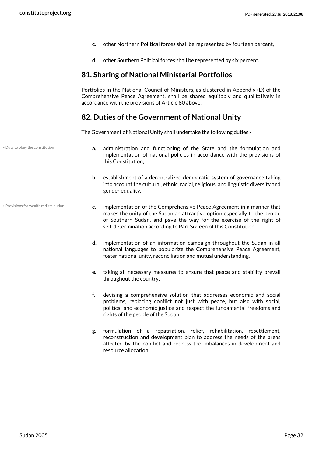- **c.** other Northern Political forces shall be represented by fourteen percent,
- <span id="page-31-0"></span>**d.** other Southern Political forces shall be represented by six percent.

#### **81. Sharing of National Ministerial Portfolios**

Portfolios in the National Council of Ministers, as clustered in Appendix (D) of the Comprehensive Peace Agreement, shall be shared equitably and qualitatively in accordance with the provisions of Article 80 above.

# **82. Duties of the Government of National Unity**

The Government of National Unity shall undertake the following duties:-

• Duty to obey the constitution

- <span id="page-31-1"></span>**a.** administration and functioning of the State and the formulation and implementation of national policies in accordance with the provisions of this Constitution,
- **b.** establishment of a decentralized democratic system of governance taking into account the cultural, ethnic, racial, religious, and linguistic diversity and gender equality,
- **c.** implementation of the Comprehensive Peace Agreement in a manner that makes the unity of the Sudan an attractive option especially to the people of Southern Sudan, and pave the way for the exercise of the right of self-determination according to Part Sixteen of this Constitution,
	- **d.** implementation of an information campaign throughout the Sudan in all national languages to popularize the Comprehensive Peace Agreement, foster national unity, reconciliation and mutual understanding,
	- **e.** taking all necessary measures to ensure that peace and stability prevail throughout the country,
	- **f.** devising a comprehensive solution that addresses economic and social problems, replacing conflict not just with peace, but also with social, political and economic justice and respect the fundamental freedoms and rights of the people of the Sudan,
	- **g.** formulation of a repatriation, relief, rehabilitation, resettlement, reconstruction and development plan to address the needs of the areas affected by the conflict and redress the imbalances in development and resource allocation.

• Provisions for wealth redistribution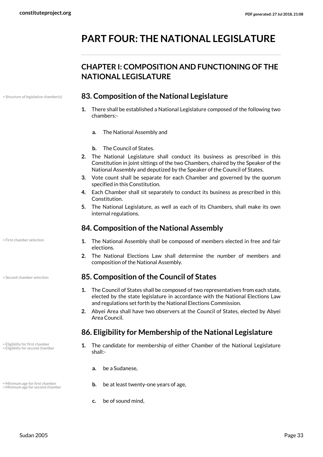# <span id="page-32-0"></span>**PART FOUR: THE NATIONAL LEGISLATURE**

# <span id="page-32-1"></span>**CHAPTER I: COMPOSITION AND FUNCTIONING OF THE NATIONAL LEGISLATURE**

#### • Structure of legislative chamber(s) **83. Composition of the National Legislature**

- <span id="page-32-2"></span>**1.** There shall be established a National Legislature composed of the following two chambers:
	- **a.** The National Assembly and
	- **b.** The Council of States.
- **2.** The National Legislature shall conduct its business as prescribed in this Constitution in joint sittings of the two Chambers, chaired by the Speaker of the National Assembly and deputized by the Speaker of the Council of States.
- **3.** Vote count shall be separate for each Chamber and governed by the quorum specified in this Constitution.
- **4.** Each Chamber shall sit separately to conduct its business as prescribed in this Constitution.
- **5.** The National Legislature, as well as each of its Chambers, shall make its own internal regulations.

# <span id="page-32-3"></span>**84. Composition of the National Assembly**

- **1.** The National Assembly shall be composed of members elected in free and fair elections.
- <span id="page-32-4"></span>**2.** The National Elections Law shall determine the number of members and composition of the National Assembly.

#### • Second chamber selection **85. Composition of the Council of States**

- **1.** The Council of States shall be composed of two representatives from each state, elected by the state legislature in accordance with the National Elections Law and regulations set forth by the National Elections Commission.
- **2.** Abyei Area shall have two observers at the Council of States, elected by Abyei Area Council.

# <span id="page-32-5"></span>**86. Eligibility for Membership of the National Legislature**

- **1.** The candidate for membership of either Chamber of the National Legislature shall:
	- **a.** be a Sudanese,
- Minimum age for first chamber<br>• Minimum age for graced chamber<br>• **b. be at least twenty-one years of age,** 
	- **c.** be of sound mind,

• First chamber selection

• Eligibility for first chamber • Eligibility for second chamber

• Minimum age for second chamber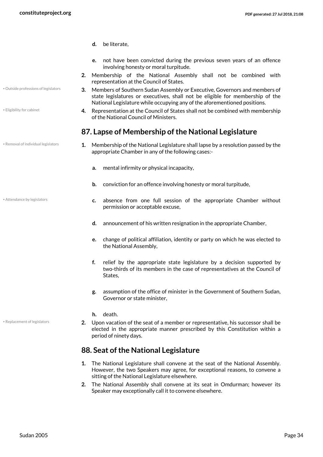- **d.** be literate,
- **e.** not have been convicted during the previous seven years of an offence involving honesty or moral turpitude.
- **2.** Membership of the National Assembly shall not be combined with representation at the Council of States.
- **3.** Members of Southern Sudan Assembly or Executive, Governors and members of state legislatures or executives, shall not be eligible for membership of the National Legislature while occupying any of the aforementioned positions.
- **4.** Representation at the Council of States shall not be combined with membership of the National Council of Ministers.

#### <span id="page-33-0"></span>**87. Lapse of Membership of the National Legislature**

- **1.** Membership of the National Legislature shall lapse by a resolution passed by the appropriate Chamber in any of the following cases:
	- **a.** mental infirmity or physical incapacity,
	- **b.** conviction for an offence involving honesty or moral turpitude,
	- **c.** absence from one full session of the appropriate Chamber without permission or acceptable excuse,
	- **d.** announcement of his written resignation in the appropriate Chamber,
	- **e.** change of political affiliation, identity or party on which he was elected to the National Assembly,
	- **f.** relief by the appropriate state legislature by a decision supported by two-thirds of its members in the case of representatives at the Council of States,
	- **g.** assumption of the office of minister in the Government of Southern Sudan, Governor or state minister,

<span id="page-33-1"></span>**h.** death.

**2.** Upon vacation of the seat of a member or representative, his successor shall be elected in the appropriate manner prescribed by this Constitution within a period of ninety days.

#### **88. Seat of the National Legislature**

- **1.** The National Legislature shall convene at the seat of the National Assembly. However, the two Speakers may agree, for exceptional reasons, to convene a sitting of the National Legislature elsewhere.
- **2.** The National Assembly shall convene at its seat in Omdurman; however its Speaker may exceptionally call it to convene elsewhere.

• Outside professions of legislators

• Eligibility for cabinet

• Removal of individual legislators

• Attendance by legislators

• Replacement of legislators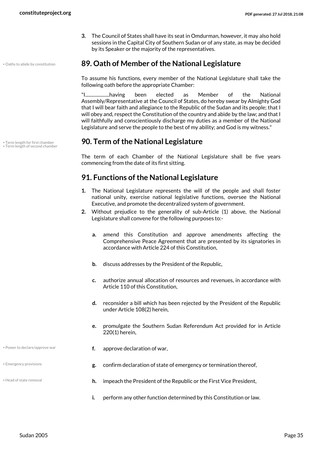**3.** The Council of States shall have its seat in Omdurman, however, it may also hold sessions in the Capital City of Southern Sudan or of any state, as may be decided by its Speaker or the majority of the representatives.

#### • Oaths to abide by constitution **89. Oath of Member of the National Legislature**

<span id="page-34-0"></span>To assume his functions, every member of the National Legislature shall take the following oath before the appropriate Chamber:

"I.....................having been elected as Member of the National Assembly/Representative at the Council of States, do hereby swear by Almighty God that I will bear faith and allegiance to the Republic of the Sudan and its people; that I will obey and, respect the Constitution of the country and abide by the law; and that I will faithfully and conscientiously discharge my duties as a member of the National Legislature and serve the people to the best of my ability; and God is my witness."

#### • Term length for first chamber **90. Term of the National Legislature**

<span id="page-34-1"></span>The term of each Chamber of the National Legislature shall be five years commencing from the date of its first sitting.

#### <span id="page-34-2"></span>**91. Functions of the National Legislature**

- **1.** The National Legislature represents the will of the people and shall foster national unity, exercise national legislative functions, oversee the National Executive, and promote the decentralized system of government.
- **2.** Without prejudice to the generality of sub-Article (1) above, the National Legislature shall convene for the following purposes to:
	- **a.** amend this Constitution and approve amendments affecting the Comprehensive Peace Agreement that are presented by its signatories in accordance with Article 224 of this Constitution,
	- **b.** discuss addresses by the President of the Republic,
	- **c.** authorize annual allocation of resources and revenues, in accordance with Article 110 of this Constitution,
	- **d.** reconsider a bill which has been rejected by the President of the Republic under Article 108(2) herein,
	- **e.** promulgate the Southern Sudan Referendum Act provided for in Article 220(1) herein,
- Power to declare/approve war **f.** approve declaration of war,
- **Example 2 confirm declaration of state of emergency or termination thereof,** *i* Emergency provisions
- **h.** impeach the President of the Republic or the First Vice President,
	- **i.** perform any other function determined by this Constitution or law.

• Term length of second chamber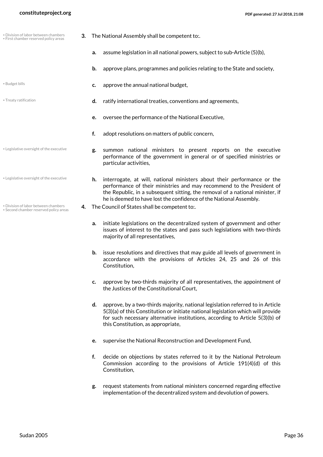#### **constituteproject.org PDF generated: 27 Jul 2018, 21:08**

- First chamber reserved policy areas
- 
- 
- Division of labor between chambers **3.** The National Assembly shall be competent to:.
	- **a.** assume legislation in all national powers, subject to sub-Article (5)(b),
	- **b.** approve plans, programmes and policies relating to the State and society,
- Budget bills **c.** approve the annual national budget,
- **Treaty ratification d.** ratify international treaties, conventions and agreements,
	- **e.** oversee the performance of the National Executive,
	- **f.** adopt resolutions on matters of public concern,
	- **g.** summon national ministers to present reports on the executive performance of the government in general or of specified ministries or particular activities,
	- **h.** interrogate, at will, national ministers about their performance or the performance of their ministries and may recommend to the President of the Republic, in a subsequent sitting, the removal of a national minister, if he is deemed to have lost the confidence of the National Assembly.
- Division of labor between chambers **4.** The Council of States shall be competent to:.
	- **a.** initiate legislations on the decentralized system of government and other issues of interest to the states and pass such legislations with two-thirds majority of all representatives,
	- **b.** issue resolutions and directives that may guide all levels of government in accordance with the provisions of Articles 24, 25 and 26 of this Constitution,
	- **c.** approve by two-thirds majority of all representatives, the appointment of the Justices of the Constitutional Court,
	- **d.** approve, by a two-thirds majority, national legislation referred to in Article 5(3)(a) of this Constitution or initiate national legislation which will provide for such necessary alternative institutions, according to Article 5(3)(b) of this Constitution, as appropriate,
	- **e.** supervise the National Reconstruction and Development Fund,
	- **f.** decide on objections by states referred to it by the National Petroleum Commission according to the provisions of Article 191(4)(d) of this Constitution,
	- **g.** request statements from national ministers concerned regarding effective implementation of the decentralized system and devolution of powers.

• Legislative oversight of the executive

• Legislative oversight of the executive

• Second chamber reserved policy areas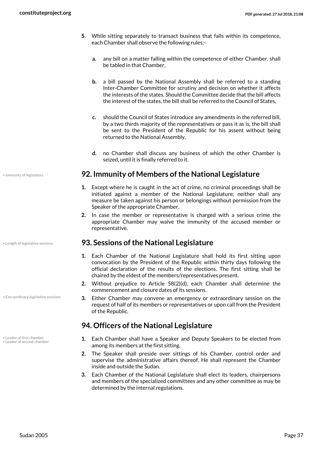- **5.** While sitting separately to transact business that falls within its competence, each Chamber shall observe the following rules:
	- **a.** any bill on a matter falling within the competence of either Chamber, shall be tabled in that Chamber,
	- **b.** a bill passed by the National Assembly shall be referred to a standing Inter-Chamber Committee for scrutiny and decision on whether it affects the interests of the states. Should the Committee decide that the bill affects the interest of the states, the bill shall be referred to the Council of States,
	- **c.** should the Council of States introduce any amendments in the referred bill, by a two thirds majority of the representatives or pass it as is, the bill shall be sent to the President of the Republic for his assent without being returned to the National Assembly,
	- **d.** no Chamber shall discuss any business of which the other Chamber is seized, until it is finally referred to it.

### • Immunity of legislators **92. Immunity of Members of the National Legislature**

- **1.** Except where he is caught in the act of crime, no criminal proceedings shall be initiated against a member of the National Legislature; neither shall any measure be taken against his person or belongings without permission from the Speaker of the appropriate Chamber.
- **2.** In case the member or representative is charged with a serious crime the appropriate Chamber may waive the immunity of the accused member or representative.

#### • Length of legislative sessions **93. Sessions of the National Legislature**

- **1.** Each Chamber of the National Legislature shall hold its first sitting upon convocation by the President of the Republic within thirty days following the official declaration of the results of the elections. The first sitting shall be chaired by the eldest of the members/representatives present.
- **2.** Without prejudice to Article 58(2)(d), each Chamber shall determine the commencement and closure dates of its sessions.
- **3.** Either Chamber may convene an emergency or extraordinary session on the request of half of its members or representatives or upon call from the President of the Republic.

#### **94. Officers of the National Legislature**

- **1.** Each Chamber shall have a Speaker and Deputy Speakers to be elected from among its members at the first sitting.
- **2.** The Speaker shall preside over sittings of his Chamber, control order and supervise the administrative affairs thereof. He shall represent the Chamber inside and outside the Sudan.
- **3.** Each Chamber of the National Legislature shall elect its leaders, chairpersons and members of the specialized committees and any other committee as may be determined by the internal regulations.

• Extraordinary legislative sessions

• Leader of first chamber • Leader of second chamber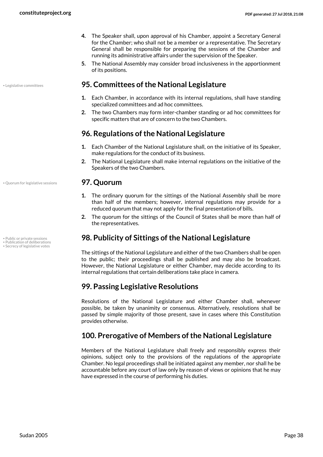- **4.** The Speaker shall, upon approval of his Chamber, appoint a Secretary General for the Chamber; who shall not be a member or a representative. The Secretary General shall be responsible for preparing the sessions of the Chamber and running its administrative affairs under the supervision of the Speaker.
- **5.** The National Assembly may consider broad inclusiveness in the apportionment of its positions.

#### • Legislative committees **95. Committees of the National Legislature**

- **1.** Each Chamber, in accordance with its internal regulations, shall have standing specialized committees and ad hoc committees.
- **2.** The two Chambers may form inter-chamber standing or ad hoc committees for specific matters that are of concern to the two Chambers.

#### **96. Regulations of the National Legislature**

- **1.** Each Chamber of the National Legislature shall, on the initiative of its Speaker, make regulations for the conduct of its business.
- **2.** The National Legislature shall make internal regulations on the initiative of the Speakers of the two Chambers.

#### • Quorum for legislative sessions **97. Quorum**

- **1.** The ordinary quorum for the sittings of the National Assembly shall be more than half of the members; however, internal regulations may provide for a reduced quorum that may not apply for the final presentation of bills.
- **2.** The quorum for the sittings of the Council of States shall be more than half of the representatives.

#### **98. Publicity of Sittings of the National Legislature**

The sittings of the National Legislature and either of the two Chambers shall be open to the public; their proceedings shall be published and may also be broadcast. However, the National Legislature or either Chamber, may decide according to its internal regulations that certain deliberations take place in camera.

# **99. Passing Legislative Resolutions**

Resolutions of the National Legislature and either Chamber shall, whenever possible, be taken by unanimity or consensus. Alternatively, resolutions shall be passed by simple majority of those present, save in cases where this Constitution provides otherwise.

# **100. Prerogative of Members of the National Legislature**

Members of the National Legislature shall freely and responsibly express their opinions, subject only to the provisions of the regulations of the appropriate Chamber. No legal proceedings shall be initiated against any member, nor shall he be accountable before any court of law only by reason of views or opinions that he may have expressed in the course of performing his duties.

• Public or private sessions<br>• Publication of deliberations

• Secrecy of legislative votes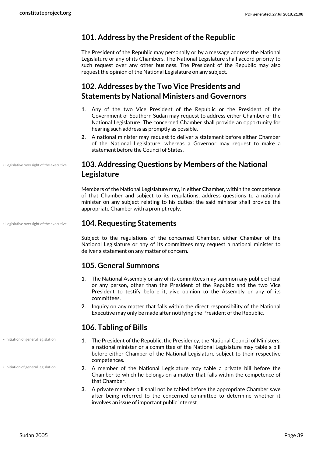# **101. Address by the President of the Republic**

The President of the Republic may personally or by a message address the National Legislature or any of its Chambers. The National Legislature shall accord priority to such request over any other business. The President of the Republic may also request the opinion of the National Legislature on any subject.

# **102. Addresses by the Two Vice Presidents and Statements by National Ministers and Governors**

- **1.** Any of the two Vice President of the Republic or the President of the Government of Southern Sudan may request to address either Chamber of the National Legislature. The concerned Chamber shall provide an opportunity for hearing such address as promptly as possible.
- **2.** A national minister may request to deliver a statement before either Chamber of the National Legislature, whereas a Governor may request to make a statement before the Council of States.

# **103. Addressing Questions by Members of the National Legislature**

Members of the National Legislature may, in either Chamber, within the competence of that Chamber and subject to its regulations, address questions to a national minister on any subject relating to his duties; the said minister shall provide the appropriate Chamber with a prompt reply.

#### • Legislative oversight of the executive **104. Requesting Statements**

Subject to the regulations of the concerned Chamber, either Chamber of the National Legislature or any of its committees may request a national minister to deliver a statement on any matter of concern.

# **105. General Summons**

- **1.** The National Assembly or any of its committees may summon any public official or any person, other than the President of the Republic and the two Vice President to testify before it, give opinion to the Assembly or any of its committees.
- **2.** Inquiry on any matter that falls within the direct responsibility of the National Executive may only be made after notifying the President of the Republic.

# **106. Tabling of Bills**

- **1.** The President of the Republic, the Presidency, the National Council of Ministers, a national minister or a committee of the National Legislature may table a bill before either Chamber of the National Legislature subject to their respective competences.
- **2.** A member of the National Legislature may table a private bill before the Chamber to which he belongs on a matter that falls within the competence of that Chamber.
- **3.** A private member bill shall not be tabled before the appropriate Chamber save after being referred to the concerned committee to determine whether it involves an issue of important public interest.

• Legislative oversight of the executive

• Initiation of general legislation

• Initiation of general legislation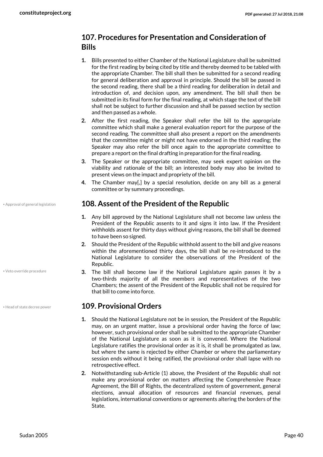## **107. Procedures for Presentation and Consideration of Bills**

- **1.** Bills presented to either Chamber of the National Legislature shall be submitted for the first reading by being cited by title and thereby deemed to be tabled with the appropriate Chamber. The bill shall then be submitted for a second reading for general deliberation and approval in principle. Should the bill be passed in the second reading, there shall be a third reading for deliberation in detail and introduction of, and decision upon, any amendment. The bill shall then be submitted in its final form for the final reading, at which stage the text of the bill shall not be subject to further discussion and shall be passed section by section and then passed as a whole.
- **2.** After the first reading, the Speaker shall refer the bill to the appropriate committee which shall make a general evaluation report for the purpose of the second reading. The committee shall also present a report on the amendments that the committee might or might not have endorsed in the third reading; the Speaker may also refer the bill once again to the appropriate committee to prepare a report on the final drafting in preparation for the final reading.
- **3.** The Speaker or the appropriate committee, may seek expert opinion on the viability and rationale of the bill; an interested body may also be invited to present views on the impact and propriety of the bill.
- **4.** The Chamber may[,] by a special resolution, decide on any bill as a general committee or by summary proceedings.

### • Approval of general legislation **108. Assent of the President of the Republic**

- **1.** Any bill approved by the National Legislature shall not become law unless the President of the Republic assents to it and signs it into law. If the President withholds assent for thirty days without giving reasons, the bill shall be deemed to have been so signed.
- **2.** Should the President of the Republic withhold assent to the bill and give reasons within the aforementioned thirty days, the bill shall be re-introduced to the National Legislature to consider the observations of the President of the Republic.
- **3.** The bill shall become law if the National Legislature again passes it by a two-thirds majority of all the members and representatives of the two Chambers; the assent of the President of the Republic shall not be required for that bill to come into force.

#### • Head of state decree power **109. Provisional Orders**

- **1.** Should the National Legislature not be in session, the President of the Republic may, on an urgent matter, issue a provisional order having the force of law; however, such provisional order shall be submitted to the appropriate Chamber of the National Legislature as soon as it is convened. Where the National Legislature ratifies the provisional order as it is, it shall be promulgated as law, but where the same is rejected by either Chamber or where the parliamentary session ends without it being ratified, the provisional order shall lapse with no retrospective effect.
- **2.** Notwithstanding sub-Article (1) above, the President of the Republic shall not make any provisional order on matters affecting the Comprehensive Peace Agreement, the Bill of Rights, the decentralized system of government, general elections, annual allocation of resources and financial revenues, penal legislations, international conventions or agreements altering the borders of the State.

• Veto override procedure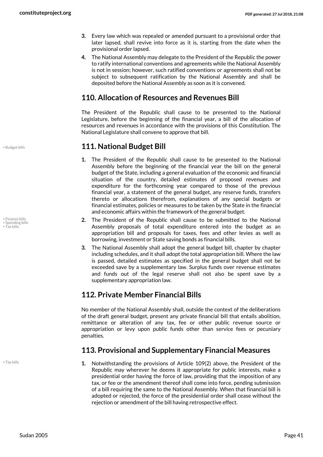- **3.** Every law which was repealed or amended pursuant to a provisional order that later lapsed, shall revive into force as it is, starting from the date when the provisional order lapsed.
- **4.** The National Assembly may delegate to the President of the Republic the power to ratify international conventions and agreements while the National Assembly is not in session; however, such ratified conventions or agreements shall not be subject to subsequent ratification by the National Assembly and shall be deposited before the National Assembly as soon as it is convened.

# **110. Allocation of Resources and Revenues Bill**

The President of the Republic shall cause to be presented to the National Legislature, before the beginning of the financial year, a bill of the allocation of resources and revenues in accordance with the provisions of this Constitution. The National Legislature shall convene to approve that bill.

#### • Budget bills **111. National Budget Bill**

- **1.** The President of the Republic shall cause to be presented to the National Assembly before the beginning of the financial year the bill on the general budget of the State, including a general evaluation of the economic and financial situation of the country, detailed estimates of proposed revenues and expenditure for the forthcoming year compared to those of the previous financial year, a statement of the general budget, any reserve funds, transfers thereto or allocations therefrom, explanations of any special budgets or financial estimates, policies or measures to be taken by the State in the financial and economic affairs within the framework of the general budget.
- **2.** The President of the Republic shall cause to be submitted to the National Assembly proposals of total expenditure entered into the budget as an appropriation bill and proposals for taxes, fees and other levies as well as borrowing, investment or State saving bonds as financial bills.
- **3.** The National Assembly shall adopt the general budget bill, chapter by chapter including schedules, and it shall adopt the total appropriation bill. Where the law is passed, detailed estimates as specified in the general budget shall not be exceeded save by a supplementary law. Surplus funds over revenue estimates and funds out of the legal reserve shall not also be spent save by a supplementary appropriation law.

# **112. Private Member Financial Bills**

No member of the National Assembly shall, outside the context of the deliberations of the draft general budget, present any private financial bill that entails abolition, remittance or alteration of any tax, fee or other public revenue source or appropriation or levy upon public funds other than service fees or pecuniary penalties.

# **113. Provisional and Supplementary Financial Measures**

**1.** Notwithstanding the provisions of Article 109(2) above, the President of the Republic may wherever he deems it appropriate for public interests, make a presidential order having the force of law, providing that the imposition of any tax, or fee or the amendment thereof shall come into force, pending submission of a bill requiring the same to the National Assembly. When that financial bill is adopted or rejected, the force of the presidential order shall cease without the rejection or amendment of the bill having retrospective effect.

• Finance bills • Spending bills • Tax bills

• Tax bills

Sudan 2005 Page 41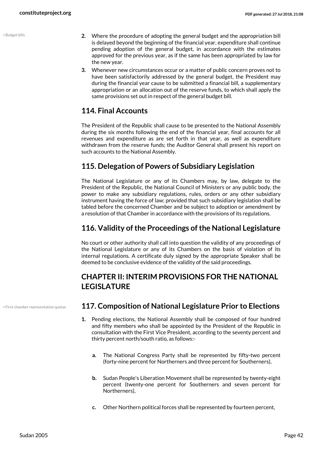• Budget bills

- **2.** Where the procedure of adopting the general budget and the appropriation bill is delayed beyond the beginning of the financial year, expenditure shall continue pending adoption of the general budget, in accordance with the estimates approved for the previous year, as if the same has been appropriated by law for the new year.
- **3.** Whenever new circumstances occur or a matter of public concern proves not to have been satisfactorily addressed by the general budget, the President may during the financial year cause to be submitted a financial bill, a supplementary appropriation or an allocation out of the reserve funds, to which shall apply the same provisions set out in respect of the general budget bill.

# **114. Final Accounts**

The President of the Republic shall cause to be presented to the National Assembly during the six months following the end of the financial year, final accounts for all revenues and expenditure as are set forth in that year, as well as expenditure withdrawn from the reserve funds; the Auditor General shall present his report on such accounts to the National Assembly.

# **115. Delegation of Powers of Subsidiary Legislation**

The National Legislature or any of its Chambers may, by law, delegate to the President of the Republic, the National Council of Ministers or any public body, the power to make any subsidiary regulations, rules, orders or any other subsidiary instrument having the force of law; provided that such subsidiary legislation shall be tabled before the concerned Chamber and be subject to adoption or amendment by a resolution of that Chamber in accordance with the provisions of its regulations.

# **116. Validity of the Proceedings of the National Legislature**

No court or other authority shall call into question the validity of any proceedings of the National Legislature or any of its Chambers on the basis of violation of its internal regulations. A certificate duly signed by the appropriate Speaker shall be deemed to be conclusive evidence of the validity of the said proceedings.

# **CHAPTER II: INTERIM PROVISIONS FOR THE NATIONAL LEGISLATURE**

• First chamber representation quotas **117. Composition of National Legislature Prior to Elections**

- **1.** Pending elections, the National Assembly shall be composed of four hundred and fifty members who shall be appointed by the President of the Republic in consultation with the First Vice President, according to the seventy percent and thirty percent north/south ratio, as follows:
	- **a.** The National Congress Party shall be represented by fifty-two percent (forty-nine percent for Northerners and three percent for Southerners),
	- **b.** Sudan People's Liberation Movement shall be represented by twenty-eight percent (twenty-one percent for Southerners and seven percent for Northerners),
	- **c.** Other Northern political forces shall be represented by fourteen percent,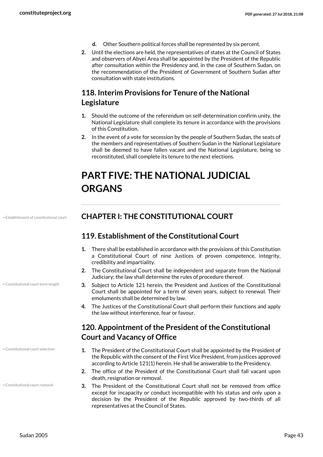- **d.** Other Southern political forces shall be represented by six percent.
- **2.** Until the elections are held, the representatives of states at the Council of States and observers of Abyei Area shall be appointed by the President of the Republic after consultation within the Presidency and, in the case of Southern Sudan, on the recommendation of the President of Government of Southern Sudan after consultation with state institutions.

# **118. Interim Provisions for Tenure of the National Legislature**

- **1.** Should the outcome of the referendum on self-determination confirm unity, the National Legislature shall complete its tenure in accordance with the provisions of this Constitution.
- **2.** In the event of a vote for secession by the people of Southern Sudan, the seats of the members and representatives of Southern Sudan in the National Legislature shall be deemed to have fallen vacant and the National Legislature, being so reconstituted, shall complete its tenure to the next elections.

# **PART FIVE: THE NATIONAL JUDICIAL ORGANS**

# • Establishment of constitutional court **CHAPTER I: THE CONSTITUTIONAL COURT**

#### **119. Establishment of the Constitutional Court**

- **1.** There shall be established in accordance with the provisions of this Constitution a Constitutional Court of nine Justices of proven competence, integrity, credibility and impartiality.
- **2.** The Constitutional Court shall be independent and separate from the National Judiciary; the law shall determine the rules of procedure thereof.
- **3.** Subject to Article 121 herein, the President and Justices of the Constitutional Court shall be appointed for a term of seven years, subject to renewal. Their emoluments shall be determined by law.
- **4.** The Justices of the Constitutional Court shall perform their functions and apply the law without interference, fear or favour.

# **120. Appointment of the President of the Constitutional Court and Vacancy of Office**

- **1.** The President of the Constitutional Court shall be appointed by the President of the Republic with the consent of the First Vice President, from justices approved according to Article 121(1) herein. He shall be answerable to the Presidency.
- **2.** The office of the President of the Constitutional Court shall fall vacant upon death, resignation or removal.
- **3.** The President of the Constitutional Court shall not be removed from office except for incapacity or conduct incompatible with his status and only upon a decision by the President of the Republic approved by two-thirds of all representatives at the Council of States.

• Constitutional court term length

• Constitutional court selection

• Constitutional court removal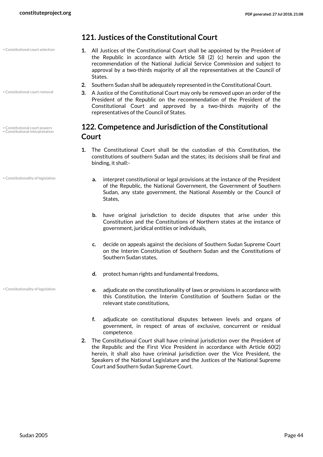• Constitutional court selection

• Constitutional court removal

• Constitutional court powers • Constitutional interpretation

- **121. Justices of the Constitutional Court**
- **1.** All Justices of the Constitutional Court shall be appointed by the President of the Republic in accordance with Article 58 (2) (c) herein and upon the recommendation of the National Judicial Service Commission and subject to approval by a two-thirds majority of all the representatives at the Council of **States**
- **2.** Southern Sudan shall be adequately represented in the Constitutional Court.
- **3.** A Justice of the Constitutional Court may only be removed upon an order of the President of the Republic on the recommendation of the President of the Constitutional Court and approved by a two-thirds majority of the representatives of the Council of States.

# **122. Competence and Jurisdiction of the Constitutional Court**

- **1.** The Constitutional Court shall be the custodian of this Constitution, the constitutions of southern Sudan and the states; its decisions shall be final and binding, it shall:
	- **a.** interpret constitutional or legal provisions at the instance of the President of the Republic, the National Government, the Government of Southern Sudan, any state government, the National Assembly or the Council of States,
	- **b.** have original jurisdiction to decide disputes that arise under this Constitution and the Constitutions of Northern states at the instance of government, juridical entities or individuals,
	- **c.** decide on appeals against the decisions of Southern Sudan Supreme Court on the Interim Constitution of Southern Sudan and the Constitutions of Southern Sudan states,
	- **d.** protect human rights and fundamental freedoms,
	- **e.** adjudicate on the constitutionality of laws or provisions in accordance with this Constitution, the Interim Constitution of Southern Sudan or the relevant state constitutions,
	- **f.** adjudicate on constitutional disputes between levels and organs of government, in respect of areas of exclusive, concurrent or residual competence.
- **2.** The Constitutional Court shall have criminal jurisdiction over the President of the Republic and the First Vice President in accordance with Article 60(2) herein, it shall also have criminal jurisdiction over the Vice President, the Speakers of the National Legislature and the Justices of the National Supreme Court and Southern Sudan Supreme Court.

• Constitutionality of legislation

• Constitutionality of legislation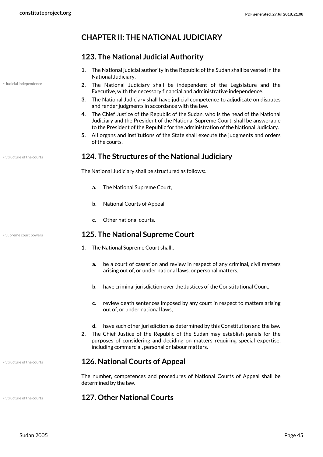### **CHAPTER II: THE NATIONAL JUDICIARY**

### **123. The National Judicial Authority**

- **1.** The National judicial authority in the Republic of the Sudan shall be vested in the National Judiciary.
- **2.** The National Judiciary shall be independent of the Legislature and the Executive, with the necessary financial and administrative independence.
- **3.** The National Judiciary shall have judicial competence to adjudicate on disputes and render judgments in accordance with the law.
- **4.** The Chief Justice of the Republic of the Sudan, who is the head of the National Judiciary and the President of the National Supreme Court, shall be answerable to the President of the Republic for the administration of the National Judiciary.
- **5.** All organs and institutions of the State shall execute the judgments and orders of the courts.

#### • Structure of the courts **124. The Structures of the National Judiciary**

The National Judiciary shall be structured as follows:.

- **a.** The National Supreme Court,
- **b.** National Courts of Appeal,
- **c.** Other national courts.

#### • Supreme court powers **125. The National Supreme Court**

- **1.** The National Supreme Court shall:.
	- **a.** be a court of cassation and review in respect of any criminal, civil matters arising out of, or under national laws, or personal matters,
	- **b.** have criminal jurisdiction over the Justices of the Constitutional Court,
	- **c.** review death sentences imposed by any court in respect to matters arising out of, or under national laws,
	- **d.** have such other jurisdiction as determined by this Constitution and the law.
- **2.** The Chief Justice of the Republic of the Sudan may establish panels for the purposes of considering and deciding on matters requiring special expertise, including commercial, personal or labour matters.

#### • Structure of the courts **126. National Courts of Appeal**

The number, competences and procedures of National Courts of Appeal shall be determined by the law.

#### • Structure of the courts **127. Other National Courts**

• Judicial independence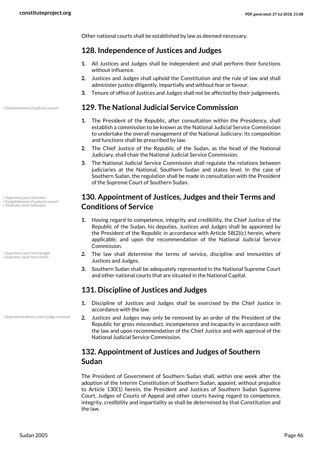Other national courts shall be established by law as deemed necessary.

#### **128. Independence of Justices and Judges**

- **1.** All Justices and Judges shall be independent and shall perform their functions without influence.
- **2.** Justices and Judges shall uphold the Constitution and the rule of law and shall administer justice diligently, impartially and without fear or favour.
- **3.** Tenure of office of Justices and Judges shall not be affected by their judgements.

#### • Establishment of judicial council **129. The National Judicial Service Commission**

- **1.** The President of the Republic, after consultation within the Presidency, shall establish a commission to be known as the National Judicial Service Commission to undertake the overall management of the National Judiciary; its composition and functions shall be prescribed by law.
- **2.** The Chief Justice of the Republic of the Sudan, as the head of the National Judiciary, shall chair the National Judicial Service Commission.
- **3.** The National Judicial Service Commission shall regulate the relations between judiciaries at the National, Southern Sudan and states level. In the case of Southern Sudan, the regulation shall be made in consultation with the President of the Supreme Court of Southern Sudan.

#### **130. Appointment of Justices, Judges and their Terms and Conditions of Service**

- **1.** Having regard to competence, integrity and credibility, the Chief Justice of the Republic of the Sudan, his deputies, Justices and Judges shall be appointed by the President of the Republic in accordance with Article 58(2)(c) herein, where applicable, and upon the recommendation of the National Judicial Service Commission.
- **2.** The law shall determine the terms of service, discipline and immunities of Justices and Judges.
- **3.** Southern Sudan shall be adequately represented in the National Supreme Court and other national courts that are situated in the National Capital.

# **131. Discipline of Justices and Judges**

- **1.** Discipline of Justices and Judges shall be exercised by the Chief Justice in accordance with the law.
- **2.** Justices and Judges may only be removed by an order of the President of the Republic for gross misconduct, incompetence and incapacity in accordance with the law and upon recommendation of the Chief Justice and with approval of the National Judicial Service Commission.

# **132. Appointment of Justices and Judges of Southern Sudan**

The President of Government of Southern Sudan shall, within one week after the adoption of the Interim Constitution of Southern Sudan, appoint, without prejudice to Article 130(1) herein, the President and Justices of Southern Sudan Supreme Court, Judges of Courts of Appeal and other courts having regard to competence, integrity, credibility and impartiality as shall be determined by that Constitution and the law.

Supreme court selection

• Establishment of judicial council • Ordinary court selection

• Supreme court term length • Supreme court term limits

• Supreme/ordinary court judge removal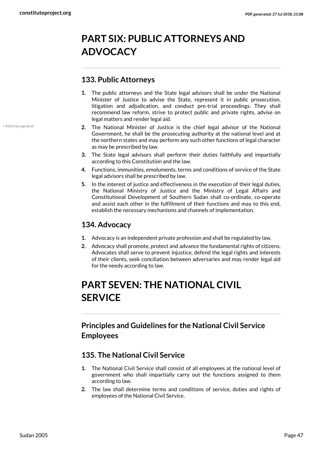# **PART SIX: PUBLIC ATTORNEYS AND ADVOCACY**

# **133. Public Attorneys**

- **1.** The public attorneys and the State legal advisors shall be under the National Minister of Justice to advise the State, represent it in public prosecution, litigation and adjudication, and conduct pre-trial proceedings. They shall recommend law reform, strive to protect public and private rights, advise on legal matters and render legal aid.
- **2.** The National Minister of Justice is the chief legal advisor of the National Government, he shall be the prosecuting authority at the national level and at the northern states and may perform any such other functions of legal character as may be prescribed by law.
- **3.** The State legal advisors shall perform their duties faithfully and impartially according to this Constitution and the law.
- **4.** Functions, immunities, emoluments, terms and conditions of service of the State legal advisors shall be prescribed by law.
- **5.** In the interest of justice and effectiveness in the execution of their legal duties, the National Ministry of Justice and the Ministry of Legal Affairs and Constitutional Development of Southern Sudan shall co-ordinate, co-operate and assist each other in the fulfillment of their functions and may to this end, establish the necessary mechanisms and channels of implementation.

# **134. Advocacy**

- **1.** Advocacy is an independent private profession and shall be regulated by law.
- **2.** Advocacy shall promote, protect and advance the fundamental rights of citizens. Advocates shall serve to prevent injustice, defend the legal rights and interests of their clients, seek conciliation between adversaries and may render legal aid for the needy according to law.

# **PART SEVEN: THE NATIONAL CIVIL SERVICE**

# **Principles and Guidelines for the National Civil Service Employees**

# **135. The National Civil Service**

- **1.** The National Civil Service shall consist of all employees at the national level of government who shall impartially carry out the functions assigned to them according to law.
- **2.** The law shall determine terms and conditions of service, duties and rights of employees of the National Civil Service.

• Attorney general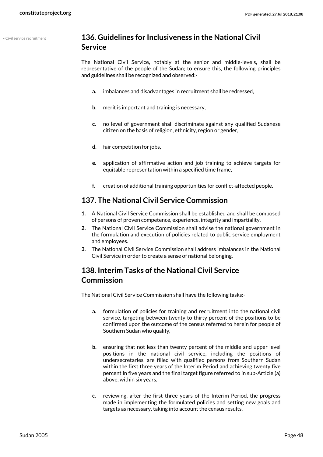• Civil service recruitment

#### **136. Guidelines for Inclusiveness in the National Civil Service**

The National Civil Service, notably at the senior and middle-levels, shall be representative of the people of the Sudan; to ensure this, the following principles and guidelines shall be recognized and observed:-

- **a.** imbalances and disadvantages in recruitment shall be redressed,
- **b.** merit is important and training is necessary,
- **c.** no level of government shall discriminate against any qualified Sudanese citizen on the basis of religion, ethnicity, region or gender,
- **d.** fair competition for jobs,
- **e.** application of affirmative action and job training to achieve targets for equitable representation within a specified time frame,
- **f.** creation of additional training opportunities for conflict-affected people.

#### **137. The National Civil Service Commission**

- **1.** A National Civil Service Commission shall be established and shall be composed of persons of proven competence, experience, integrity and impartiality.
- **2.** The National Civil Service Commission shall advise the national government in the formulation and execution of policies related to public service employment and employees.
- **3.** The National Civil Service Commission shall address imbalances in the National Civil Service in order to create a sense of national belonging.

# **138. Interim Tasks of the National Civil Service Commission**

The National Civil Service Commission shall have the following tasks:-

- **a.** formulation of policies for training and recruitment into the national civil service, targeting between twenty to thirty percent of the positions to be confirmed upon the outcome of the census referred to herein for people of Southern Sudan who qualify,
- **b.** ensuring that not less than twenty percent of the middle and upper level positions in the national civil service, including the positions of undersecretaries, are filled with qualified persons from Southern Sudan within the first three years of the Interim Period and achieving twenty five percent in five years and the final target figure referred to in sub-Article (a) above, within six years,
- **c.** reviewing, after the first three years of the Interim Period, the progress made in implementing the formulated policies and setting new goals and targets as necessary, taking into account the census results.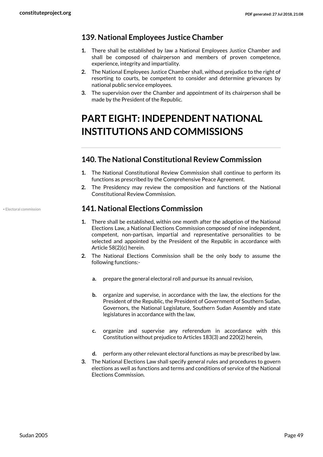# **139. National Employees Justice Chamber**

- **1.** There shall be established by law a National Employees Justice Chamber and shall be composed of chairperson and members of proven competence, experience, integrity and impartiality.
- **2.** The National Employees Justice Chamber shall, without prejudice to the right of resorting to courts, be competent to consider and determine grievances by national public service employees.
- **3.** The supervision over the Chamber and appointment of its chairperson shall be made by the President of the Republic.

# **PART EIGHT: INDEPENDENT NATIONAL INSTITUTIONS AND COMMISSIONS**

# **140. The National Constitutional Review Commission**

- **1.** The National Constitutional Review Commission shall continue to perform its functions as prescribed by the Comprehensive Peace Agreement.
- **2.** The Presidency may review the composition and functions of the National Constitutional Review Commission.

### • Electoral commission **141. National Elections Commission**

- **1.** There shall be established, within one month after the adoption of the National Elections Law, a National Elections Commission composed of nine independent, competent, non-partisan, impartial and representative personalities to be selected and appointed by the President of the Republic in accordance with Article 58(2)(c) herein.
- **2.** The National Elections Commission shall be the only body to assume the following functions:
	- **a.** prepare the general electoral roll and pursue its annual revision,
	- **b.** organize and supervise, in accordance with the law, the elections for the President of the Republic, the President of Government of Southern Sudan, Governors, the National Legislature, Southern Sudan Assembly and state legislatures in accordance with the law,
	- **c.** organize and supervise any referendum in accordance with this Constitution without prejudice to Articles 183(3) and 220(2) herein,
	- **d.** perform any other relevant electoral functions as may be prescribed by law.
- **3.** The National Elections Law shall specify general rules and procedures to govern elections as well as functions and terms and conditions of service of the National Elections Commission.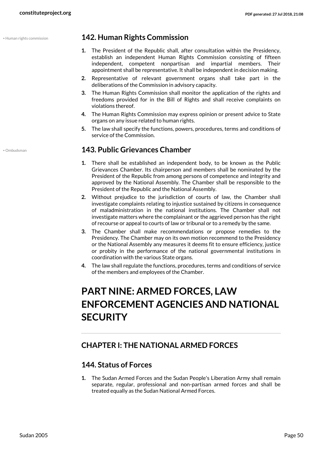|  | Human rights commission |
|--|-------------------------|
|  |                         |

#### • Human rights commission **142. Human Rights Commission**

- **1.** The President of the Republic shall, after consultation within the Presidency, establish an independent Human Rights Commission consisting of fifteen independent, competent nonpartisan and impartial members. Their appointment shall be representative. It shall be independent in decision making.
- **2.** Representative of relevant government organs shall take part in the deliberations of the Commission in advisory capacity.
- **3.** The Human Rights Commission shall monitor the application of the rights and freedoms provided for in the Bill of Rights and shall receive complaints on violations thereof.
- **4.** The Human Rights Commission may express opinion or present advice to State organs on any issue related to human rights.
- **5.** The law shall specify the functions, powers, procedures, terms and conditions of service of the Commission.

#### • Ombudsman **143. Public Grievances Chamber**

- **1.** There shall be established an independent body, to be known as the Public Grievances Chamber. Its chairperson and members shall be nominated by the President of the Republic from among persons of competence and integrity and approved by the National Assembly. The Chamber shall be responsible to the President of the Republic and the National Assembly.
- **2.** Without prejudice to the jurisdiction of courts of law, the Chamber shall investigate complaints relating to injustice sustained by citizens in consequence of maladministration in the national institutions. The Chamber shall not investigate matters where the complainant or the aggrieved person has the right of recourse or appeal to courts of law or tribunal or to a remedy by the same.
- **3.** The Chamber shall make recommendations or propose remedies to the Presidency. The Chamber may on its own motion recommend to the Presidency or the National Assembly any measures it deems fit to ensure efficiency, justice or probity in the performance of the national governmental institutions in coordination with the various State organs.
- **4.** The law shall regulate the functions, procedures, terms and conditions of service of the members and employees of the Chamber.

# **PART NINE: ARMED FORCES, LAW ENFORCEMENT AGENCIES AND NATIONAL SECURITY**

#### **CHAPTER I: THE NATIONAL ARMED FORCES**

#### **144. Status of Forces**

**1.** The Sudan Armed Forces and the Sudan People's Liberation Army shall remain separate, regular, professional and non-partisan armed forces and shall be treated equally as the Sudan National Armed Forces.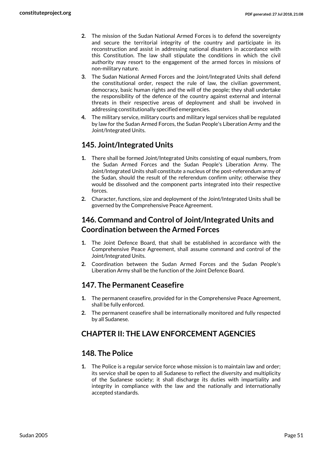- **2.** The mission of the Sudan National Armed Forces is to defend the sovereignty and secure the territorial integrity of the country and participate in its reconstruction and assist in addressing national disasters in accordance with this Constitution. The law shall stipulate the conditions in which the civil authority may resort to the engagement of the armed forces in missions of non-military nature.
- **3.** The Sudan National Armed Forces and the Joint/Integrated Units shall defend the constitutional order, respect the rule of law, the civilian government, democracy, basic human rights and the will of the people; they shall undertake the responsibility of the defence of the country against external and internal threats in their respective areas of deployment and shall be involved in addressing constitutionally specified emergencies.
- **4.** The military service, military courts and military legal services shall be regulated by law for the Sudan Armed Forces, the Sudan People's Liberation Army and the Joint/Integrated Units.

# **145. Joint/Integrated Units**

- **1.** There shall be formed Joint/Integrated Units consisting of equal numbers, from the Sudan Armed Forces and the Sudan People's Liberation Army. The Joint/Integrated Units shall constitute a nucleus of the post-referendum army of the Sudan, should the result of the referendum confirm unity; otherwise they would be dissolved and the component parts integrated into their respective forces.
- **2.** Character, functions, size and deployment of the Joint/Integrated Units shall be governed by the Comprehensive Peace Agreement.

# **146. Command and Control of Joint/Integrated Units and Coordination between the Armed Forces**

- **1.** The Joint Defence Board, that shall be established in accordance with the Comprehensive Peace Agreement, shall assume command and control of the Joint/Integrated Units.
- **2.** Coordination between the Sudan Armed Forces and the Sudan People's Liberation Army shall be the function of the Joint Defence Board.

# **147. The Permanent Ceasefire**

- **1.** The permanent ceasefire, provided for in the Comprehensive Peace Agreement, shall be fully enforced.
- **2.** The permanent ceasefire shall be internationally monitored and fully respected by all Sudanese.

# **CHAPTER II: THE LAW ENFORCEMENT AGENCIES**

# **148. The Police**

**1.** The Police is a regular service force whose mission is to maintain law and order; its service shall be open to all Sudanese to reflect the diversity and multiplicity of the Sudanese society; it shall discharge its duties with impartiality and integrity in compliance with the law and the nationally and internationally accepted standards.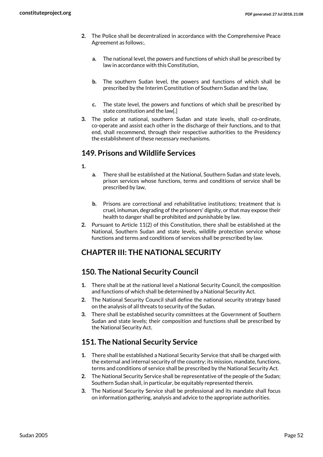- **2.** The Police shall be decentralized in accordance with the Comprehensive Peace Agreement as follows:.
	- **a.** The national level, the powers and functions of which shall be prescribed by law in accordance with this Constitution,
	- **b.** The southern Sudan level, the powers and functions of which shall be prescribed by the Interim Constitution of Southern Sudan and the law,
	- **c.** The state level, the powers and functions of which shall be prescribed by state constitution and the law[.]
- **3.** The police at national, southern Sudan and state levels, shall co-ordinate, co-operate and assist each other in the discharge of their functions, and to that end, shall recommend, through their respective authorities to the Presidency the establishment of these necessary mechanisms.

#### **149. Prisons and Wildlife Services**

- **1.**
- **a.** There shall be established at the National, Southern Sudan and state levels, prison services whose functions, terms and conditions of service shall be prescribed by law,
- **b.** Prisons are correctional and rehabilitative institutions; treatment that is cruel, inhuman, degrading of the prisoners' dignity, or that may expose their health to danger shall be prohibited and punishable by law.
- **2.** Pursuant to Article 11(2) of this Constitution, there shall be established at the National, Southern Sudan and state levels, wildlife protection service whose functions and terms and conditions of services shall be prescribed by law.

# **CHAPTER III: THE NATIONAL SECURITY**

# **150. The National Security Council**

- **1.** There shall be at the national level a National Security Council, the composition and functions of which shall be determined by a National Security Act.
- **2.** The National Security Council shall define the national security strategy based on the analysis of all threats to security of the Sudan.
- **3.** There shall be established security committees at the Government of Southern Sudan and state levels; their composition and functions shall be prescribed by the National Security Act.

# **151. The National Security Service**

- **1.** There shall be established a National Security Service that shall be charged with the external and internal security of the country; its mission, mandate, functions, terms and conditions of service shall be prescribed by the National Security Act.
- **2.** The National Security Service shall be representative of the people of the Sudan; Southern Sudan shall, in particular, be equitably represented therein.
- **3.** The National Security Service shall be professional and its mandate shall focus on information gathering, analysis and advice to the appropriate authorities.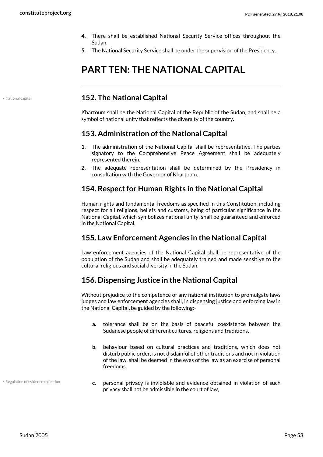- **4.** There shall be established National Security Service offices throughout the Sudan.
- **5.** The National Security Service shall be under the supervision of the Presidency.

# **PART TEN: THE NATIONAL CAPITAL**

#### • National capital **152. The National Capital**

Khartoum shall be the National Capital of the Republic of the Sudan, and shall be a symbol of national unity that reflects the diversity of the country.

#### **153. Administration of the National Capital**

- **1.** The administration of the National Capital shall be representative. The parties signatory to the Comprehensive Peace Agreement shall be adequately represented therein.
- **2.** The adequate representation shall be determined by the Presidency in consultation with the Governor of Khartoum.

#### **154. Respect for Human Rights in the National Capital**

Human rights and fundamental freedoms as specified in this Constitution, including respect for all religions, beliefs and customs, being of particular significance in the National Capital, which symbolizes national unity, shall be guaranteed and enforced in the National Capital.

#### **155. Law Enforcement Agencies in the National Capital**

Law enforcement agencies of the National Capital shall be representative of the population of the Sudan and shall be adequately trained and made sensitive to the cultural religious and social diversity in the Sudan.

# **156. Dispensing Justice in the National Capital**

Without prejudice to the competence of any national institution to promulgate laws judges and law enforcement agencies shall, in dispensing justice and enforcing law in the National Capital, be guided by the following:-

- **a.** tolerance shall be on the basis of peaceful coexistence between the Sudanese people of different cultures, religions and traditions,
- **b.** behaviour based on cultural practices and traditions, which does not disturb public order, is not disdainful of other traditions and not in violation of the law, shall be deemed in the eyes of the law as an exercise of personal freedoms,

**c.** personal privacy is inviolable and evidence obtained in violation of such privacy shall not be admissible in the court of law, • Regulation of evidence collection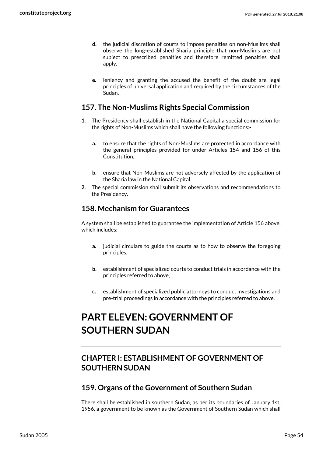- **d.** the judicial discretion of courts to impose penalties on non-Muslims shall observe the long-established Sharia principle that non-Muslims are not subject to prescribed penalties and therefore remitted penalties shall apply,
- **e.** leniency and granting the accused the benefit of the doubt are legal principles of universal application and required by the circumstances of the Sudan.

#### **157. The Non-Muslims Rights Special Commission**

- **1.** The Presidency shall establish in the National Capital a special commission for the rights of Non-Muslims which shall have the following functions:
	- **a.** to ensure that the rights of Non-Muslims are protected in accordance with the general principles provided for under Articles 154 and 156 of this Constitution,
	- **b.** ensure that Non-Muslims are not adversely affected by the application of the Sharia law in the National Capital.
- **2.** The special commission shall submit its observations and recommendations to the Presidency.

#### **158. Mechanism for Guarantees**

A system shall be established to guarantee the implementation of Article 156 above, which includes:-

- **a.** judicial circulars to guide the courts as to how to observe the foregoing principles,
- **b.** establishment of specialized courts to conduct trials in accordance with the principles referred to above,
- **c.** establishment of specialized public attorneys to conduct investigations and pre-trial proceedings in accordance with the principles referred to above.

# **PART ELEVEN: GOVERNMENT OF SOUTHERN SUDAN**

# **CHAPTER I: ESTABLISHMENT OF GOVERNMENT OF SOUTHERN SUDAN**

#### **159. Organs of the Government of Southern Sudan**

There shall be established in southern Sudan, as per its boundaries of January 1st, 1956, a government to be known as the Government of Southern Sudan which shall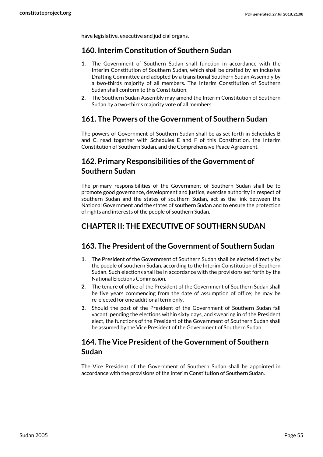have legislative, executive and judicial organs.

#### **160. Interim Constitution of Southern Sudan**

- **1.** The Government of Southern Sudan shall function in accordance with the Interim Constitution of Southern Sudan, which shall be drafted by an inclusive Drafting Committee and adopted by a transitional Southern Sudan Assembly by a two-thirds majority of all members. The Interim Constitution of Southern Sudan shall conform to this Constitution.
- **2.** The Southern Sudan Assembly may amend the Interim Constitution of Southern Sudan by a two-thirds majority vote of all members.

#### **161. The Powers of the Government of Southern Sudan**

The powers of Government of Southern Sudan shall be as set forth in Schedules B and C, read together with Schedules E and F of this Constitution, the Interim Constitution of Southern Sudan, and the Comprehensive Peace Agreement.

# **162. Primary Responsibilities of the Government of Southern Sudan**

The primary responsibilities of the Government of Southern Sudan shall be to promote good governance, development and justice, exercise authority in respect of southern Sudan and the states of southern Sudan, act as the link between the National Government and the states of southern Sudan and to ensure the protection of rights and interests of the people of southern Sudan.

#### **CHAPTER II: THE EXECUTIVE OF SOUTHERN SUDAN**

#### **163. The President of the Government of Southern Sudan**

- **1.** The President of the Government of Southern Sudan shall be elected directly by the people of southern Sudan, according to the Interim Constitution of Southern Sudan. Such elections shall be in accordance with the provisions set forth by the National Elections Commission.
- **2.** The tenure of office of the President of the Government of Southern Sudan shall be five years commencing from the date of assumption of office; he may be re-elected for one additional term only.
- **3.** Should the post of the President of the Government of Southern Sudan fall vacant, pending the elections within sixty days, and swearing in of the President elect, the functions of the President of the Government of Southern Sudan shall be assumed by the Vice President of the Government of Southern Sudan.

# **164. The Vice President of the Government of Southern Sudan**

The Vice President of the Government of Southern Sudan shall be appointed in accordance with the provisions of the Interim Constitution of Southern Sudan.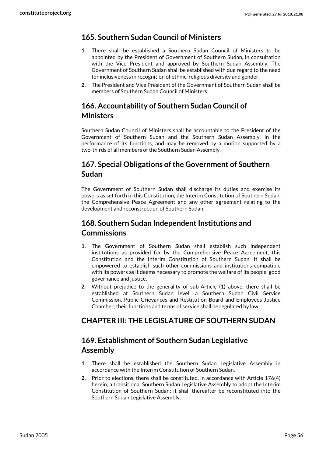# **165. Southern Sudan Council of Ministers**

- **1.** There shall be established a Southern Sudan Council of Ministers to be appointed by the President of Government of Southern Sudan, in consultation with the Vice President and approved by Southern Sudan Assembly. The Government of Southern Sudan shall be established with due regard to the need for inclusiveness in recognition of ethnic, religious diversity and gender.
- **2.** The President and Vice President of the Government of Southern Sudan shall be members of Southern Sudan Council of Ministers.

# **166. Accountability of Southern Sudan Council of Ministers**

Southern Sudan Council of Ministers shall be accountable to the President of the Government of Southern Sudan and the Southern Sudan Assembly, in the performance of its functions, and may be removed by a motion supported by a two-thirds of all members of the Southern Sudan Assembly.

# **167. Special Obligations of the Government of Southern Sudan**

The Government of Southern Sudan shall discharge its duties and exercise its powers as set forth in this Constitution, the Interim Constitution of Southern Sudan, the Comprehensive Peace Agreement and any other agreement relating to the development and reconstruction of Southern Sudan.

# **168. Southern Sudan Independent Institutions and Commissions**

- **1.** The Government of Southern Sudan shall establish such independent institutions as provided for by the Comprehensive Peace Agreement, this Constitution and the Interim Constitution of Southern Sudan. It shall be empowered to establish such other commissions and institutions compatible with its powers as it deems necessary to promote the welfare of its people, good governance and justice.
- **2.** Without prejudice to the generality of sub-Article (1) above, there shall be established at Southern Sudan level, a Southern Sudan Civil Service Commission, Public Grievances and Restitution Board and Employees Justice Chamber; their functions and terms of service shall be regulated by law.

# **CHAPTER III: THE LEGISLATURE OF SOUTHERN SUDAN**

# **169. Establishment of Southern Sudan Legislative Assembly**

- **1.** There shall be established the Southern Sudan Legislative Assembly in accordance with the Interim Constitution of Southern Sudan.
- **2.** Prior to elections, there shall be constituted, in accordance with Article 176(4) herein, a transitional Southern Sudan Legislative Assembly to adopt the Interim Constitution of Southern Sudan; it shall thereafter be reconstituted into the Southern Sudan Legislative Assembly.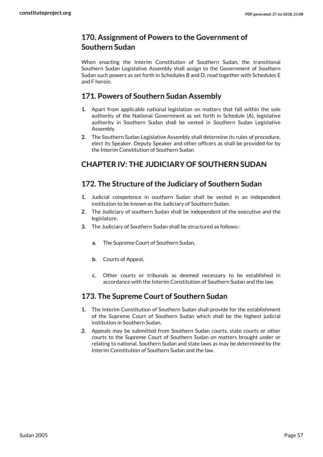# **170. Assignment of Powers to the Government of Southern Sudan**

When enacting the Interim Constitution of Southern Sudan, the transitional Southern Sudan Legislative Assembly shall assign to the Government of Southern Sudan such powers as set forth in Schedules B and D, read together with Schedules E and F herein.

# **171. Powers of Southern Sudan Assembly**

- **1.** Apart from applicable national legislation on matters that fall within the sole authority of the National Government as set forth in Schedule (A), legislative authority in Southern Sudan shall be vested in Southern Sudan Legislative Assembly.
- **2.** The Southern Sudan Legislative Assembly shall determine its rules of procedure, elect its Speaker, Deputy Speaker and other officers as shall be provided for by the Interim Constitution of Southern Sudan.

# **CHAPTER IV: THE JUDICIARY OF SOUTHERN SUDAN**

# **172. The Structure of the Judiciary of Southern Sudan**

- **1.** Judicial competence in southern Sudan shall be vested in an independent institution to be known as the Judiciary of Southern Sudan.
- **2.** The Judiciary of southern Sudan shall be independent of the executive and the legislature.
- **3.** The Judiciary of Southern Sudan shall be structured as follows:
	- **a.** The Supreme Court of Southern Sudan,
	- **b.** Courts of Appeal,
	- **c.** Other courts or tribunals as deemed necessary to be established in accordance with the Interim Constitution of Southern Sudan and the law.

# **173. The Supreme Court of Southern Sudan**

- **1.** The Interim Constitution of Southern Sudan shall provide for the establishment of the Supreme Court of Southern Sudan which shall be the highest judicial institution in Southern Sudan.
- **2.** Appeals may be submitted from Southern Sudan courts, state courts or other courts to the Supreme Court of Southern Sudan on matters brought under or relating to national, Southern Sudan and state laws as may be determined by the Interim Constitution of Southern Sudan and the law.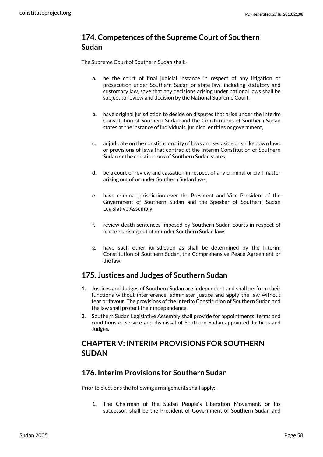# **174. Competences of the Supreme Court of Southern Sudan**

The Supreme Court of Southern Sudan shall:-

- **a.** be the court of final judicial instance in respect of any litigation or prosecution under Southern Sudan or state law, including statutory and customary law, save that any decisions arising under national laws shall be subject to review and decision by the National Supreme Court,
- **b.** have original jurisdiction to decide on disputes that arise under the Interim Constitution of Southern Sudan and the Constitutions of Southern Sudan states at the instance of individuals, juridical entities or government,
- **c.** adjudicate on the constitutionality of laws and set aside or strike down laws or provisions of laws that contradict the Interim Constitution of Southern Sudan or the constitutions of Southern Sudan states,
- **d.** be a court of review and cassation in respect of any criminal or civil matter arising out of or under Southern Sudan laws,
- **e.** have criminal jurisdiction over the President and Vice President of the Government of Southern Sudan and the Speaker of Southern Sudan Legislative Assembly,
- **f.** review death sentences imposed by Southern Sudan courts in respect of matters arising out of or under Southern Sudan laws,
- **g.** have such other jurisdiction as shall be determined by the Interim Constitution of Southern Sudan, the Comprehensive Peace Agreement or the law.

#### **175. Justices and Judges of Southern Sudan**

- **1.** Justices and Judges of Southern Sudan are independent and shall perform their functions without interference, administer justice and apply the law without fear or favour. The provisions of the Interim Constitution of Southern Sudan and the law shall protect their independence.
- **2.** Southern Sudan Legislative Assembly shall provide for appointments, terms and conditions of service and dismissal of Southern Sudan appointed Justices and Judges.

# **CHAPTER V: INTERIM PROVISIONS FOR SOUTHERN SUDAN**

#### **176. Interim Provisions for Southern Sudan**

Prior to elections the following arrangements shall apply:-

**1.** The Chairman of the Sudan People's Liberation Movement, or his successor, shall be the President of Government of Southern Sudan and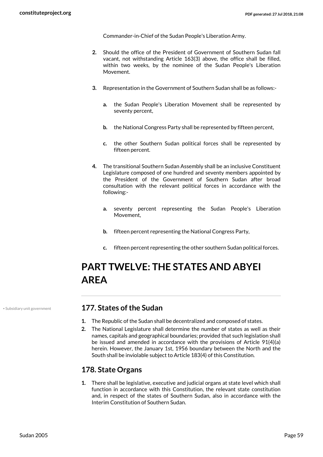Commander-in-Chief of the Sudan People's Liberation Army.

- **2.** Should the office of the President of Government of Southern Sudan fall vacant, not withstanding Article 163(3) above, the office shall be filled, within two weeks, by the nominee of the Sudan People's Liberation Movement.
- **3.** Representation in the Government of Southern Sudan shall be as follows:
	- **a.** the Sudan People's Liberation Movement shall be represented by seventy percent,
	- **b.** the National Congress Party shall be represented by fifteen percent,
	- **c.** the other Southern Sudan political forces shall be represented by fifteen percent.
- **4.** The transitional Southern Sudan Assembly shall be an inclusive Constituent Legislature composed of one hundred and seventy members appointed by the President of the Government of Southern Sudan after broad consultation with the relevant political forces in accordance with the following:
	- **a.** seventy percent representing the Sudan People's Liberation Movement,
	- **b.** fifteen percent representing the National Congress Party,
	- **c.** fifteen percent representing the other southern Sudan political forces.

# **PART TWELVE: THE STATES AND ABYEI AREA**

#### • Subsidiary unit government **177. States of the Sudan**

- **1.** The Republic of the Sudan shall be decentralized and composed of states.
- **2.** The National Legislature shall determine the number of states as well as their names, capitals and geographical boundaries; provided that such legislation shall be issued and amended in accordance with the provisions of Article 91(4)(a) herein. However, the January 1st, 1956 boundary between the North and the South shall be inviolable subject to Article 183(4) of this Constitution.

#### **178. State Organs**

**1.** There shall be legislative, executive and judicial organs at state level which shall function in accordance with this Constitution, the relevant state constitution and, in respect of the states of Southern Sudan, also in accordance with the Interim Constitution of Southern Sudan.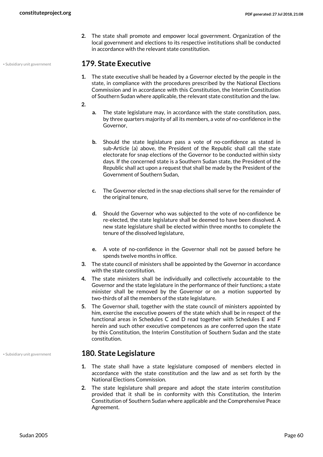**2.** The state shall promote and empower local government. Organization of the local government and elections to its respective institutions shall be conducted in accordance with the relevant state constitution.

#### • Subsidiary unit government **179. State Executive**

- **1.** The state executive shall be headed by a Governor elected by the people in the state, in compliance with the procedures prescribed by the National Elections Commission and in accordance with this Constitution, the Interim Constitution of Southern Sudan where applicable, the relevant state constitution and the law.
- **2.**
- **a.** The state legislature may, in accordance with the state constitution, pass, by three quarters majority of all its members, a vote of no-confidence in the Governor,
- **b.** Should the state legislature pass a vote of no-confidence as stated in sub-Article (a) above, the President of the Republic shall call the state electorate for snap elections of the Governor to be conducted within sixty days. If the concerned state is a Southern Sudan state, the President of the Republic shall act upon a request that shall be made by the President of the Government of Southern Sudan,
- **c.** The Governor elected in the snap elections shall serve for the remainder of the original tenure,
- **d.** Should the Governor who was subjected to the vote of no-confidence be re-elected, the state legislature shall be deemed to have been dissolved. A new state legislature shall be elected within three months to complete the tenure of the dissolved legislature,
- **e.** A vote of no-confidence in the Governor shall not be passed before he spends twelve months in office.
- **3.** The state council of ministers shall be appointed by the Governor in accordance with the state constitution.
- **4.** The state ministers shall be individually and collectively accountable to the Governor and the state legislature in the performance of their functions; a state minister shall be removed by the Governor or on a motion supported by two-thirds of all the members of the state legislature.
- **5.** The Governor shall, together with the state council of ministers appointed by him, exercise the executive powers of the state which shall be in respect of the functional areas in Schedules C and D read together with Schedules E and F herein and such other executive competences as are conferred upon the state by this Constitution, the Interim Constitution of Southern Sudan and the state constitution.

#### • Subsidiary unit government **180. State Legislature**

- **1.** The state shall have a state legislature composed of members elected in accordance with the state constitution and the law and as set forth by the National Elections Commission.
- **2.** The state legislature shall prepare and adopt the state interim constitution provided that it shall be in conformity with this Constitution, the Interim Constitution of Southern Sudan where applicable and the Comprehensive Peace Agreement.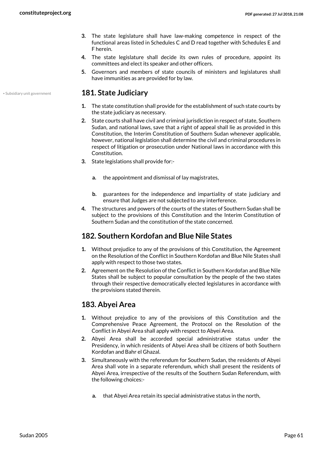- **3.** The state legislature shall have law-making competence in respect of the functional areas listed in Schedules C and D read together with Schedules E and F herein.
- **4.** The state legislature shall decide its own rules of procedure, appoint its committees and elect its speaker and other officers.
- **5.** Governors and members of state councils of ministers and legislatures shall have immunities as are provided for by law.

#### • Subsidiary unit government **181. State Judiciary**

- **1.** The state constitution shall provide for the establishment of such state courts by the state judiciary as necessary.
- **2.** State courts shall have civil and criminal jurisdiction in respect of state, Southern Sudan, and national laws, save that a right of appeal shall lie as provided in this Constitution, the Interim Constitution of Southern Sudan whenever applicable, however, national legislation shall determine the civil and criminal procedures in respect of litigation or prosecution under National laws in accordance with this Constitution.
- **3.** State legislations shall provide for:
	- **a.** the appointment and dismissal of lay magistrates,
	- **b.** guarantees for the independence and impartiality of state judiciary and ensure that Judges are not subjected to any interference.
- **4.** The structures and powers of the courts of the states of Southern Sudan shall be subject to the provisions of this Constitution and the Interim Constitution of Southern Sudan and the constitution of the state concerned.

#### **182. Southern Kordofan and Blue Nile States**

- **1.** Without prejudice to any of the provisions of this Constitution, the Agreement on the Resolution of the Conflict in Southern Kordofan and Blue Nile States shall apply with respect to those two states.
- **2.** Agreement on the Resolution of the Conflict in Southern Kordofan and Blue Nile States shall be subject to popular consultation by the people of the two states through their respective democratically elected legislatures in accordance with the provisions stated therein.

#### **183. Abyei Area**

- **1.** Without prejudice to any of the provisions of this Constitution and the Comprehensive Peace Agreement, the Protocol on the Resolution of the Conflict in Abyei Area shall apply with respect to Abyei Area.
- **2.** Abyei Area shall be accorded special administrative status under the Presidency, in which residents of Abyei Area shall be citizens of both Southern Kordofan and Bahr el Ghazal.
- **3.** Simultaneously with the referendum for Southern Sudan, the residents of Abyei Area shall vote in a separate referendum, which shall present the residents of Abyei Area, irrespective of the results of the Southern Sudan Referendum, with the following choices:
	- **a.** that Abyei Area retain its special administrative status in the north,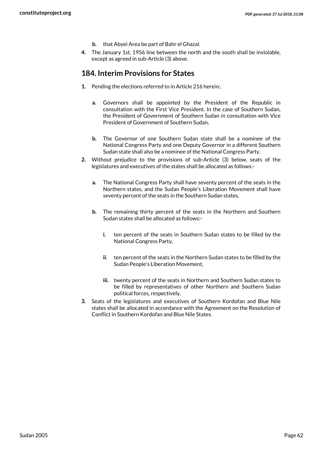- **b.** that Abyei Area be part of Bahr el Ghazal.
- **4.** The January 1st, 1956 line between the north and the south shall be inviolable, except as agreed in sub-Article (3) above.

#### **184. Interim Provisions for States**

- **1.** Pending the elections referred to in Article 216 herein:.
	- **a.** Governors shall be appointed by the President of the Republic in consultation with the First Vice President. In the case of Southern Sudan, the President of Government of Southern Sudan in consultation with Vice President of Government of Southern Sudan,
	- **b.** The Governor of one Southern Sudan state shall be a nominee of the National Congress Party and one Deputy Governor in a different Southern Sudan state shall also be a nominee of the National Congress Party.
- **2.** Without prejudice to the provisions of sub-Article (3) below, seats of the legislatures and executives of the states shall be allocated as follows:
	- **a.** The National Congress Party shall have seventy percent of the seats in the Northern states, and the Sudan People's Liberation Movement shall have seventy percent of the seats in the Southern Sudan states,
	- **b.** The remaining thirty percent of the seats in the Northern and Southern Sudan states shall be allocated as follows:
		- **i.** ten percent of the seats in Southern Sudan states to be filled by the National Congress Party,
		- **ii.** ten percent of the seats in the Northern Sudan states to be filled by the Sudan People's Liberation Movement,
		- **iii.** twenty percent of the seats in Northern and Southern Sudan states to be filled by representatives of other Northern and Southern Sudan political forces, respectively.
- **3.** Seats of the legislatures and executives of Southern Kordofan and Blue Nile states shall be allocated in accordance with the Agreement on the Resolution of Conflict in Southern Kordofan and Blue Nile States.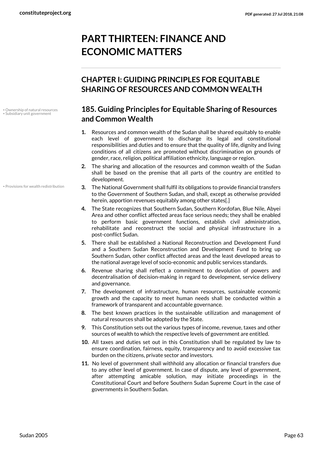# **PART THIRTEEN: FINANCE AND ECONOMIC MATTERS**

# **CHAPTER I: GUIDING PRINCIPLES FOR EQUITABLE SHARING OF RESOURCES AND COMMON WEALTH**

• Ownership of natural resources • Subsidiary unit government

#### **185. Guiding Principles for Equitable Sharing of Resources and Common Wealth**

- **1.** Resources and common wealth of the Sudan shall be shared equitably to enable each level of government to discharge its legal and constitutional responsibilities and duties and to ensure that the quality of life, dignity and living conditions of all citizens are promoted without discrimination on grounds of gender, race, religion, political affiliation ethnicity, language or region.
- **2.** The sharing and allocation of the resources and common wealth of the Sudan shall be based on the premise that all parts of the country are entitled to development.
- **3.** The National Government shall fulfil its obligations to provide financial transfers to the Government of Southern Sudan, and shall, except as otherwise provided herein, apportion revenues equitably among other states[.]
- **4.** The State recognizes that Southern Sudan, Southern Kordofan, Blue Nile, Abyei Area and other conflict affected areas face serious needs; they shall be enabled to perform basic government functions, establish civil administration, rehabilitate and reconstruct the social and physical infrastructure in a post-conflict Sudan.
- **5.** There shall be established a National Reconstruction and Development Fund and a Southern Sudan Reconstruction and Development Fund to bring up Southern Sudan, other conflict affected areas and the least developed areas to the national average level of socio-economic and public services standards.
- **6.** Revenue sharing shall reflect a commitment to devolution of powers and decentralisation of decision-making in regard to development, service delivery and governance.
- **7.** The development of infrastructure, human resources, sustainable economic growth and the capacity to meet human needs shall be conducted within a framework of transparent and accountable governance.
- **8.** The best known practices in the sustainable utilization and management of natural resources shall be adopted by the State.
- **9.** This Constitution sets out the various types of income, revenue, taxes and other sources of wealth to which the respective levels of government are entitled.
- **10.** All taxes and duties set out in this Constitution shall be regulated by law to ensure coordination, fairness, equity, transparency and to avoid excessive tax burden on the citizens, private sector and investors.
- **11.** No level of government shall withhold any allocation or financial transfers due to any other level of government. In case of dispute, any level of government, after attempting amicable solution, may initiate proceedings in the Constitutional Court and before Southern Sudan Supreme Court in the case of governments in Southern Sudan.

• Provisions for wealth redistribution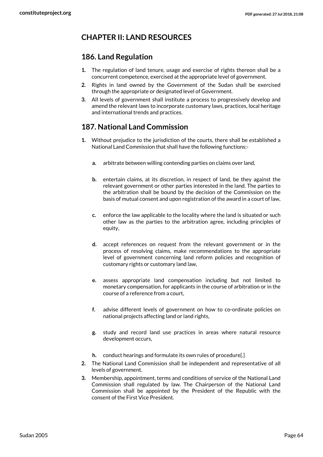### **CHAPTER II: LAND RESOURCES**

#### **186. Land Regulation**

- **1.** The regulation of land tenure, usage and exercise of rights thereon shall be a concurrent competence, exercised at the appropriate level of government.
- **2.** Rights in land owned by the Government of the Sudan shall be exercised through the appropriate or designated level of Government.
- **3.** All levels of government shall institute a process to progressively develop and amend the relevant laws to incorporate customary laws, practices, local heritage and international trends and practices.

### **187. National Land Commission**

- **1.** Without prejudice to the jurisdiction of the courts, there shall be established a National Land Commission that shall have the following functions:
	- **a.** arbitrate between willing contending parties on claims over land,
	- **b.** entertain claims, at its discretion, in respect of land, be they against the relevant government or other parties interested in the land. The parties to the arbitration shall be bound by the decision of the Commission on the basis of mutual consent and upon registration of the award in a court of law,
	- **c.** enforce the law applicable to the locality where the land is situated or such other law as the parties to the arbitration agree, including principles of equity,
	- **d.** accept references on request from the relevant government or in the process of resolving claims, make recommendations to the appropriate level of government concerning land reform policies and recognition of customary rights or customary land law,
	- **e.** assess appropriate land compensation including but not limited to monetary compensation, for applicants in the course of arbitration or in the course of a reference from a court,
	- **f.** advise different levels of government on how to co-ordinate policies on national projects affecting land or land rights,
	- **g.** study and record land use practices in areas where natural resource development occurs,
	- **h.** conduct hearings and formulate its own rules of procedure[.]
- **2.** The National Land Commission shall be independent and representative of all levels of government.
- **3.** Membership, appointment, terms and conditions of service of the National Land Commission shall regulated by law. The Chairperson of the National Land Commission shall be appointed by the President of the Republic with the consent of the First Vice President.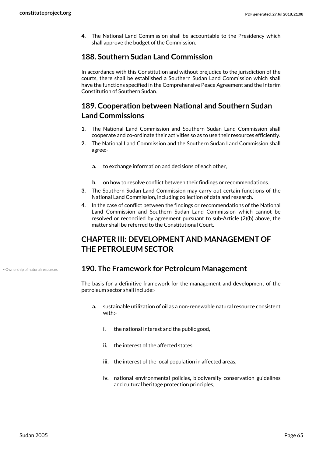**4.** The National Land Commission shall be accountable to the Presidency which shall approve the budget of the Commission.

## **188. Southern Sudan Land Commission**

In accordance with this Constitution and without prejudice to the jurisdiction of the courts, there shall be established a Southern Sudan Land Commission which shall have the functions specified in the Comprehensive Peace Agreement and the Interim Constitution of Southern Sudan.

# **189. Cooperation between National and Southern Sudan Land Commissions**

- **1.** The National Land Commission and Southern Sudan Land Commission shall cooperate and co-ordinate their activities so as to use their resources efficiently.
- **2.** The National Land Commission and the Southern Sudan Land Commission shall agree:
	- **a.** to exchange information and decisions of each other,
	- **b.** on how to resolve conflict between their findings or recommendations.
- **3.** The Southern Sudan Land Commission may carry out certain functions of the National Land Commission, including collection of data and research.
- **4.** In the case of conflict between the findings or recommendations of the National Land Commission and Southern Sudan Land Commission which cannot be resolved or reconciled by agreement pursuant to sub-Article (2)(b) above, the matter shall be referred to the Constitutional Court.

# **CHAPTER III: DEVELOPMENT AND MANAGEMENT OF THE PETROLEUM SECTOR**

#### • Ownership of natural resources **190. The Framework for Petroleum Management**

The basis for a definitive framework for the management and development of the petroleum sector shall include:-

- **a.** sustainable utilization of oil as a non-renewable natural resource consistent with:
	- **i.** the national interest and the public good,
	- **ii.** the interest of the affected states,
	- **iii.** the interest of the local population in affected areas,
	- **iv.** national environmental policies, biodiversity conservation guidelines and cultural heritage protection principles,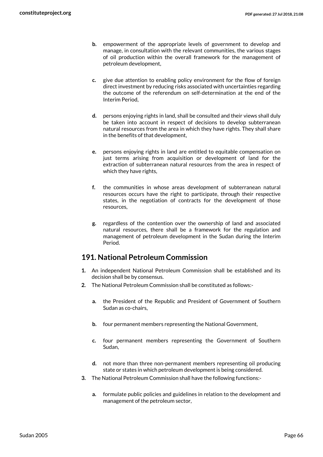- **b.** empowerment of the appropriate levels of government to develop and manage, in consultation with the relevant communities, the various stages of oil production within the overall framework for the management of petroleum development,
- **c.** give due attention to enabling policy environment for the flow of foreign direct investment by reducing risks associated with uncertainties regarding the outcome of the referendum on self-determination at the end of the Interim Period,
- **d.** persons enjoying rights in land, shall be consulted and their views shall duly be taken into account in respect of decisions to develop subterranean natural resources from the area in which they have rights. They shall share in the benefits of that development,
- **e.** persons enjoying rights in land are entitled to equitable compensation on just terms arising from acquisition or development of land for the extraction of subterranean natural resources from the area in respect of which they have rights,
- **f.** the communities in whose areas development of subterranean natural resources occurs have the right to participate, through their respective states, in the negotiation of contracts for the development of those resources,
- **g.** regardless of the contention over the ownership of land and associated natural resources, there shall be a framework for the regulation and management of petroleum development in the Sudan during the Interim Period.

#### **191. National Petroleum Commission**

- **1.** An independent National Petroleum Commission shall be established and its decision shall be by consensus.
- **2.** The National Petroleum Commission shall be constituted as follows:
	- **a.** the President of the Republic and President of Government of Southern Sudan as co-chairs,
	- **b.** four permanent members representing the National Government,
	- **c.** four permanent members representing the Government of Southern Sudan,
	- **d.** not more than three non-permanent members representing oil producing state or states in which petroleum development is being considered.
- **3.** The National Petroleum Commission shall have the following functions:
	- **a.** formulate public policies and guidelines in relation to the development and management of the petroleum sector,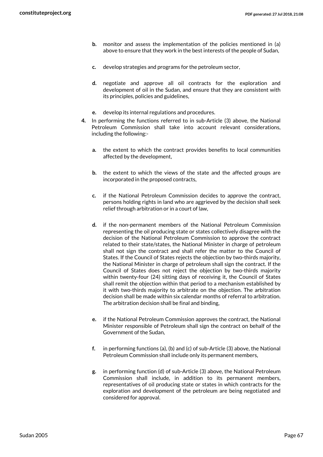- **b.** monitor and assess the implementation of the policies mentioned in (a) above to ensure that they work in the best interests of the people of Sudan,
- **c.** develop strategies and programs for the petroleum sector,
- **d.** negotiate and approve all oil contracts for the exploration and development of oil in the Sudan, and ensure that they are consistent with its principles, policies and guidelines,
- **e.** develop its internal regulations and procedures.
- **4.** In performing the functions referred to in sub-Article (3) above, the National Petroleum Commission shall take into account relevant considerations, including the following:
	- **a.** the extent to which the contract provides benefits to local communities affected by the development,
	- **b.** the extent to which the views of the state and the affected groups are incorporated in the proposed contracts,
	- **c.** if the National Petroleum Commission decides to approve the contract, persons holding rights in land who are aggrieved by the decision shall seek relief through arbitration or in a court of law,
	- **d.** if the non-permanent members of the National Petroleum Commission representing the oil producing state or states collectively disagree with the decision of the National Petroleum Commission to approve the contract related to their state/states, the National Minister in charge of petroleum shall not sign the contract and shall refer the matter to the Council of States. If the Council of States rejects the objection by two-thirds majority, the National Minister in charge of petroleum shall sign the contract. If the Council of States does not reject the objection by two-thirds majority within twenty-four (24) sitting days of receiving it, the Council of States shall remit the objection within that period to a mechanism established by it with two-thirds majority to arbitrate on the objection. The arbitration decision shall be made within six calendar months of referral to arbitration. The arbitration decision shall be final and binding,
	- **e.** if the National Petroleum Commission approves the contract, the National Minister responsible of Petroleum shall sign the contract on behalf of the Government of the Sudan,
	- **f.** in performing functions (a), (b) and (c) of sub-Article (3) above, the National Petroleum Commission shall include only its permanent members,
	- **g.** in performing function (d) of sub-Article (3) above, the National Petroleum Commission shall include, in addition to its permanent members, representatives of oil producing state or states in which contracts for the exploration and development of the petroleum are being negotiated and considered for approval.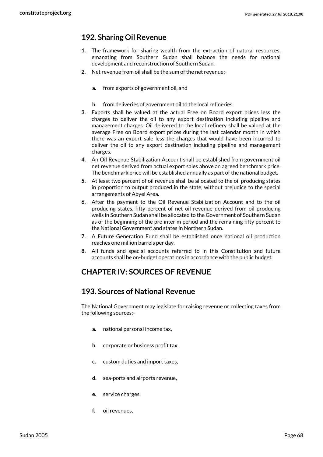# **192. Sharing Oil Revenue**

- **1.** The framework for sharing wealth from the extraction of natural resources, emanating from Southern Sudan shall balance the needs for national development and reconstruction of Southern Sudan.
- **2.** Net revenue from oil shall be the sum of the net revenue:
	- **a.** from exports of government oil, and
	- **b.** from deliveries of government oil to the local refineries.
- **3.** Exports shall be valued at the actual Free on Board export prices less the charges to deliver the oil to any export destination including pipeline and management charges. Oil delivered to the local refinery shall be valued at the average Free on Board export prices during the last calendar month in which there was an export sale less the charges that would have been incurred to deliver the oil to any export destination including pipeline and management charges.
- **4.** An Oil Revenue Stabilization Account shall be established from government oil net revenue derived from actual export sales above an agreed benchmark price. The benchmark price will be established annually as part of the national budget.
- **5.** At least two percent of oil revenue shall be allocated to the oil producing states in proportion to output produced in the state, without prejudice to the special arrangements of Abyei Area.
- **6.** After the payment to the Oil Revenue Stabilization Account and to the oil producing states, fifty percent of net oil revenue derived from oil producing wells in Southern Sudan shall be allocated to the Government of Southern Sudan as of the beginning of the pre interim period and the remaining fifty percent to the National Government and states in Northern Sudan.
- **7.** A Future Generation Fund shall be established once national oil production reaches one million barrels per day.
- **8.** All funds and special accounts referred to in this Constitution and future accounts shall be on-budget operations in accordance with the public budget.

# **CHAPTER IV: SOURCES OF REVENUE**

# **193. Sources of National Revenue**

The National Government may legislate for raising revenue or collecting taxes from the following sources:-

- **a.** national personal income tax,
- **b.** corporate or business profit tax,
- **c.** custom duties and import taxes,
- **d.** sea-ports and airports revenue,
- **e.** service charges,
- **f.** oil revenues,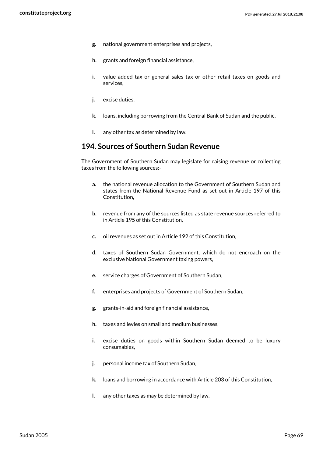- **g.** national government enterprises and projects,
- **h.** grants and foreign financial assistance,
- **i.** value added tax or general sales tax or other retail taxes on goods and services,
- **j.** excise duties,
- **k.** loans, including borrowing from the Central Bank of Sudan and the public,
- **l.** any other tax as determined by law.

#### **194. Sources of Southern Sudan Revenue**

The Government of Southern Sudan may legislate for raising revenue or collecting taxes from the following sources:-

- **a.** the national revenue allocation to the Government of Southern Sudan and states from the National Revenue Fund as set out in Article 197 of this Constitution,
- **b.** revenue from any of the sources listed as state revenue sources referred to in Article 195 of this Constitution,
- **c.** oil revenues as set out in Article 192 of this Constitution,
- **d.** taxes of Southern Sudan Government, which do not encroach on the exclusive National Government taxing powers,
- **e.** service charges of Government of Southern Sudan,
- **f.** enterprises and projects of Government of Southern Sudan,
- **g.** grants-in-aid and foreign financial assistance,
- **h.** taxes and levies on small and medium businesses,
- **i.** excise duties on goods within Southern Sudan deemed to be luxury consumables,
- **j.** personal income tax of Southern Sudan,
- **k.** loans and borrowing in accordance with Article 203 of this Constitution,
- **l.** any other taxes as may be determined by law.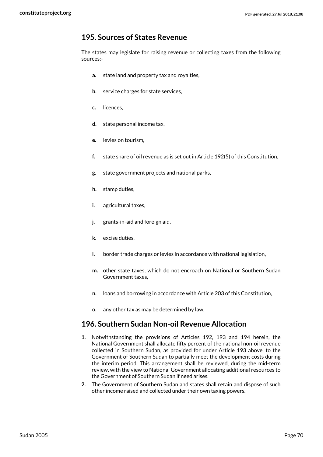#### **195. Sources of States Revenue**

The states may legislate for raising revenue or collecting taxes from the following sources:-

- **a.** state land and property tax and royalties,
- **b.** service charges for state services,
- **c.** licences,
- **d.** state personal income tax,
- **e.** levies on tourism,
- **f.** state share of oil revenue as is set out in Article 192(5) of this Constitution,
- **g.** state government projects and national parks,
- **h.** stamp duties,
- **i.** agricultural taxes,
- **j.** grants-in-aid and foreign aid,
- **k.** excise duties,
- **l.** border trade charges or levies in accordance with national legislation,
- **m.** other state taxes, which do not encroach on National or Southern Sudan Government taxes,
- **n.** loans and borrowing in accordance with Article 203 of this Constitution,
- **o.** any other tax as may be determined by law.

#### **196. Southern Sudan Non-oil Revenue Allocation**

- **1.** Notwithstanding the provisions of Articles 192, 193 and 194 herein, the National Government shall allocate fifty percent of the national non-oil revenue collected in Southern Sudan, as provided for under Article 193 above, to the Government of Southern Sudan to partially meet the development costs during the interim period. This arrangement shall be reviewed, during the mid-term review, with the view to National Government allocating additional resources to the Government of Southern Sudan if need arises.
- **2.** The Government of Southern Sudan and states shall retain and dispose of such other income raised and collected under their own taxing powers.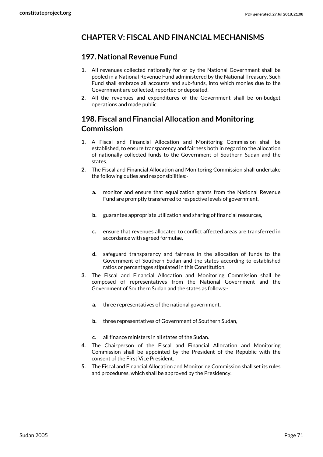# **CHAPTER V: FISCAL AND FINANCIAL MECHANISMS**

# **197. National Revenue Fund**

- **1.** All revenues collected nationally for or by the National Government shall be pooled in a National Revenue Fund administered by the National Treasury. Such Fund shall embrace all accounts and sub-funds, into which monies due to the Government are collected, reported or deposited.
- **2.** All the revenues and expenditures of the Government shall be on-budget operations and made public.

# **198. Fiscal and Financial Allocation and Monitoring Commission**

- **1.** A Fiscal and Financial Allocation and Monitoring Commission shall be established, to ensure transparency and fairness both in regard to the allocation of nationally collected funds to the Government of Southern Sudan and the states.
- **2.** The Fiscal and Financial Allocation and Monitoring Commission shall undertake the following duties and responsibilities:
	- **a.** monitor and ensure that equalization grants from the National Revenue Fund are promptly transferred to respective levels of government,
	- **b.** guarantee appropriate utilization and sharing of financial resources,
	- **c.** ensure that revenues allocated to conflict affected areas are transferred in accordance with agreed formulae,
	- **d.** safeguard transparency and fairness in the allocation of funds to the Government of Southern Sudan and the states according to established ratios or percentages stipulated in this Constitution.
- **3.** The Fiscal and Financial Allocation and Monitoring Commission shall be composed of representatives from the National Government and the Government of Southern Sudan and the states as follows:
	- **a.** three representatives of the national government,
	- **b.** three representatives of Government of Southern Sudan,
	- **c.** all finance ministers in all states of the Sudan.
- **4.** The Chairperson of the Fiscal and Financial Allocation and Monitoring Commission shall be appointed by the President of the Republic with the consent of the First Vice President.
- **5.** The Fiscal and Financial Allocation and Monitoring Commission shall set its rules and procedures, which shall be approved by the Presidency.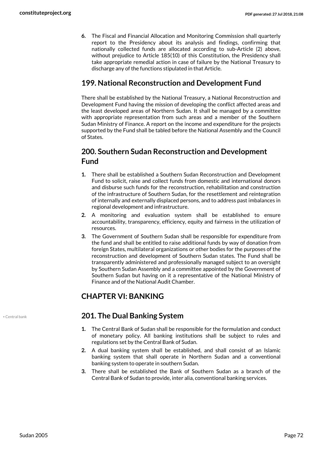**6.** The Fiscal and Financial Allocation and Monitoring Commission shall quarterly report to the Presidency about its analysis and findings, confirming that nationally collected funds are allocated according to sub-Article (2) above, without prejudice to Article 185(10) of this Constitution, the Presidency shall take appropriate remedial action in case of failure by the National Treasury to discharge any of the functions stipulated in that Article.

#### **199. National Reconstruction and Development Fund**

There shall be established by the National Treasury, a National Reconstruction and Development Fund having the mission of developing the conflict affected areas and the least developed areas of Northern Sudan. It shall be managed by a committee with appropriate representation from such areas and a member of the Southern Sudan Ministry of Finance. A report on the income and expenditure for the projects supported by the Fund shall be tabled before the National Assembly and the Council of States.

# **200. Southern Sudan Reconstruction and Development Fund**

- **1.** There shall be established a Southern Sudan Reconstruction and Development Fund to solicit, raise and collect funds from domestic and international donors and disburse such funds for the reconstruction, rehabilitation and construction of the infrastructure of Southern Sudan, for the resettlement and reintegration of internally and externally displaced persons, and to address past imbalances in regional development and infrastructure.
- **2.** A monitoring and evaluation system shall be established to ensure accountability, transparency, efficiency, equity and fairness in the utilization of resources.
- **3.** The Government of Southern Sudan shall be responsible for expenditure from the fund and shall be entitled to raise additional funds by way of donation from foreign States, multilateral organizations or other bodies for the purposes of the reconstruction and development of Southern Sudan states. The Fund shall be transparently administered and professionally managed subject to an oversight by Southern Sudan Assembly and a committee appointed by the Government of Southern Sudan but having on it a representative of the National Ministry of Finance and of the National Audit Chamber.

# **CHAPTER VI: BANKING**

# • Central bank **201. The Dual Banking System**

- **1.** The Central Bank of Sudan shall be responsible for the formulation and conduct of monetary policy. All banking institutions shall be subject to rules and regulations set by the Central Bank of Sudan.
- **2.** A dual banking system shall be established, and shall consist of an Islamic banking system that shall operate in Northern Sudan and a conventional banking system to operate in southern Sudan.
- **3.** There shall be established the Bank of Southern Sudan as a branch of the Central Bank of Sudan to provide, inter alia, conventional banking services.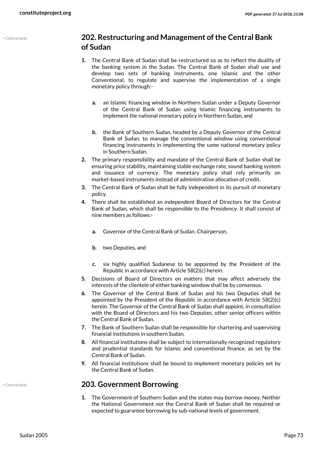• Central bank

#### **202. Restructuring and Management of the Central Bank of Sudan**

- **1.** The Central Bank of Sudan shall be restructured so as to reflect the duality of the banking system in the Sudan. The Central Bank of Sudan shall use and develop two sets of banking instruments, one Islamic and the other Conventional, to regulate and supervise the implementation of a single monetary policy through:
	- **a.** an Islamic financing window in Northern Sudan under a Deputy Governor of the Central Bank of Sudan using Islamic financing instruments to implement the national monetary policy in Northern Sudan, and
	- **b.** the Bank of Southern Sudan, headed by a Deputy Governor of the Central Bank of Sudan, to manage the conventional window using conventional financing instruments in implementing the same national monetary policy in Southern Sudan.
- **2.** The primary responsibility and mandate of the Central Bank of Sudan shall be ensuring price stability, maintaining stable exchange rate, sound banking system and issuance of currency. The monetary policy shall rely primarily on market-based instruments instead of administrative allocation of credit.
- **3.** The Central Bank of Sudan shall be fully independent in its pursuit of monetary policy.
- **4.** There shall be established an independent Board of Directors for the Central Bank of Sudan, which shall be responsible to the Presidency. It shall consist of nine members as follows:
	- **a.** Governor of the Central Bank of Sudan, Chairperson,
	- **b.** two Deputies, and
	- **c.** six highly qualified Sudanese to be appointed by the President of the Republic in accordance with Article 58(2)(c) herein.
- **5.** Decisions of Board of Directors on matters that may affect adversely the interests of the clientele of either banking window shall be by consensus.
- **6.** The Governor of the Central Bank of Sudan and his two Deputies shall be appointed by the President of the Republic in accordance with Article 58(2)(c) herein. The Governor of the Central Bank of Sudan shall appoint, in consultation with the Board of Directors and his two Deputies, other senior officers within the Central Bank of Sudan.
- **7.** The Bank of Southern Sudan shall be responsible for chartering and supervising financial institutions in southern Sudan.
- **8.** All financial institutions shall be subject to internationally recognized regulatory and prudential standards for Islamic and conventional finance, as set by the Central Bank of Sudan.
- **9.** All financial institutions shall be bound to implement monetary policies set by the Central Bank of Sudan.

#### • Central bank **203. Government Borrowing**

**1.** The Government of Southern Sudan and the states may borrow money. Neither the National Government nor the Central Bank of Sudan shall be required or expected to guarantee borrowing by sub-national levels of government.

<span id="page-72-0"></span>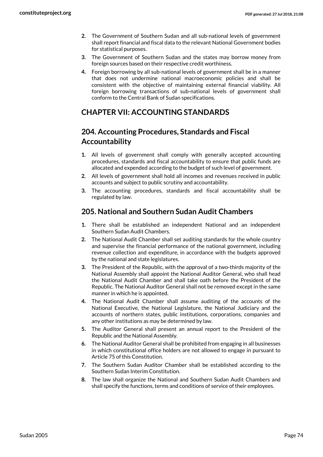- **2.** The Government of Southern Sudan and all sub-national levels of government shall report financial and fiscal data to the relevant National Government bodies for statistical purposes.
- **3.** The Government of Southern Sudan and the states may borrow money from foreign sources based on their respective credit worthiness.
- **4.** Foreign borrowing by all sub-national levels of government shall be in a manner that does not undermine national macroeconomic policies and shall be consistent with the objective of maintaining external financial viability. All foreign borrowing transactions of sub-national levels of government shall conform to the Central Bank of Sudan specifications.

## **CHAPTER VII: ACCOUNTING STANDARDS**

# **204. Accounting Procedures, Standards and Fiscal Accountability**

- **1.** All levels of government shall comply with generally accepted accounting procedures, standards and fiscal accountability to ensure that public funds are allocated and expended according to the budget of such level of government.
- **2.** All levels of government shall hold all incomes and revenues received in public accounts and subject to public scrutiny and accountability.
- **3.** The accounting procedures, standards and fiscal accountability shall be regulated by law.

#### **205. National and Southern Sudan Audit Chambers**

- **1.** There shall be established an independent National and an independent Southern Sudan Audit Chambers.
- **2.** The National Audit Chamber shall set auditing standards for the whole country and supervise the financial performance of the national government, including revenue collection and expenditure, in accordance with the budgets approved by the national and state legislatures.
- **3.** The President of the Republic, with the approval of a two-thirds majority of the National Assembly shall appoint the National Auditor General, who shall head the National Audit Chamber and shall take oath before the President of the Republic. The National Auditor General shall not be removed except in the same manner in which he is appointed.
- **4.** The National Audit Chamber shall assume auditing of the accounts of the National Executive, the National Legislature, the National Judiciary and the accounts of northern states, public institutions, corporations, companies and any other institutions as may be determined by law.
- **5.** The Auditor General shall present an annual report to the President of the Republic and the National Assembly.
- **6.** The National Auditor General shall be prohibited from engaging in all businesses in which constitutional office holders are not allowed to engage in pursuant to Article 75 of this Constitution.
- **7.** The Southern Sudan Auditor Chamber shall be established according to the Southern Sudan Interim Constitution.
- **8.** The law shall organize the National and Southern Sudan Audit Chambers and shall specify the functions, terms and conditions of service of their employees.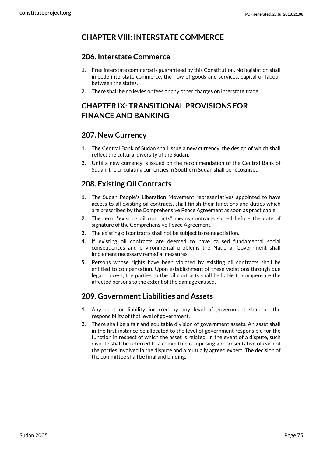#### **CHAPTER VIII: INTERSTATE COMMERCE**

#### **206. Interstate Commerce**

- **1.** Free interstate commerce is guaranteed by this Constitution. No legislation shall impede interstate commerce, the flow of goods and services, capital or labour between the states.
- **2.** There shall be no levies or fees or any other charges on interstate trade.

# **CHAPTER IX: TRANSITIONAL PROVISIONS FOR FINANCE AND BANKING**

#### **207. New Currency**

- **1.** The Central Bank of Sudan shall issue a new currency, the design of which shall reflect the cultural diversity of the Sudan.
- **2.** Until a new currency is issued on the recommendation of the Central Bank of Sudan, the circulating currencies in Southern Sudan shall be recognised.

## **208. Existing Oil Contracts**

- **1.** The Sudan People's Liberation Movement representatives appointed to have access to all existing oil contracts, shall finish their functions and duties which are prescribed by the Comprehensive Peace Agreement as soon as practicable.
- **2.** The term "existing oil contracts" means contracts signed before the date of signature of the Comprehensive Peace Agreement.
- **3.** The existing oil contracts shall not be subject to re-negotiation.
- **4.** If existing oil contracts are deemed to have caused fundamental social consequences and environmental problems the National Government shall implement necessary remedial measures.
- **5.** Persons whose rights have been violated by existing oil contracts shall be entitled to compensation. Upon establishment of these violations through due legal process, the parties to the oil contracts shall be liable to compensate the affected persons to the extent of the damage caused.

#### **209. Government Liabilities and Assets**

- **1.** Any debt or liability incurred by any level of government shall be the responsibility of that level of government.
- **2.** There shall be a fair and equitable division of government assets. An asset shall in the first instance be allocated to the level of government responsible for the function in respect of which the asset is related. In the event of a dispute, such dispute shall be referred to a committee comprising a representative of each of the parties involved in the dispute and a mutually agreed expert. The decision of the committee shall be final and binding.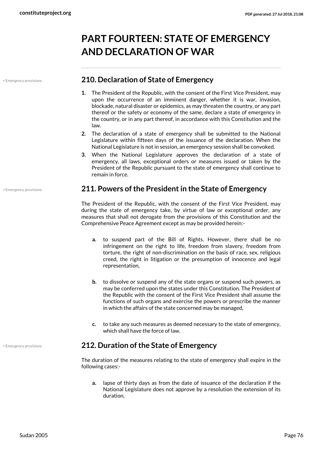# **PART FOURTEEN: STATE OF EMERGENCY AND DECLARATION OF WAR**

• Emergency provisions **210. Declaration of State of Emergency**

- **1.** The President of the Republic, with the consent of the First Vice President, may upon the occurrence of an imminent danger, whether it is war, invasion, blockade, natural disaster or epidemics, as may threaten the country, or any part thereof or the safety or economy of the same, declare a state of emergency in the country, or in any part thereof, in accordance with this Constitution and the law.
- **2.** The declaration of a state of emergency shall be submitted to the National Legislature within fifteen days of the issuance of the declaration. When the National Legislature is not in session, an emergency session shall be convoked.
- **3.** When the National Legislature approves the declaration of a state of emergency, all laws, exceptional orders or measures issued or taken by the President of the Republic pursuant to the state of emergency shall continue to remain in force.

#### • Emergency provisions **211. Powers of the President in the State of Emergency**

The President of the Republic, with the consent of the First Vice President, may during the state of emergency take, by virtue of law or exceptional order, any measures that shall not derogate from the provisions of this Constitution and the Comprehensive Peace Agreement except as may be provided herein:-

- **a.** to suspend part of the Bill of Rights. However, there shall be no infringement on the right to life, freedom from slavery, freedom from torture, the right of non-discrimination on the basis of race, sex, religious creed, the right in litigation or the presumption of innocence and legal representation,
- **b.** to dissolve or suspend any of the state organs or suspend such powers, as may be conferred upon the states under this Constitution. The President of the Republic with the consent of the First Vice President shall assume the functions of such organs and exercise the powers or prescribe the manner in which the affairs of the state concerned may be managed,
- **c.** to take any such measures as deemed necessary to the state of emergency, which shall have the force of law.

## • Emergency provisions **212. Duration of the State of Emergency**

The duration of the measures relating to the state of emergency shall expire in the following cases:-

**a.** lapse of thirty days as from the date of issuance of the declaration if the National Legislature does not approve by a resolution the extension of its duration,

<span id="page-75-0"></span>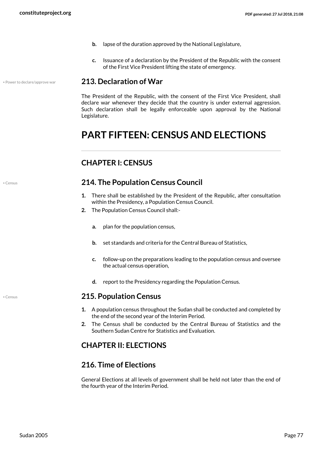- **b.** lapse of the duration approved by the National Legislature,
- **c.** Issuance of a declaration by the President of the Republic with the consent of the First Vice President lifting the state of emergency.

#### • Power to declare/approve war **213. Declaration of War**

<span id="page-76-1"></span>The President of the Republic, with the consent of the First Vice President, shall declare war whenever they decide that the country is under external aggression. Such declaration shall be legally enforceable upon approval by the National Legislature.

# **PART FIFTEEN: CENSUS AND ELECTIONS**

## **CHAPTER I: CENSUS**

#### • Census **214. The Population Census Council**

- **1.** There shall be established by the President of the Republic, after consultation within the Presidency, a Population Census Council.
- **2.** The Population Census Council shall:
	- **a.** plan for the population census,
	- **b.** set standards and criteria for the Central Bureau of Statistics,
	- **c.** follow-up on the preparations leading to the population census and oversee the actual census operation,
	- **d.** report to the Presidency regarding the Population Census.

#### • Census **215. Population Census**

- **1.** A population census throughout the Sudan shall be conducted and completed by the end of the second year of the Interim Period.
- **2.** The Census shall be conducted by the Central Bureau of Statistics and the Southern Sudan Centre for Statistics and Evaluation.

# **CHAPTER II: ELECTIONS**

## **216. Time of Elections**

General Elections at all levels of government shall be held not later than the end of the fourth year of the Interim Period.

<span id="page-76-0"></span>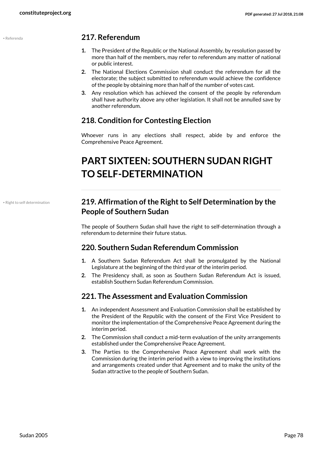<span id="page-77-0"></span>

#### • Referenda **217. Referendum**

- **1.** The President of the Republic or the National Assembly, by resolution passed by more than half of the members, may refer to referendum any matter of national or public interest.
- **2.** The National Elections Commission shall conduct the referendum for all the electorate; the subject submitted to referendum would achieve the confidence of the people by obtaining more than half of the number of votes cast.
- **3.** Any resolution which has achieved the consent of the people by referendum shall have authority above any other legislation. It shall not be annulled save by another referendum.

## **218. Condition for Contesting Election**

Whoever runs in any elections shall respect, abide by and enforce the Comprehensive Peace Agreement.

# **PART SIXTEEN: SOUTHERN SUDAN RIGHT TO SELF-DETERMINATION**

• Right to self determination

# <span id="page-77-1"></span>**219. Affirmation of the Right to Self Determination by the People of Southern Sudan**

The people of Southern Sudan shall have the right to self-determination through a referendum to determine their future status.

## **220. Southern Sudan Referendum Commission**

- **1.** A Southern Sudan Referendum Act shall be promulgated by the National Legislature at the beginning of the third year of the interim period.
- **2.** The Presidency shall, as soon as Southern Sudan Referendum Act is issued, establish Southern Sudan Referendum Commission.

## **221. The Assessment and Evaluation Commission**

- **1.** An independent Assessment and Evaluation Commission shall be established by the President of the Republic with the consent of the First Vice President to monitor the implementation of the Comprehensive Peace Agreement during the interim period.
- **2.** The Commission shall conduct a mid-term evaluation of the unity arrangements established under the Comprehensive Peace Agreement.
- **3.** The Parties to the Comprehensive Peace Agreement shall work with the Commission during the interim period with a view to improving the institutions and arrangements created under that Agreement and to make the unity of the Sudan attractive to the people of Southern Sudan.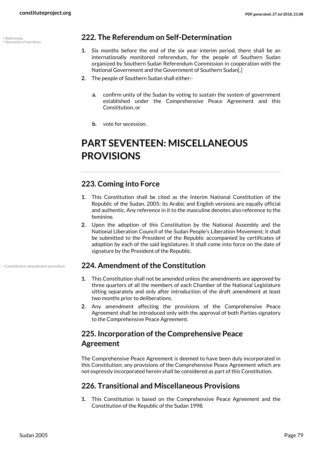<span id="page-78-2"></span><span id="page-78-1"></span>• Secession of territory

## • Referenda **222. The Referendum on Self-Determination**

- **1.** Six months before the end of the six year interim period, there shall be an internationally monitored referendum, for the people of Southern Sudan organized by Southern Sudan Referendum Commission in cooperation with the National Government and the Government of Southern Sudan[.]
- **2.** The people of Southern Sudan shall either:
	- **a.** confirm unity of the Sudan by voting to sustain the system of government established under the Comprehensive Peace Agreement and this Constitution, or
	- **b.** vote for secession.

# **PART SEVENTEEN: MISCELLANEOUS PROVISIONS**

# **223. Coming into Force**

- **1.** This Constitution shall be cited as the Interim National Constitution of the Republic of the Sudan, 2005; its Arabic and English versions are equally official and authentic. Any reference in it to the masculine denotes also reference to the feminine.
- **2.** Upon the adoption of this Constitution by the National Assembly and the National Liberation Council of the Sudan People's Liberation Movement; it shall be submitted to the President of the Republic accompanied by certificates of adoption by each of the said legislatures. It shall come into force on the date of signature by the President of the Republic.

#### • Constitution amendment procedure **224. Amendment of the Constitution**

- <span id="page-78-0"></span>**1.** This Constitution shall not be amended unless the amendments are approved by three quarters of all the members of each Chamber of the National Legislature sitting separately and only after introduction of the draft amendment at least two months prior to deliberations.
- **2.** Any amendment affecting the provisions of the Comprehensive Peace Agreement shall be introduced only with the approval of both Parties signatory to the Comprehensive Peace Agreement.

# **225. Incorporation of the Comprehensive Peace Agreement**

The Comprehensive Peace Agreement is deemed to have been duly incorporated in this Constitution; any provisions of the Comprehensive Peace Agreement which are not expressly incorporated herein shall be considered as part of this Constitution.

## **226. Transitional and Miscellaneous Provisions**

**1.** This Constitution is based on the Comprehensive Peace Agreement and the Constitution of the Republic of the Sudan 1998.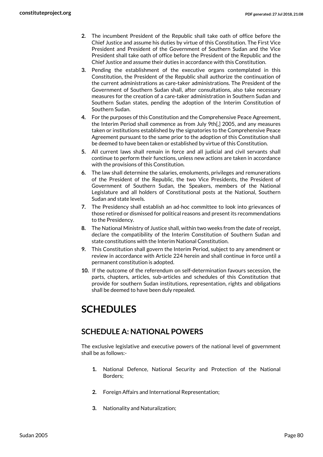- **2.** The incumbent President of the Republic shall take oath of office before the Chief Justice and assume his duties by virtue of this Constitution. The First Vice President and President of the Government of Southern Sudan and the Vice President shall take oath of office before the President of the Republic and the Chief Justice and assume their duties in accordance with this Constitution.
- **3.** Pending the establishment of the executive organs contemplated in this Constitution, the President of the Republic shall authorize the continuation of the current administrations as care-taker administrations. The President of the Government of Southern Sudan shall, after consultations, also take necessary measures for the creation of a care-taker administration in Southern Sudan and Southern Sudan states, pending the adoption of the Interim Constitution of Southern Sudan.
- **4.** For the purposes of this Constitution and the Comprehensive Peace Agreement, the Interim Period shall commence as from July 9th[,] 2005, and any measures taken or institutions established by the signatories to the Comprehensive Peace Agreement pursuant to the same prior to the adoption of this Constitution shall be deemed to have been taken or established by virtue of this Constitution.
- **5.** All current laws shall remain in force and all judicial and civil servants shall continue to perform their functions, unless new actions are taken in accordance with the provisions of this Constitution.
- **6.** The law shall determine the salaries, emoluments, privileges and remunerations of the President of the Republic, the two Vice Presidents, the President of Government of Southern Sudan, the Speakers, members of the National Legislature and all holders of Constitutional posts at the National, Southern Sudan and state levels.
- **7.** The Presidency shall establish an ad-hoc committee to look into grievances of those retired or dismissed for political reasons and present its recommendations to the Presidency.
- **8.** The National Ministry of Justice shall, within two weeks from the date of receipt, declare the compatibility of the Interim Constitution of Southern Sudan and state constitutions with the Interim National Constitution.
- **9.** This Constitution shall govern the Interim Period, subject to any amendment or review in accordance with Article 224 herein and shall continue in force until a permanent constitution is adopted.
- **10.** If the outcome of the referendum on self-determination favours secession, the parts, chapters, articles, sub-articles and schedules of this Constitution that provide for southern Sudan institutions, representation, rights and obligations shall be deemed to have been duly repealed.

# **SCHEDULES**

# **SCHEDULE A: NATIONAL POWERS**

The exclusive legislative and executive powers of the national level of government shall be as follows:-

- **1.** National Defence, National Security and Protection of the National Borders;
- **2.** Foreign Affairs and International Representation;
- **3.** Nationality and Naturalization;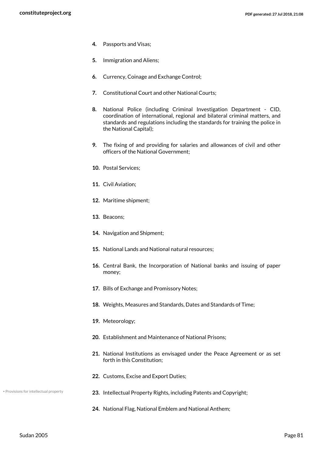- **4.** Passports and Visas;
- **5.** Immigration and Aliens;
- **6.** Currency, Coinage and Exchange Control;
- **7.** Constitutional Court and other National Courts;
- **8.** National Police (including Criminal Investigation Department CID, coordination of international, regional and bilateral criminal matters, and standards and regulations including the standards for training the police in the National Capital);
- **9.** The fixing of and providing for salaries and allowances of civil and other officers of the National Government;
- **10.** Postal Services;
- **11.** Civil Aviation;
- **12.** Maritime shipment;
- **13.** Beacons;
- **14.** Navigation and Shipment;
- **15.** National Lands and National natural resources;
- **16.** Central Bank, the Incorporation of National banks and issuing of paper money;
- **17.** Bills of Exchange and Promissory Notes;
- **18.** Weights, Measures and Standards, Dates and Standards of Time;
- **19.** Meteorology;
- **20.** Establishment and Maintenance of National Prisons;
- **21.** National Institutions as envisaged under the Peace Agreement or as set forth in this Constitution;
- <span id="page-80-0"></span>**22.** Customs, Excise and Export Duties;
- Provisions for intellectual property **23.** Intellectual Property Rights, including Patents and Copyright;
	- **24.** National Flag, National Emblem and National Anthem;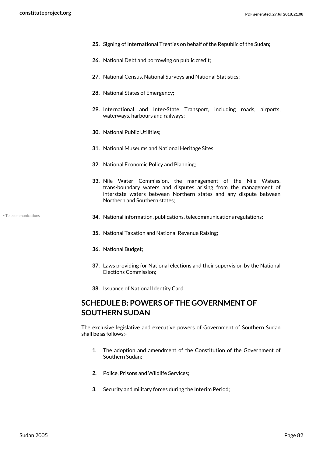- **25.** Signing of International Treaties on behalf of the Republic of the Sudan;
- **26.** National Debt and borrowing on public credit;
- **27.** National Census, National Surveys and National Statistics;
- **28.** National States of Emergency;
- **29.** International and Inter-State Transport, including roads, airports, waterways, harbours and railways;
- **30.** National Public Utilities;
- **31.** National Museums and National Heritage Sites;
- **32.** National Economic Policy and Planning;
- **33.** Nile Water Commission, the management of the Nile Waters, trans-boundary waters and disputes arising from the management of interstate waters between Northern states and any dispute between Northern and Southern states;

- <span id="page-81-0"></span>
- **Telecommunications 34.** National information, publications, telecommunications regulations;
	- **35.** National Taxation and National Revenue Raising;
	- **36.** National Budget;
	- **37.** Laws providing for National elections and their supervision by the National Elections Commission;
	- **38.** Issuance of National Identity Card.

## **SCHEDULE B: POWERS OF THE GOVERNMENT OF SOUTHERN SUDAN**

The exclusive legislative and executive powers of Government of Southern Sudan shall be as follows:-

- **1.** The adoption and amendment of the Constitution of the Government of Southern Sudan;
- **2.** Police, Prisons and Wildlife Services;
- **3.** Security and military forces during the Interim Period;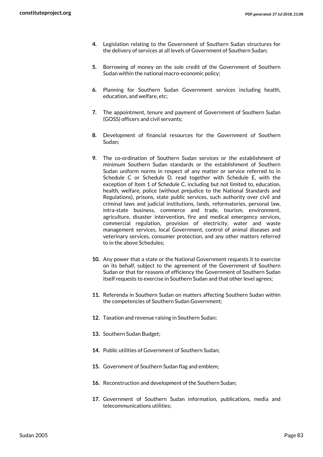- **4.** Legislation relating to the Government of Southern Sudan structures for the delivery of services at all levels of Government of Southern Sudan;
- **5.** Borrowing of money on the sole credit of the Government of Southern Sudan within the national macro-economic policy;
- **6.** Planning for Southern Sudan Government services including health, education, and welfare, etc;
- **7.** The appointment, tenure and payment of Government of Southern Sudan (GOSS) officers and civil servants;
- **8.** Development of financial resources for the Government of Southern Sudan;
- **9.** The co-ordination of Southern Sudan services or the establishment of minimum Southern Sudan standards or the establishment of Southern Sudan uniform norms in respect of any matter or service referred to in Schedule C or Schedule D, read together with Schedule E, with the exception of Item 1 of Schedule C, including but not limited to, education, health, welfare, police (without prejudice to the National Standards and Regulations), prisons, state public services, such authority over civil and criminal laws and judicial institutions, lands, reformatories, personal law, intra-state business, commerce and trade, tourism, environment, agriculture, disaster intervention, fire and medical emergency services, commercial regulation, provision of electricity, water and waste management services, local Government, control of animal diseases and veterinary services, consumer protection, and any other matters referred to in the above Schedules;
- **10.** Any power that a state or the National Government requests it to exercise on its behalf, subject to the agreement of the Government of Southern Sudan or that for reasons of efficiency the Government of Southern Sudan itself requests to exercise in Southern Sudan and that other level agrees;
- **11.** Referenda in Southern Sudan on matters affecting Southern Sudan within the competencies of Southern Sudan Government;
- **12.** Taxation and revenue raising in Southern Sudan;
- **13.** Southern Sudan Budget;
- **14.** Public utilities of Government of Southern Sudan;
- **15.** Government of Southern Sudan flag and emblem;
- **16.** Reconstruction and development of the Southern Sudan;
- **17.** Government of Southern Sudan information, publications, media and telecommunications utilities;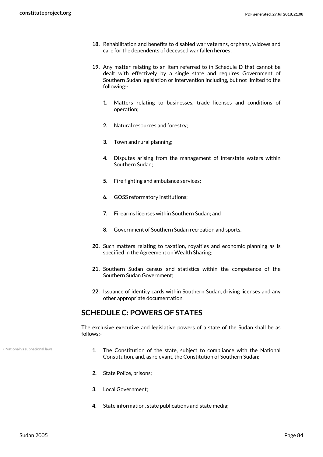- **18.** Rehabilitation and benefits to disabled war veterans, orphans, widows and care for the dependents of deceased war fallen heroes;
- **19.** Any matter relating to an item referred to in Schedule D that cannot be dealt with effectively by a single state and requires Government of Southern Sudan legislation or intervention including, but not limited to the following:-
	- **1.** Matters relating to businesses, trade licenses and conditions of operation;
	- **2.** Natural resources and forestry;
	- **3.** Town and rural planning;
	- **4.** Disputes arising from the management of interstate waters within Southern Sudan;
	- **5.** Fire fighting and ambulance services;
	- **6.** GOSS reformatory institutions;
	- **7.** Firearms licenses within Southern Sudan; and
	- **8.** Government of Southern Sudan recreation and sports.
- **20.** Such matters relating to taxation, royalties and economic planning as is specified in the Agreement on Wealth Sharing;
- **21.** Southern Sudan census and statistics within the competence of the Southern Sudan Government;
- **22.** Issuance of identity cards within Southern Sudan, driving licenses and any other appropriate documentation.

#### **SCHEDULE C: POWERS OF STATES**

<span id="page-83-0"></span>The exclusive executive and legislative powers of a state of the Sudan shall be as follows:-

- National vs subnational laws
- **1.** The Constitution of the state, subject to compliance with the National Constitution, and, as relevant, the Constitution of Southern Sudan;
- **2.** State Police, prisons;
- **3.** Local Government;
- **4.** State information, state publications and state media;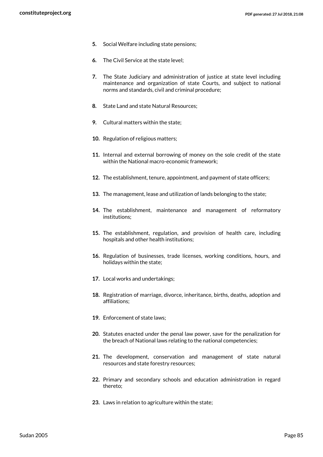- **5.** Social Welfare including state pensions;
- **6.** The Civil Service at the state level;
- **7.** The State Judiciary and administration of justice at state level including maintenance and organization of state Courts, and subject to national norms and standards, civil and criminal procedure;
- **8.** State Land and state Natural Resources;
- **9.** Cultural matters within the state;
- **10.** Regulation of religious matters;
- **11.** Internal and external borrowing of money on the sole credit of the state within the National macro-economic framework;
- **12.** The establishment, tenure, appointment, and payment of state officers;
- **13.** The management, lease and utilization of lands belonging to the state;
- **14.** The establishment, maintenance and management of reformatory institutions;
- **15.** The establishment, regulation, and provision of health care, including hospitals and other health institutions;
- **16.** Regulation of businesses, trade licenses, working conditions, hours, and holidays within the state;
- **17.** Local works and undertakings;
- **18.** Registration of marriage, divorce, inheritance, births, deaths, adoption and affiliations;
- **19.** Enforcement of state laws;
- **20.** Statutes enacted under the penal law power, save for the penalization for the breach of National laws relating to the national competencies;
- **21.** The development, conservation and management of state natural resources and state forestry resources;
- **22.** Primary and secondary schools and education administration in regard thereto;
- **23.** Laws in relation to agriculture within the state;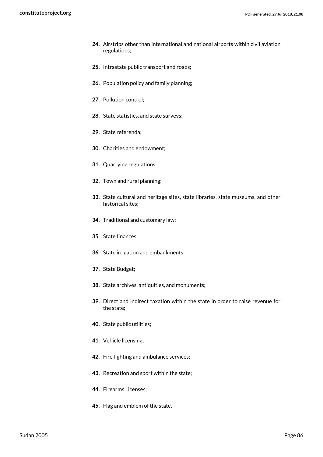- **24.** Airstrips other than international and national airports within civil aviation regulations;
- **25.** Intrastate public transport and roads;
- **26.** Population policy and family planning;
- **27.** Pollution control;
- **28.** State statistics, and state surveys;
- **29.** State referenda;
- **30.** Charities and endowment;
- **31.** Quarrying regulations;
- **32.** Town and rural planning;
- **33.** State cultural and heritage sites, state libraries, state museums, and other historical sites;
- **34.** Traditional and customary law;
- **35.** State finances;
- **36.** State irrigation and embankments;
- **37.** State Budget;
- **38.** State archives, antiquities, and monuments;
- **39.** Direct and indirect taxation within the state in order to raise revenue for the state;
- **40.** State public utilities;
- **41.** Vehicle licensing;
- **42.** Fire fighting and ambulance services;
- **43.** Recreation and sport within the state;
- **44.** Firearms Licenses;
- **45.** Flag and emblem of the state.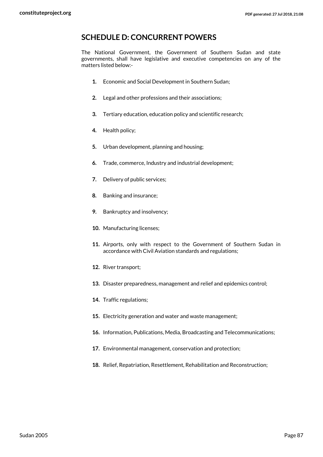#### **SCHEDULE D: CONCURRENT POWERS**

The National Government, the Government of Southern Sudan and state governments, shall have legislative and executive competencies on any of the matters listed below:-

- **1.** Economic and Social Development in Southern Sudan;
- **2.** Legal and other professions and their associations;
- **3.** Tertiary education, education policy and scientific research;
- **4.** Health policy;
- **5.** Urban development, planning and housing;
- **6.** Trade, commerce, Industry and industrial development;
- **7.** Delivery of public services;
- **8.** Banking and insurance;
- **9.** Bankruptcy and insolvency;
- **10.** Manufacturing licenses;
- **11.** Airports, only with respect to the Government of Southern Sudan in accordance with Civil Aviation standards and regulations;
- **12.** River transport;
- **13.** Disaster preparedness, management and relief and epidemics control;
- **14.** Traffic regulations;
- **15.** Electricity generation and water and waste management;
- **16.** Information, Publications, Media, Broadcasting and Telecommunications;
- **17.** Environmental management, conservation and protection;
- **18.** Relief, Repatriation, Resettlement, Rehabilitation and Reconstruction;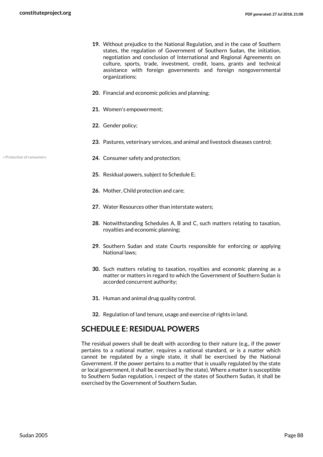- **19.** Without prejudice to the National Regulation, and in the case of Southern states, the regulation of Government of Southern Sudan, the initiation, negotiation and conclusion of International and Regional Agreements on culture, sports, trade, investment, credit, loans, grants and technical assistance with foreign governments and foreign nongovernmental organizations;
- **20.** Financial and economic policies and planning;
- **21.** Women's empowerment;
- **22.** Gender policy;
- **23.** Pastures, veterinary services, and animal and livestock diseases control;
- <span id="page-87-0"></span>
- Protection of consumers **24. Consumer safety and protection;** 
	- **25.** Residual powers, subject to Schedule E;
	- **26.** Mother, Child protection and care;
	- **27.** Water Resources other than interstate waters;
	- **28.** Notwithstanding Schedules A, B and C, such matters relating to taxation, royalties and economic planning;
	- **29.** Southern Sudan and state Courts responsible for enforcing or applying National laws;
	- **30.** Such matters relating to taxation, royalties and economic planning as a matter or matters in regard to which the Government of Southern Sudan is accorded concurrent authority;
	- **31.** Human and animal drug quality control.
	- **32.** Regulation of land tenure, usage and exercise of rights in land.

## **SCHEDULE E: RESIDUAL POWERS**

The residual powers shall be dealt with according to their nature (e.g., if the power pertains to a national matter, requires a national standard, or is a matter which cannot be regulated by a single state, it shall be exercised by the National Government. If the power pertains to a matter that is usually regulated by the state or local government, it shall be exercised by the state). Where a matter is susceptible to Southern Sudan regulation, i respect of the states of Southern Sudan, it shall be exercised by the Government of Southern Sudan.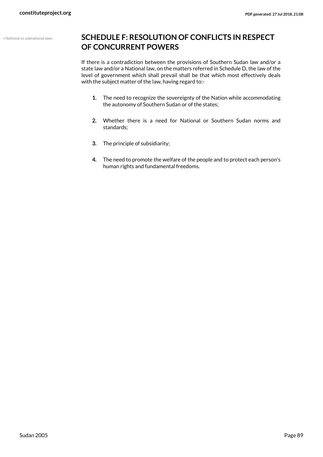• National vs subnational laws

# <span id="page-88-0"></span>**SCHEDULE F: RESOLUTION OF CONFLICTS IN RESPECT OF CONCURRENT POWERS**

If there is a contradiction between the provisions of Southern Sudan law and/or a state law and/or a National law, on the matters referred in Schedule D, the law of the level of government which shall prevail shall be that which most effectively deals with the subject matter of the law, having regard to:-

- **1.** The need to recognize the sovereignty of the Nation while accommodating the autonomy of Southern Sudan or of the states;
- **2.** Whether there is a need for National or Southern Sudan norms and standards;
- **3.** The principle of subsidiarity;
- **4.** The need to promote the welfare of the people and to protect each person's human rights and fundamental freedoms.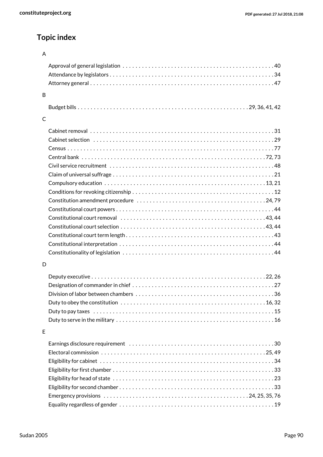# **Topic index**

| B |                                                                                                                |
|---|----------------------------------------------------------------------------------------------------------------|
|   |                                                                                                                |
| C |                                                                                                                |
|   |                                                                                                                |
|   |                                                                                                                |
|   |                                                                                                                |
|   |                                                                                                                |
|   |                                                                                                                |
|   |                                                                                                                |
|   |                                                                                                                |
|   |                                                                                                                |
|   |                                                                                                                |
|   |                                                                                                                |
|   |                                                                                                                |
|   |                                                                                                                |
|   |                                                                                                                |
|   |                                                                                                                |
|   |                                                                                                                |
|   |                                                                                                                |
| D |                                                                                                                |
|   |                                                                                                                |
|   |                                                                                                                |
|   |                                                                                                                |
|   |                                                                                                                |
|   | Duty to pay taxes experience in the control of the control of the control of the control of the control of the |
|   |                                                                                                                |
| E |                                                                                                                |
|   |                                                                                                                |
|   |                                                                                                                |
|   |                                                                                                                |
|   |                                                                                                                |
|   |                                                                                                                |
|   |                                                                                                                |
|   |                                                                                                                |
|   |                                                                                                                |
|   |                                                                                                                |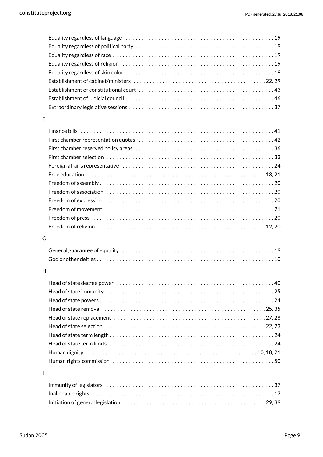|    | Establishment of constitutional court (intercasting continuous continuous continuous continuous 43 |
|----|----------------------------------------------------------------------------------------------------|
|    |                                                                                                    |
|    |                                                                                                    |
| F  |                                                                                                    |
|    |                                                                                                    |
|    |                                                                                                    |
|    |                                                                                                    |
|    |                                                                                                    |
|    |                                                                                                    |
|    |                                                                                                    |
|    |                                                                                                    |
|    |                                                                                                    |
|    |                                                                                                    |
|    |                                                                                                    |
|    |                                                                                                    |
|    |                                                                                                    |
| G  |                                                                                                    |
|    |                                                                                                    |
|    |                                                                                                    |
| H. |                                                                                                    |
|    |                                                                                                    |
|    |                                                                                                    |
|    |                                                                                                    |
|    |                                                                                                    |
|    |                                                                                                    |
|    |                                                                                                    |
|    |                                                                                                    |
|    |                                                                                                    |
|    |                                                                                                    |
|    |                                                                                                    |
|    |                                                                                                    |
| ı  |                                                                                                    |
|    |                                                                                                    |
|    |                                                                                                    |
|    |                                                                                                    |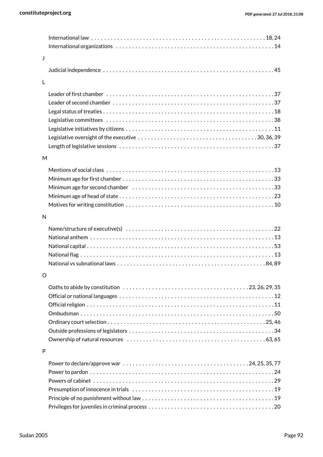| J                                                                                                                                        |  |
|------------------------------------------------------------------------------------------------------------------------------------------|--|
|                                                                                                                                          |  |
|                                                                                                                                          |  |
| L                                                                                                                                        |  |
|                                                                                                                                          |  |
|                                                                                                                                          |  |
|                                                                                                                                          |  |
|                                                                                                                                          |  |
|                                                                                                                                          |  |
|                                                                                                                                          |  |
|                                                                                                                                          |  |
| M                                                                                                                                        |  |
|                                                                                                                                          |  |
|                                                                                                                                          |  |
|                                                                                                                                          |  |
|                                                                                                                                          |  |
|                                                                                                                                          |  |
|                                                                                                                                          |  |
| N                                                                                                                                        |  |
|                                                                                                                                          |  |
|                                                                                                                                          |  |
|                                                                                                                                          |  |
|                                                                                                                                          |  |
|                                                                                                                                          |  |
|                                                                                                                                          |  |
| O                                                                                                                                        |  |
| Oaths to abide by constitution $\dots\dots\dots\dots\dots\dots\dots\dots\dots\dots\dots\dots$ 23, 26, 29, 35                             |  |
|                                                                                                                                          |  |
|                                                                                                                                          |  |
|                                                                                                                                          |  |
|                                                                                                                                          |  |
|                                                                                                                                          |  |
|                                                                                                                                          |  |
| P                                                                                                                                        |  |
| Power to declare/approve war $\ldots \ldots \ldots \ldots \ldots \ldots \ldots \ldots \ldots \ldots \ldots \ldots \ldots$ 24, 25, 35, 77 |  |
|                                                                                                                                          |  |
|                                                                                                                                          |  |
|                                                                                                                                          |  |
|                                                                                                                                          |  |
|                                                                                                                                          |  |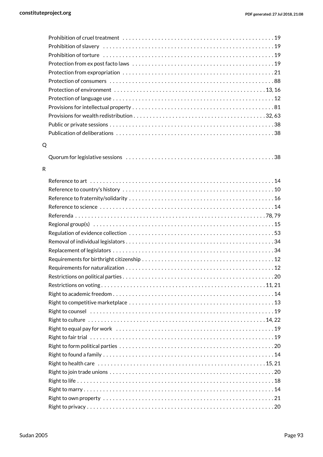| Q |                                                                                                               |
|---|---------------------------------------------------------------------------------------------------------------|
|   |                                                                                                               |
|   |                                                                                                               |
| R |                                                                                                               |
|   |                                                                                                               |
|   |                                                                                                               |
|   |                                                                                                               |
|   |                                                                                                               |
|   |                                                                                                               |
|   |                                                                                                               |
|   |                                                                                                               |
|   |                                                                                                               |
|   |                                                                                                               |
|   |                                                                                                               |
|   |                                                                                                               |
|   |                                                                                                               |
|   |                                                                                                               |
|   |                                                                                                               |
|   |                                                                                                               |
|   |                                                                                                               |
|   | Right to culture $\dots\dots\dots\dots\dots\dots\dots\dots\dots\dots\dots\dots\dots\dots\dots\dots\dots\dots$ |
|   |                                                                                                               |
|   |                                                                                                               |
|   |                                                                                                               |
|   |                                                                                                               |
|   |                                                                                                               |
|   |                                                                                                               |
|   |                                                                                                               |
|   |                                                                                                               |
|   |                                                                                                               |
|   |                                                                                                               |